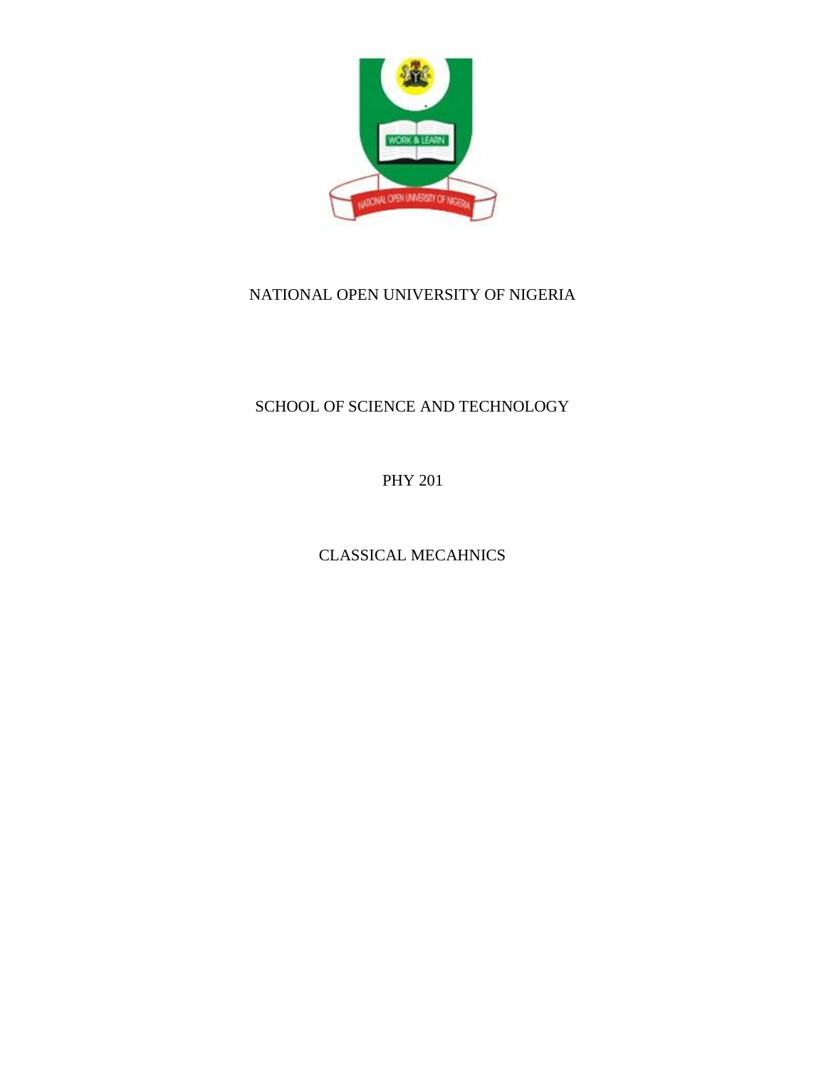

# SCHOOL OF SCIENCE AND TECHNOLOGY

PHY 201

CLASSICAL MECAHNICS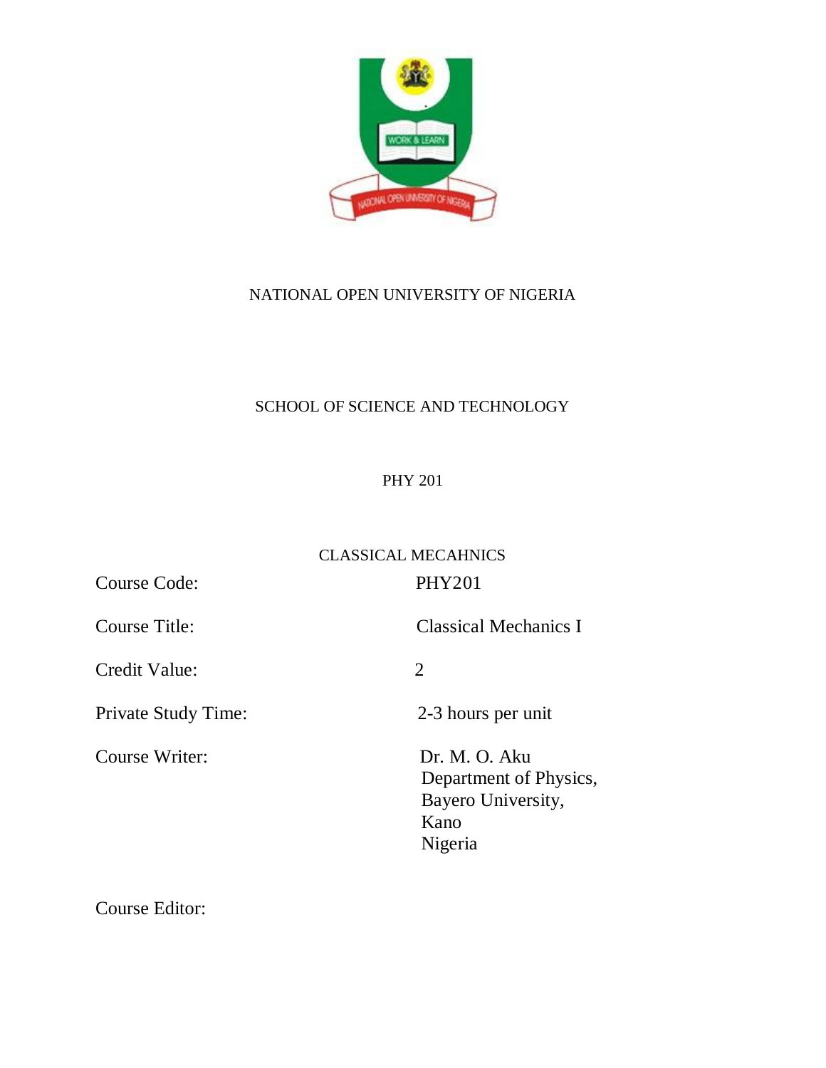

# SCHOOL OF SCIENCE AND TECHNOLOGY

# PHY 201

# CLASSICAL MECAHNICS

Course Code: PHY201

Credit Value: 2

Private Study Time: 2-3 hours per unit

Course Title: Classical Mechanics I

Course Writer: Dr. M. O. Aku Department of Physics, Bayero University, **Kano Kano** Nigeria

Course Editor: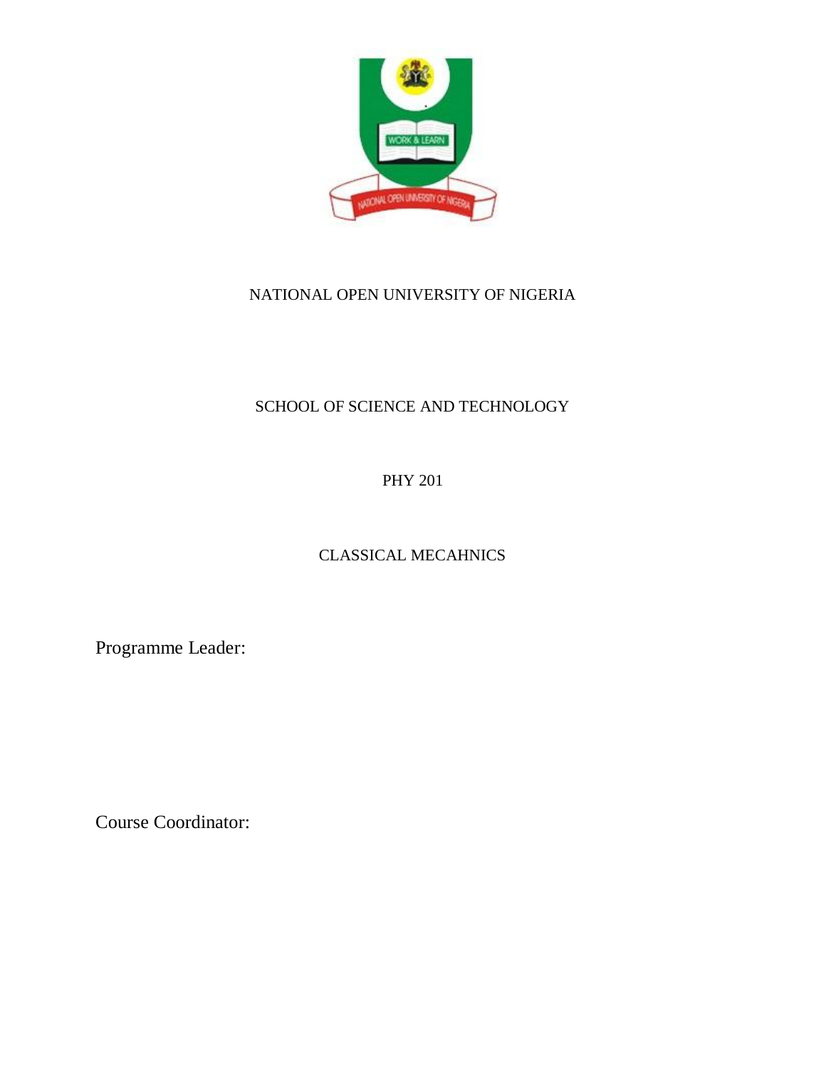

# SCHOOL OF SCIENCE AND TECHNOLOGY

PHY 201

# CLASSICAL MECAHNICS

Programme Leader:

Course Coordinator: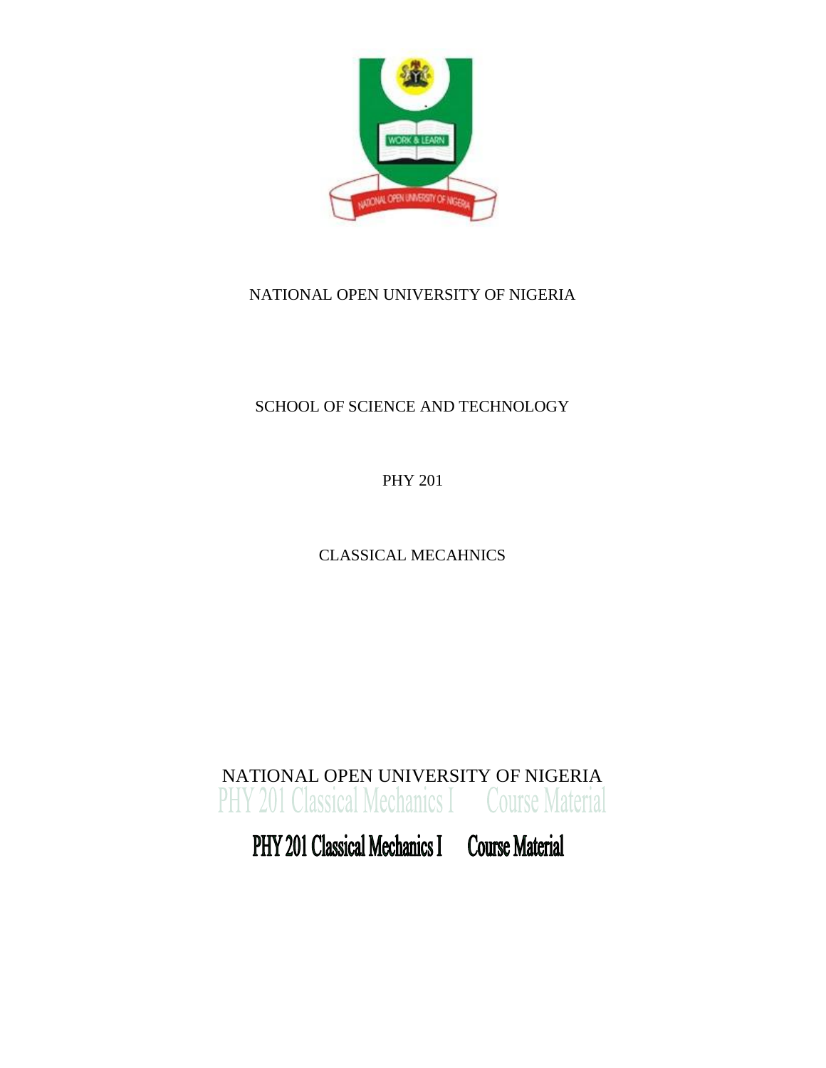

# SCHOOL OF SCIENCE AND TECHNOLOGY

PHY 201

CLASSICAL MECAHNICS

NATIONAL OPEN UNIVERSITY OF NIGERIA**PHY 201 Classical Mechanics I Course Material** 

PHY 201 Classical Mechanics I Course Material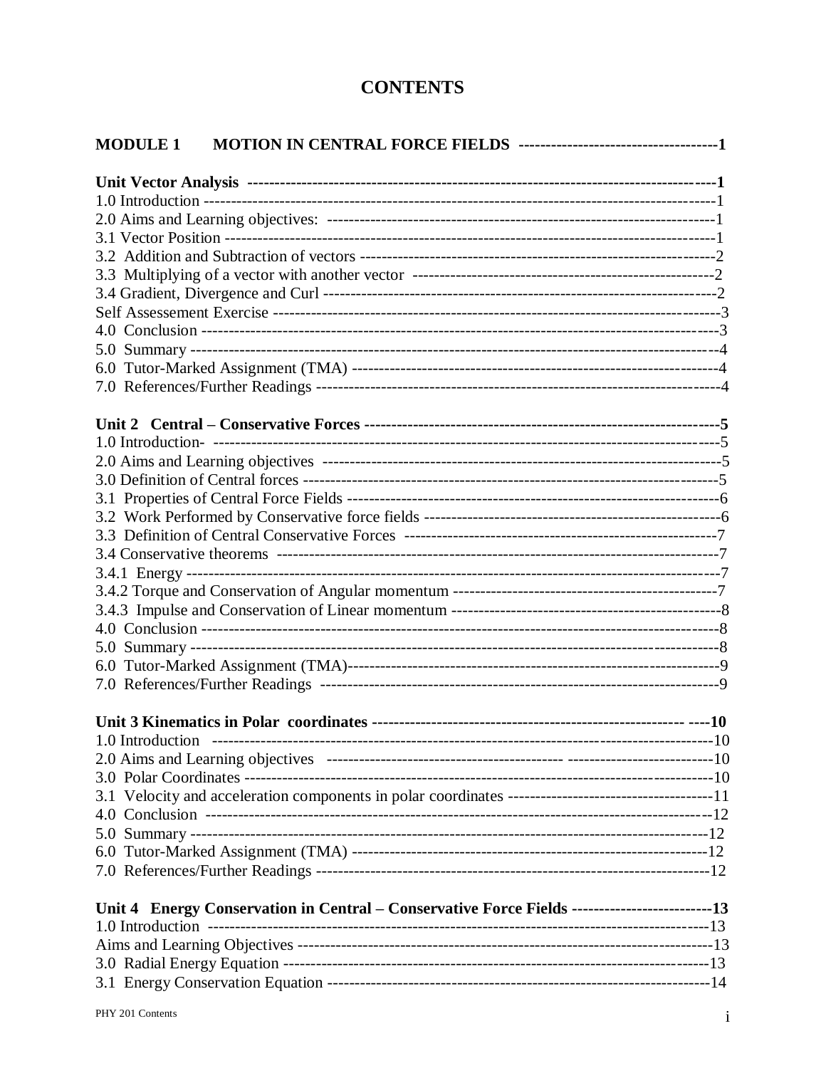# **CONTENTS**

| <b>MODULE 1</b> |                                                                                                |  |
|-----------------|------------------------------------------------------------------------------------------------|--|
|                 |                                                                                                |  |
|                 |                                                                                                |  |
|                 |                                                                                                |  |
|                 |                                                                                                |  |
|                 |                                                                                                |  |
|                 |                                                                                                |  |
|                 |                                                                                                |  |
|                 |                                                                                                |  |
|                 |                                                                                                |  |
|                 |                                                                                                |  |
|                 |                                                                                                |  |
|                 |                                                                                                |  |
|                 |                                                                                                |  |
|                 |                                                                                                |  |
|                 |                                                                                                |  |
|                 |                                                                                                |  |
|                 |                                                                                                |  |
|                 |                                                                                                |  |
|                 |                                                                                                |  |
|                 |                                                                                                |  |
|                 |                                                                                                |  |
|                 |                                                                                                |  |
|                 |                                                                                                |  |
|                 |                                                                                                |  |
|                 |                                                                                                |  |
|                 |                                                                                                |  |
|                 |                                                                                                |  |
|                 |                                                                                                |  |
|                 |                                                                                                |  |
|                 |                                                                                                |  |
|                 |                                                                                                |  |
|                 |                                                                                                |  |
|                 |                                                                                                |  |
|                 |                                                                                                |  |
|                 |                                                                                                |  |
|                 |                                                                                                |  |
|                 |                                                                                                |  |
|                 | Unit 4 Energy Conservation in Central - Conservative Force Fields --------------------------13 |  |
|                 |                                                                                                |  |
|                 |                                                                                                |  |
|                 |                                                                                                |  |
|                 |                                                                                                |  |
|                 |                                                                                                |  |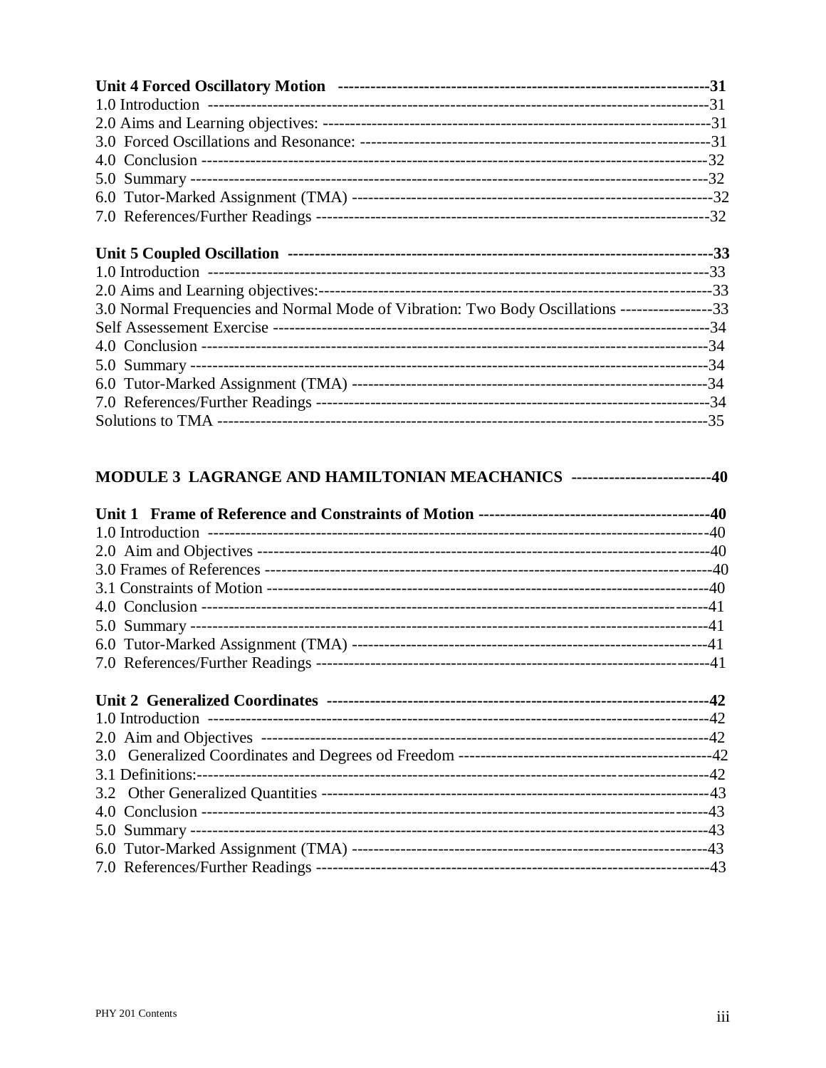| $\mathbf{H} \cdot \mathbf{M} = \mathbf{C}$ , $\mathbf{H} \cdot \mathbf{A} = \mathbf{C}$ , $\mathbf{H} \cdot \mathbf{M} = \mathbf{C}$ | $\mathbf{A}$ |
|--------------------------------------------------------------------------------------------------------------------------------------|--------------|

| 3.0 Normal Frequencies and Normal Mode of Vibration: Two Body Oscillations -----------------33 |  |
|------------------------------------------------------------------------------------------------|--|
|                                                                                                |  |
|                                                                                                |  |
|                                                                                                |  |
|                                                                                                |  |
|                                                                                                |  |
|                                                                                                |  |
|                                                                                                |  |

# MODULE 3 LAGRANGE AND HAMILTONIAN MEACHANICS --------------------------40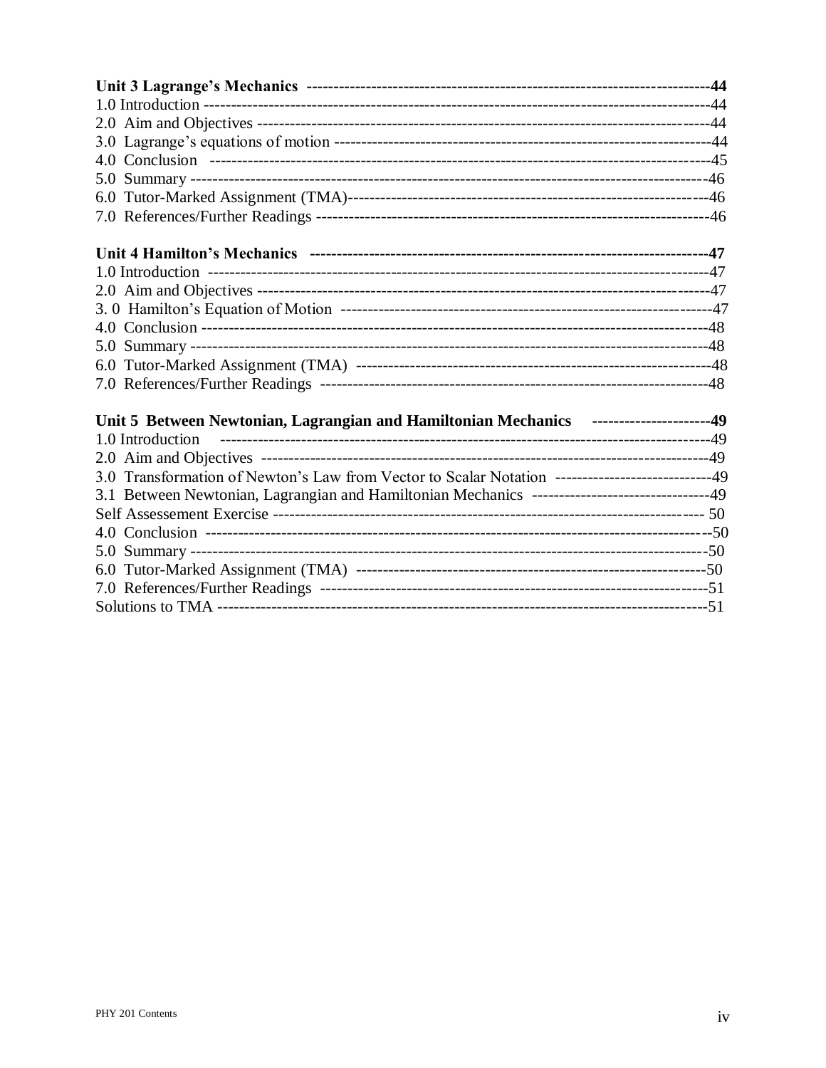| Unit 5 Between Newtonian, Lagrangian and Hamiltonian Mechanics ---------------------49             |  |
|----------------------------------------------------------------------------------------------------|--|
|                                                                                                    |  |
|                                                                                                    |  |
| 3.0 Transformation of Newton's Law from Vector to Scalar Notation ------------------------------49 |  |
| 3.1 Between Newtonian, Lagrangian and Hamiltonian Mechanics --------------------------------49     |  |
|                                                                                                    |  |
|                                                                                                    |  |
|                                                                                                    |  |
|                                                                                                    |  |
|                                                                                                    |  |
|                                                                                                    |  |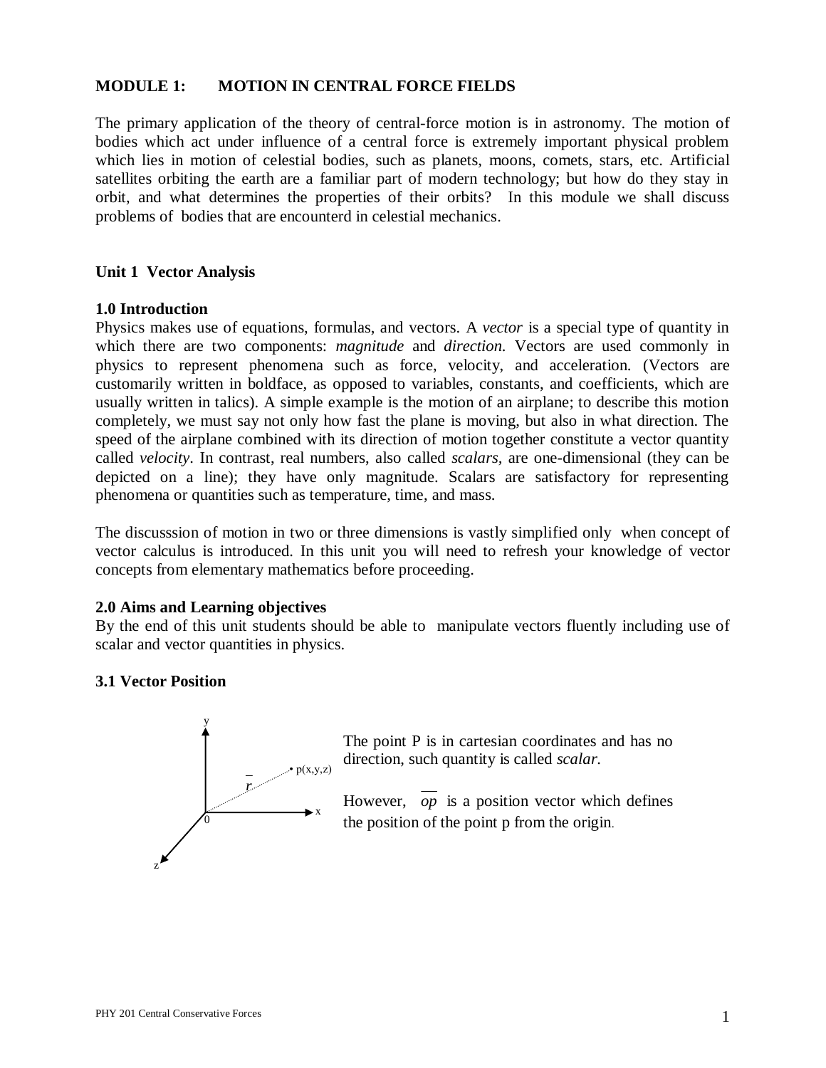## **MODULE 1: MOTION IN CENTRAL FORCE FIELDS**

The primary application of the theory of central-force motion is in astronomy. The motion of bodies which act under influence of a central force is extremely important physical problem which lies in motion of celestial bodies, such as planets, moons, comets, stars, etc. Artificial satellites orbiting the earth are a familiar part of modern technology; but how do they stay in orbit, and what determines the properties of their orbits? In this module we shall discuss problems of bodies that are encounterd in celestial mechanics.

#### **Unit 1 Vector Analysis**

#### **1.0 Introduction**

Physics makes use of equations, formulas, and vectors. A *vector* is a special type of quantity in which there are two components: *magnitude* and *direction.* Vectors are used commonly in physics to represent phenomena such as force, velocity, and acceleration. (Vectors are customarily written in boldface, as opposed to variables, constants, and coefficients, which are usually written in talics). A simple example is the motion of an airplane; to describe this motion completely, we must say not only how fast the plane is moving, but also in what direction. The speed of the airplane combined with its direction of motion together constitute a vector quantity called *velocity*. In contrast, real numbers, also called *scalars,* are one-dimensional (they can be depicted on a line); they have only magnitude. Scalars are satisfactory for representing phenomena or quantities such as temperature, time, and mass.

The discusssion of motion in two or three dimensions is vastly simplified only when concept of vector calculus is introduced. In this unit you will need to refresh your knowledge of vector concepts from elementary mathematics before proceeding.

#### **2.0 Aims and Learning objectives**

By the end of this unit students should be able to manipulate vectors fluently including use of scalar and vector quantities in physics.

#### **3.1 Vector Position**



The point P is in cartesian coordinates and has no direction, such quantity is called *scalar.*

However, *op* is a position vector which defines the position of the point p from the origin.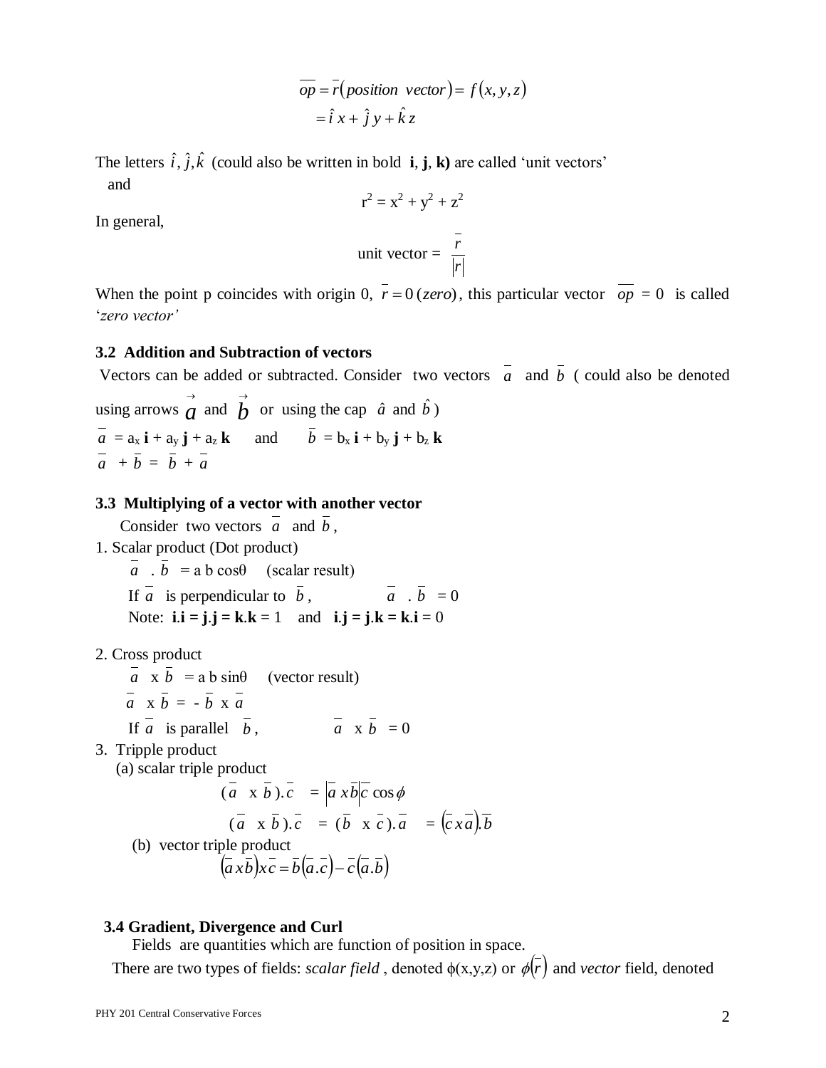$$
\overline{op} = \overline{r}(position \ vector) = f(x, y, z)
$$

$$
= \hat{i} x + \hat{j} y + \hat{k} z
$$

The letters  $\hat{i}$ ,  $\hat{j}$ ,  $\hat{k}$  (could also be written in bold **i**, **j**, **k**) are called 'unit vectors' and

$$
r2 = x2 + y2 + z2
$$
  
unit vector = 
$$
\frac{\overline{r}}{|\overline{r}|}
$$

In general,

When the point p coincides with origin 0,  $r = 0$  (*zero*), this particular vector  $op = 0$  is called '*zero vector'*

#### **3.2 Addition and Subtraction of vectors**

Vectors can be added or subtracted. Consider two vectors  $a$  and  $b$  (could also be denoted using arrows  $\vec{a}$  and  $\vec{b}$  or using the cap  $\hat{a}$  and  $\hat{b}$ )  $a = a_x$  **i** +  $a_y$  **j** +  $a_z$  **k** and  $b = b_x$  **i** +  $b_y$  **j** +  $b_z$  **k**  $a + b = b + a$ 

## **3.3 Multiplying of a vector with another vector**

Consider two vectors a and b,

1. Scalar product (Dot product)

 $\overline{a}$  .  $\overline{b}$  = a b cos $\theta$  (scalar result) If *a* is perpendicular to *b*,  $a \cdot b = 0$ Note:  $\mathbf{i} \cdot \mathbf{i} = \mathbf{j} \cdot \mathbf{j} = \mathbf{k} \cdot \mathbf{k} = 1$  and  $\mathbf{i} \cdot \mathbf{j} = \mathbf{j} \cdot \mathbf{k} = \mathbf{k} \cdot \mathbf{i} = 0$ 

- 2. Cross product
- $a \times b = a b \sin\theta$  (vector result)  $a \times b = -b \times a$ If *a* is parallel *b*,  $a \times b = 0$
- 3. Tripple product

(a) scalar triple product

$$
(\vec{a} \times \vec{b}).\vec{c} = |\vec{a} \times \vec{b}| \vec{c} \cos \phi
$$
  
\n
$$
(\vec{a} \times \vec{b}).\vec{c} = (\vec{b} \times \vec{c}).\vec{a} = (\vec{c} \times \vec{a}).\vec{b}
$$
  
\n(b) vector triple product  
\n
$$
(\vec{a} \times \vec{b}) \times \vec{c} = \vec{b}(\vec{a}.\vec{c}) - \vec{c}(\vec{a}.\vec{b})
$$

## **3.4 Gradient, Divergence and Curl**

Fields are quantities which are function of position in space.

There are two types of fields: *scalar field*, denoted  $\phi(x,y,z)$  or  $\phi(r)$  and *vector* field, denoted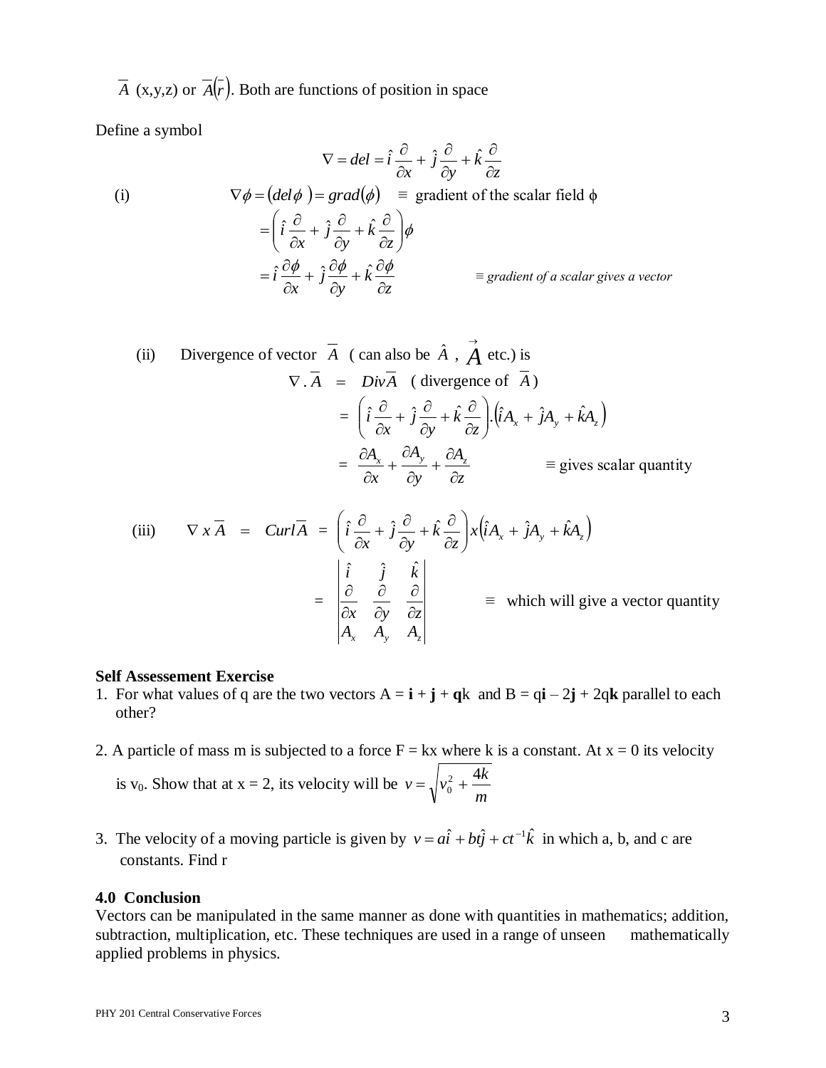*A* (x,y,z) or  $A(r)$ . Both are functions of position in space

Define a symbol

$$
\nabla = del = \hat{i} \frac{\partial}{\partial x} + \hat{j} \frac{\partial}{\partial y} + \hat{k} \frac{\partial}{\partial z}
$$
  
(i) 
$$
\nabla \phi = (del \phi) = grad(\phi) \equiv gradient of the scalar field \phi
$$

$$
= \left( \hat{i} \frac{\partial}{\partial x} + \hat{j} \frac{\partial}{\partial y} + \hat{k} \frac{\partial}{\partial z} \right) \phi
$$

$$
= \hat{i} \frac{\partial \phi}{\partial x} + \hat{j} \frac{\partial \phi}{\partial y} + \hat{k} \frac{\partial \phi}{\partial z} \equiv gradient of a scalar gives a vector
$$

(ii) Divergence of vector 
$$
\overline{A}
$$
 (can also be  $\hat{A}$ ,  $\overrightarrow{A}$  etc.) is  
\n
$$
\nabla \cdot \overline{A} = Div \overline{A}
$$
 (divergence of  $\overline{A}$ )  
\n
$$
= \left( \hat{i} \frac{\partial}{\partial x} + \hat{j} \frac{\partial}{\partial y} + \hat{k} \frac{\partial}{\partial z} \right) \cdot (\hat{i} A_x + \hat{j} A_y + \hat{k} A_z)
$$
\n
$$
= \frac{\partial A_x}{\partial x} + \frac{\partial A_y}{\partial y} + \frac{\partial A_z}{\partial z} \qquad \equiv \text{gives scalar quantity}
$$

(iii) 
$$
\nabla \times \overline{A} = \text{Curl}\overline{A} = \left(\hat{i}\frac{\partial}{\partial x} + \hat{j}\frac{\partial}{\partial y} + \hat{k}\frac{\partial}{\partial z}\right) \times \left(\hat{i}A_x + \hat{j}A_y + \hat{k}A_z\right)
$$

$$
= \begin{vmatrix} \hat{i} & \hat{j} & \hat{k} \\ \frac{\partial}{\partial x} & \frac{\partial}{\partial y} & \frac{\partial}{\partial z} \\ A_x & A_y & A_z \end{vmatrix} \equiv \text{which will give a vector quantity}
$$

#### **Self Assessement Exercise**

- 1. For what values of q are the two vectors  $A = i + j + qk$  and  $B = qi 2j + 2qk$  parallel to each other?
- 2. A particle of mass m is subjected to a force  $F = kx$  where k is a constant. At  $x = 0$  its velocity is  $v_0$ . Show that at  $x = 2$ , its velocity will be *m*  $v = \sqrt{v_0^2 + \frac{4k}{2}}$
- 3. The velocity of a moving particle is given by  $v = a\hat{i} + b t\hat{j} + c t^{-1} \hat{k}$  in which a, b, and c are constants. Find r

## **4.0 Conclusion**

Vectors can be manipulated in the same manner as done with quantities in mathematics; addition, subtraction, multiplication, etc. These techniques are used in a range of unseen mathematically applied problems in physics.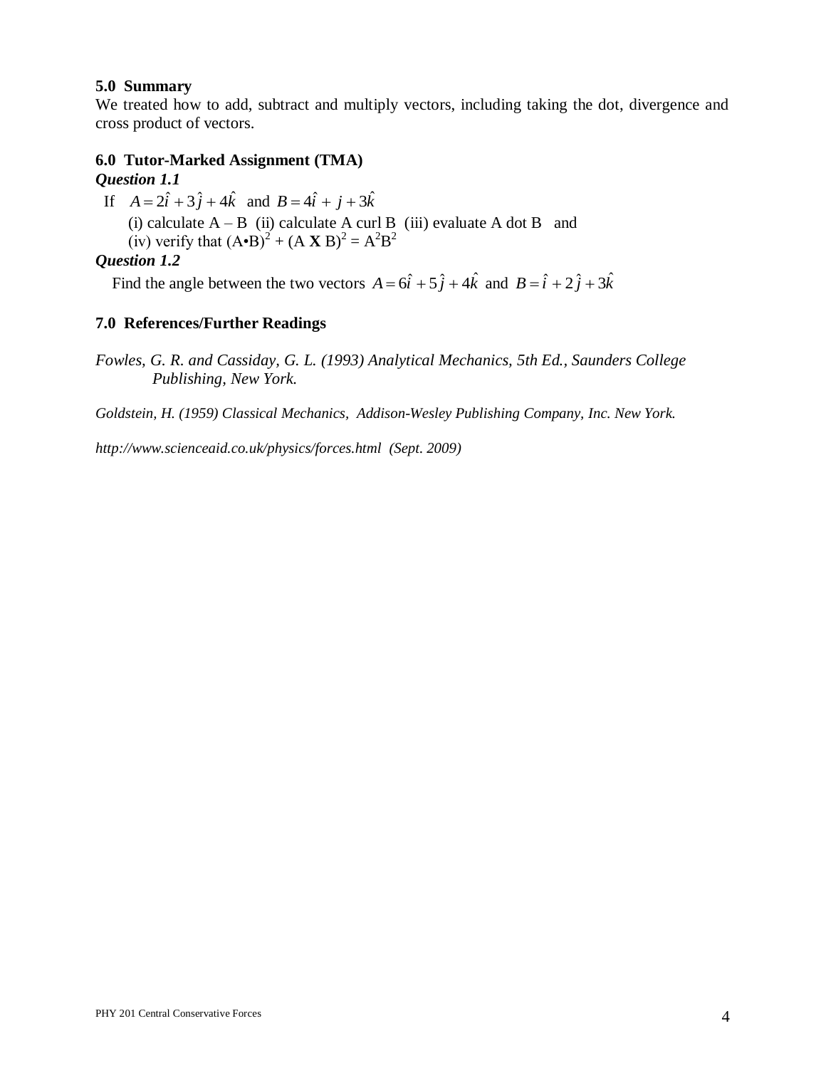## **5.0 Summary**

We treated how to add, subtract and multiply vectors, including taking the dot, divergence and cross product of vectors.

## **6.0 Tutor-Marked Assignment (TMA)** *Question 1.1*

If  $A = 2\hat{i} + 3\hat{j} + 4\hat{k}$  and  $B = 4\hat{i} + \hat{j} + 3\hat{k}$ 

(i) calculate  $A - B$  (ii) calculate A curl B (iii) evaluate A dot B and

(iv) verify that  $(A \cdot B)^2 + (A \times B)^2 = A^2 B^2$ 

## *Question 1.2*

Find the angle between the two vectors  $A = 6\hat{i} + 5\hat{j} + 4\hat{k}$  and  $B = \hat{i} + 2\hat{j} + 3\hat{k}$ 

## **7.0 References/Further Readings**

*Fowles, G. R. and Cassiday, G. L. (1993) Analytical Mechanics, 5th Ed., Saunders College Publishing, New York.*

*Goldstein, H. (1959) Classical Mechanics, Addison-Wesley Publishing Company, Inc. New York.*

*http://www.scienceaid.co.uk/physics/forces.html (Sept. 2009)*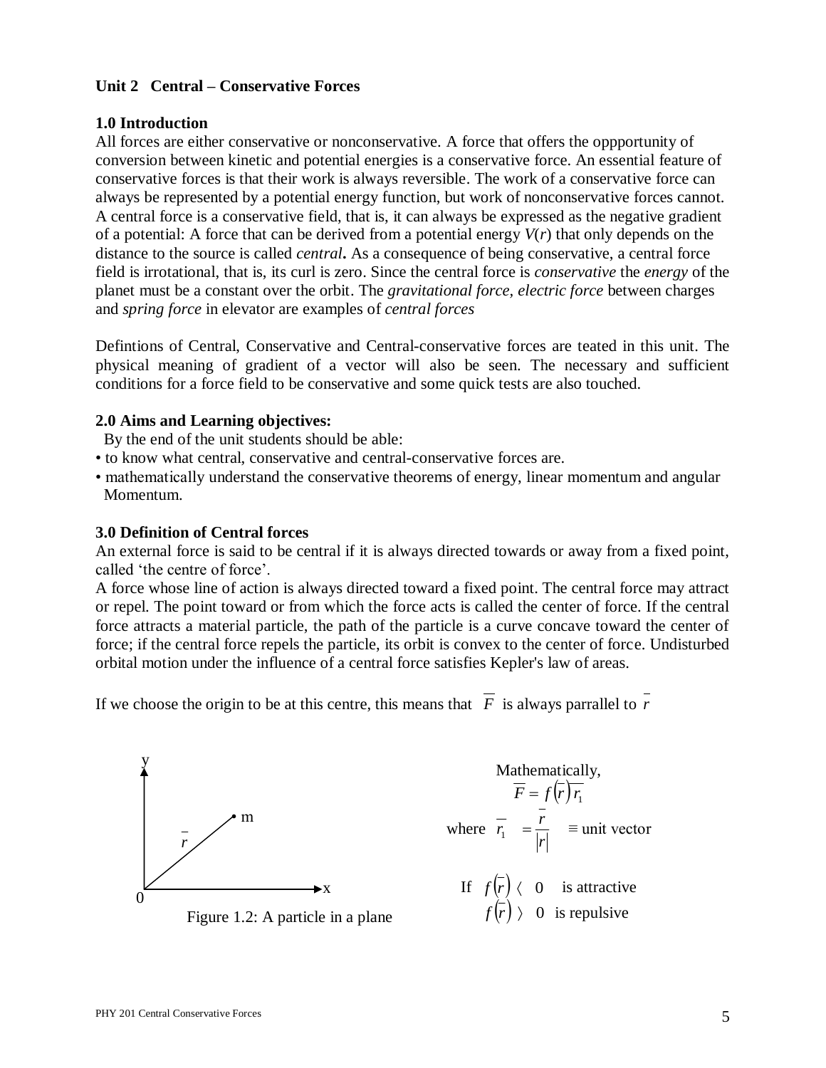## **Unit 2 Central – Conservative Forces**

## **1.0 Introduction**

All forces are either conservative or nonconservative. A force that offers the oppportunity of conversion between kinetic and potential energies is a conservative force. An essential feature of conservative forces is that their work is always reversible. The work of a conservative force can always be represented by a potential energy function, but work of nonconservative forces cannot. A central force is a conservative field, that is, it can always be expressed as the negative gradient of a potential: A force that can be derived from a potential energy *V*(*r*) that only depends on the distance to the source is called *central***.** As a consequence of being conservative, a central force field is irrotational, that is, its curl is zero. Since the central force is *conservative* the *energy* of the planet must be a constant over the orbit. The *gravitational force, electric force* between charges and *spring force* in elevator are examples of *central forces*

Defintions of Central, Conservative and Central-conservative forces are teated in this unit. The physical meaning of gradient of a vector will also be seen. The necessary and sufficient conditions for a force field to be conservative and some quick tests are also touched.

## **2.0 Aims and Learning objectives:**

By the end of the unit students should be able:

- to know what central, conservative and central-conservative forces are.
- mathematically understand the conservative theorems of energy, linear momentum and angular Momentum.

#### **3.0 Definition of Central forces**

An external force is said to be central if it is always directed towards or away from a fixed point, called 'the centre of force'.

A force whose line of action is always directed toward a fixed point. The central force may attract or repel. The point toward or from which the force acts is called the center of force. If the central force attracts a material particle, the path of the particle is a curve concave toward the center of force; if the central force repels the particle, its orbit is convex to the center of force. Undisturbed orbital motion under the influence of a central force satisfies Kepler's law of areas.

If we choose the origin to be at this centre, this means that  $F$  is always parrallel to  $r$ 

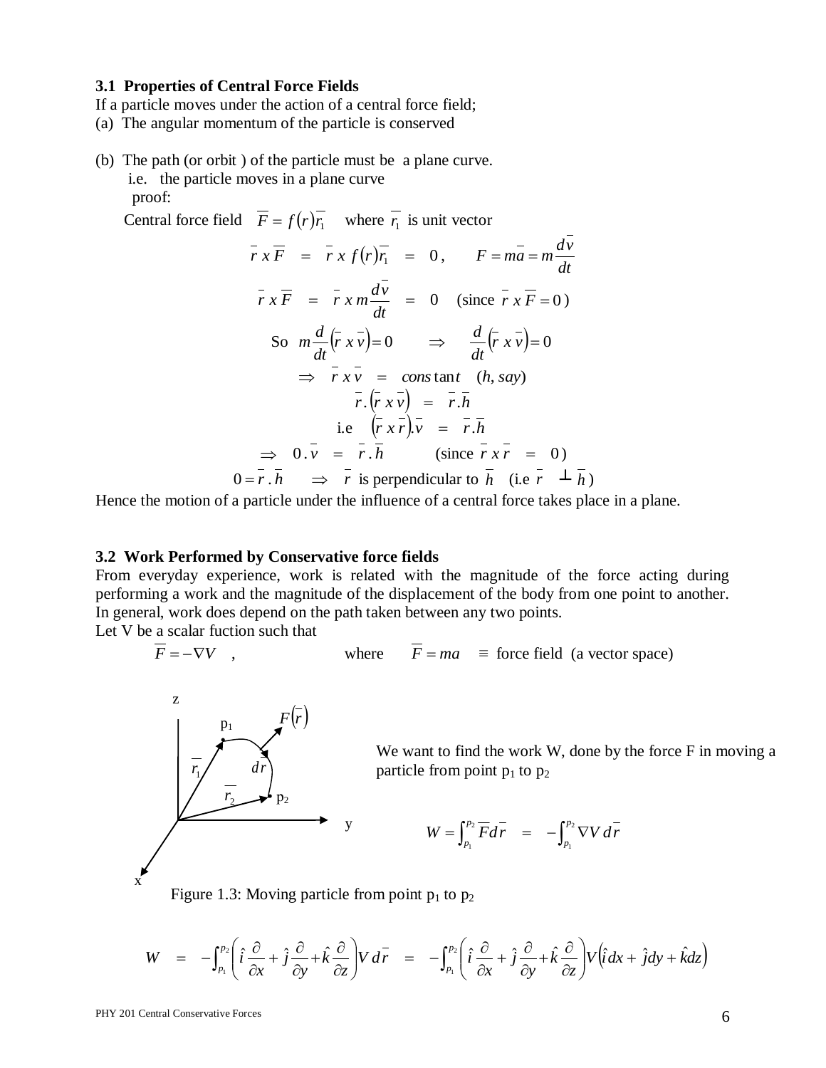#### **3.1 Properties of Central Force Fields**

- If a particle moves under the action of a central force field;
- (a) The angular momentum of the particle is conserved
- (b) The path (or orbit ) of the particle must be a plane curve. i.e. the particle moves in a plane curve proof:

Central force field  $F = f(r)r_1$  where  $r_1$  is unit vector

$$
\overline{r} \times \overline{F} = \overline{r} \times f(r) \overline{r_1} = 0, \quad F = m\overline{a} = m\frac{dv}{dt}
$$
  

$$
\overline{r} \times \overline{F} = \overline{r} \times m\frac{d\overline{v}}{dt} = 0 \quad \text{(since } \overline{r} \times \overline{F} = 0)
$$
  
So  $m\frac{d}{dt}(\overline{r} \times \overline{v}) = 0 \implies \frac{d}{dt}(\overline{r} \times \overline{v}) = 0$   
 $\implies \overline{r} \times \overline{v} = \text{const} \text{ and } (h, \text{ say})$   
 $\overline{r}.(\overline{r} \times \overline{v}) = \overline{r} \cdot \overline{h}$   
i.e  $(\overline{r} \times \overline{r}) \cdot \overline{v} = \overline{r} \cdot \overline{h}$   
 $\implies 0 \cdot \overline{v} = \overline{r} \cdot \overline{h} \quad \text{(since } \overline{r} \times \overline{r} = 0)$   
 $0 = \overline{r} \cdot \overline{h} \implies \overline{r} \text{ is perpendicular to } \overline{h} \quad \text{(i.e } \overline{r} \perp \overline{h})$ 

Hence the motion of a particle under the influence of a central force takes place in a plane.

#### **3.2 Work Performed by Conservative force fields**

From everyday experience, work is related with the magnitude of the force acting during performing a work and the magnitude of the displacement of the body from one point to another. In general, work does depend on the path taken between any two points.

Let V be a scalar fuction such that

$$
\overline{F} = -\nabla V \quad , \qquad \qquad \text{where} \qquad \overline{F} = ma \quad \equiv \text{ force field (a vector space)}
$$



We want to find the work W, done by the force F in moving a particle from point  $p_1$  to  $p_2$ 

$$
W = \int_{p_1}^{p_2} \overline{F} d\overline{r} = -\int_{p_1}^{p_2} \nabla V d\overline{r}
$$

Figure 1.3: Moving particle from point  $p_1$  to  $p_2$ 

$$
W = -\int_{p_1}^{p_2} \left( \hat{i} \frac{\partial}{\partial x} + \hat{j} \frac{\partial}{\partial y} + \hat{k} \frac{\partial}{\partial z} \right) V d\vec{r} = -\int_{p_1}^{p_2} \left( \hat{i} \frac{\partial}{\partial x} + \hat{j} \frac{\partial}{\partial y} + \hat{k} \frac{\partial}{\partial z} \right) V (\hat{i} dx + \hat{j} dy + \hat{k} dz)
$$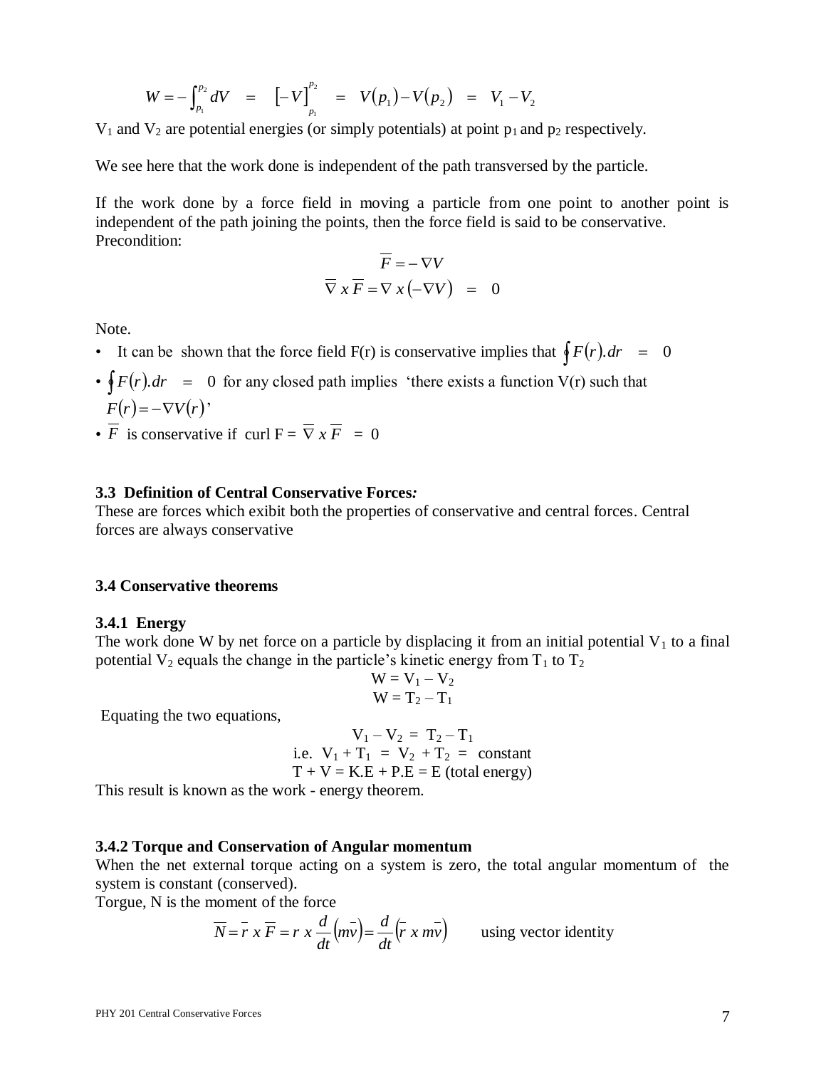$$
W = -\int_{p_1}^{p_2} dV = \left[ -V \right]_{p_1}^{p_2} = V(p_1) - V(p_2) = V_1 - V_2
$$

 $V_1$  and  $V_2$  are potential energies (or simply potentials) at point  $p_1$  and  $p_2$  respectively.

We see here that the work done is independent of the path transversed by the particle.

If the work done by a force field in moving a particle from one point to another point is independent of the path joining the points, then the force field is said to be conservative. Precondition:

$$
\overline{F} = -\nabla V
$$
  

$$
\overline{\nabla} x \overline{F} = \nabla x (-\nabla V) = 0
$$

Note.

- It can be shown that the force field  $F(r)$  is conservative implies that  $\oint F(r) dr = 0$
- $\oint F(r) dr = 0$  for any closed path implies 'there exists a function V(r) such that  $F(r) = -\nabla V(r)$ <sup>\*</sup>
- *F* is conservative if curl  $F = \nabla x F = 0$

#### **3.3 Definition of Central Conservative Forces***:*

These are forces which exibit both the properties of conservative and central forces. Central forces are always conservative

#### **3.4 Conservative theorems**

#### **3.4.1 Energy**

The work done W by net force on a particle by displacing it from an initial potential  $V_1$  to a final potential  $V_2$  equals the change in the particle's kinetic energy from  $T_1$  to  $T_2$ 

$$
W = V_1 - V_2
$$
  

$$
W = T_2 - T_1
$$

Equating the two equations,

$$
V_1 - V_2 = T_2 - T_1
$$
  
i.e. 
$$
V_1 + T_1 = V_2 + T_2 = constant
$$

$$
T + V = K.E + P.E = E (total energy)
$$

This result is known as the work - energy theorem.

#### **3.4.2 Torque and Conservation of Angular momentum**

When the net external torque acting on a system is zero, the total angular momentum of the system is constant (conserved).

Torgue, N is the moment of the force

$$
\overline{N} = \overline{r} x \overline{F} = r x \frac{d}{dt} (m\overline{v}) = \frac{d}{dt} (\overline{r} x m\overline{v})
$$
 using vector identity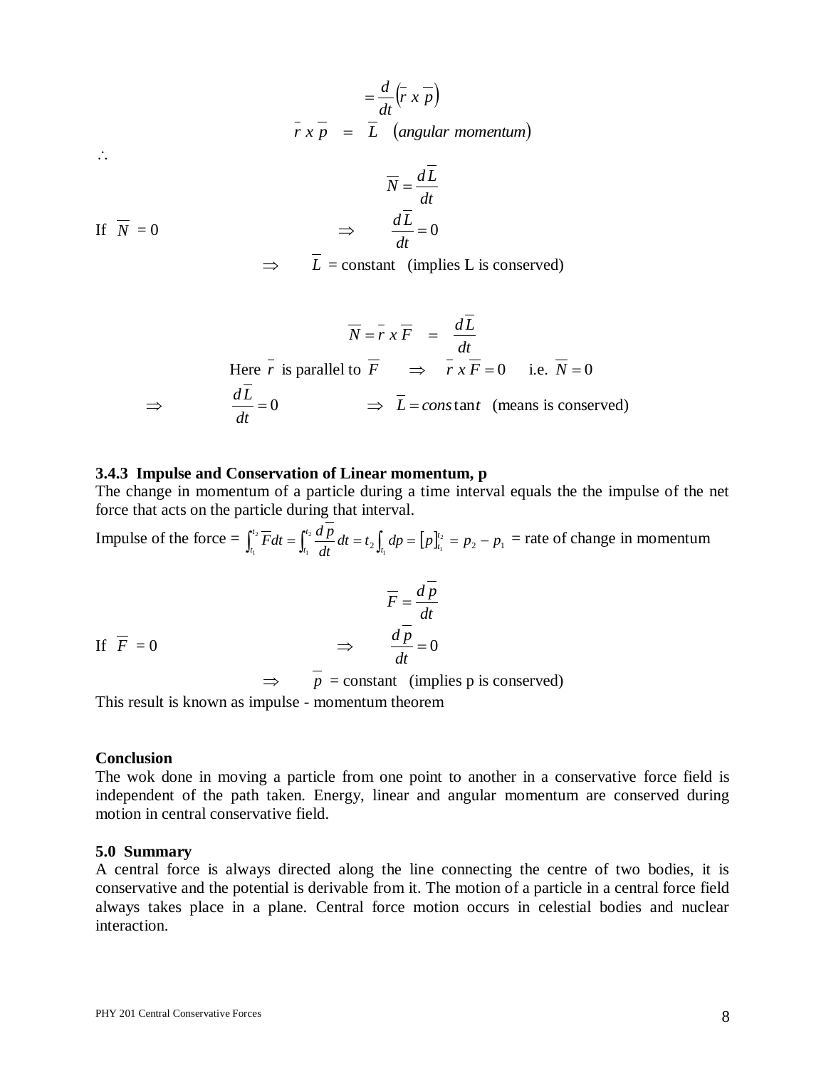$$
= \frac{d}{dt} (\overline{r} \times \overline{p})
$$
  

$$
\overline{r} \times \overline{p} = \overline{L} \quad (angular momentum)
$$

 $\overline{N} = \frac{dL}{L}$ 

$$
\mathcal{L}_{\bullet}
$$

If 
$$
\overline{N} = 0
$$
  $\Rightarrow$   $\frac{d\overline{L}}{dt} = 0$ 

 $\Rightarrow$  $L =$  constant (implies L is conserved)

$$
\overline{N} = \overline{r} x \overline{F} = \frac{dL}{dt}
$$

Here 
$$
\overline{r}
$$
 is parallel to  $\overline{F}$   $\implies$   $\overline{r} x \overline{F} = 0$  i.e.  $\overline{N} = 0$   
\n $\implies$   $\frac{d\overline{L}}{dt} = 0$   $\implies \overline{L} = constant$  (means is conserved)

#### **3.4.3 Impulse and Conservation of Linear momentum, p**

The change in momentum of a particle during a time interval equals the the impulse of the net force that acts on the particle during that interval.

Impulse of the force  $= \int_{0}^{t_2} \overline{F} dt = \int_{0}^{t_2} \frac{dP}{dt} dt = t_2 \int_{0}^{t_2} dp = [p]_{t_1}^{t_2} = p_2 - p_1$ 1 2  $\frac{1}{1}$  dt  $\frac{1}{1}$ 2  $\int_{t_1}^{t_2} F dt = \int_{t_1}^{t_2} \frac{dP}{dt} dt = t_2 \int_{t_1}^t dp = \left[ p \right]_{t_1}^{t_2} = p_2 - p_1$ *dt*  $\overline{F}dt = \int_{t_1}^{t_2} \frac{dp}{dt} dt = t_2 \int_{t_1}^t dp = \left[p\right]_t^t$ *t*  $t_1$  dt  $\overline{t}$   $\overline{t}$ *t*  $\int_{t_1}^{t_2} \overline{F} dt = \int_{t_1}^{t_2} \frac{dP}{dt} dt = t_2 \int_{t_1}^{t_2} dp = [p]_{t_1}^{t_2} = p_2 - p_1$  = rate of change in momentum

$$
\overline{F} = \frac{d\overline{p}}{dt}
$$
  
If  $\overline{F} = 0$   $\implies$   $\frac{d\overline{p}}{dt} = 0$   
 $\implies \overline{p} = \text{constant}$  (implies p is conserved)

This result is known as impulse - momentum theorem

#### **Conclusion**

The wok done in moving a particle from one point to another in a conservative force field is independent of the path taken. Energy, linear and angular momentum are conserved during motion in central conservative field.

#### **5.0 Summary**

A central force is always directed along the line connecting the centre of two bodies, it is conservative and the potential is derivable from it. The motion of a particle in a central force field always takes place in a plane. Central force motion occurs in celestial bodies and nuclear interaction.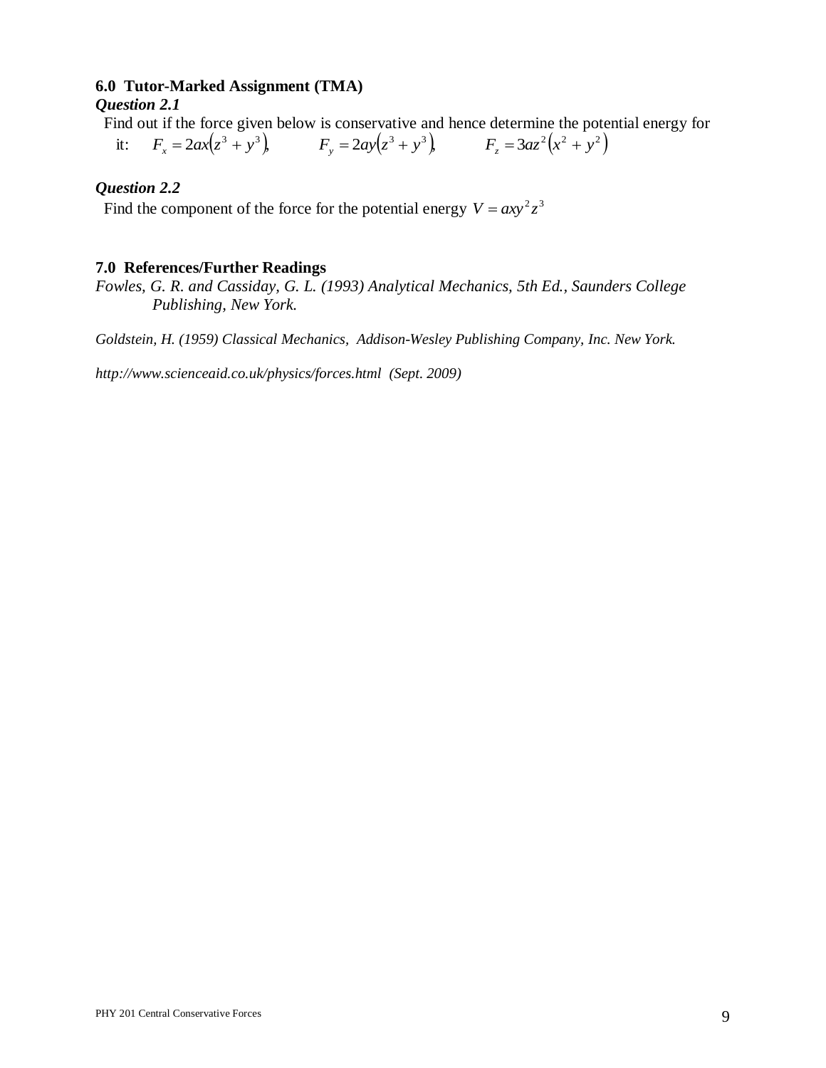## **6.0 Tutor-Marked Assignment (TMA)**

## *Question 2.1*

Find out if the force given below is conservative and hence determine the potential energy for

 it:  $F_x = 2ax(z^3 + y^3)$   $F_y = 2ay(z^3 + y^3)$   $F_z = 3az^2(x^2 + y^2)$ 

## *Question 2.2*

Find the component of the force for the potential energy  $V = axy^2z^3$ 

## **7.0 References/Further Readings**

*Fowles, G. R. and Cassiday, G. L. (1993) Analytical Mechanics, 5th Ed., Saunders College Publishing, New York.*

*Goldstein, H. (1959) Classical Mechanics, Addison-Wesley Publishing Company, Inc. New York.*

*http://www.scienceaid.co.uk/physics/forces.html (Sept. 2009)*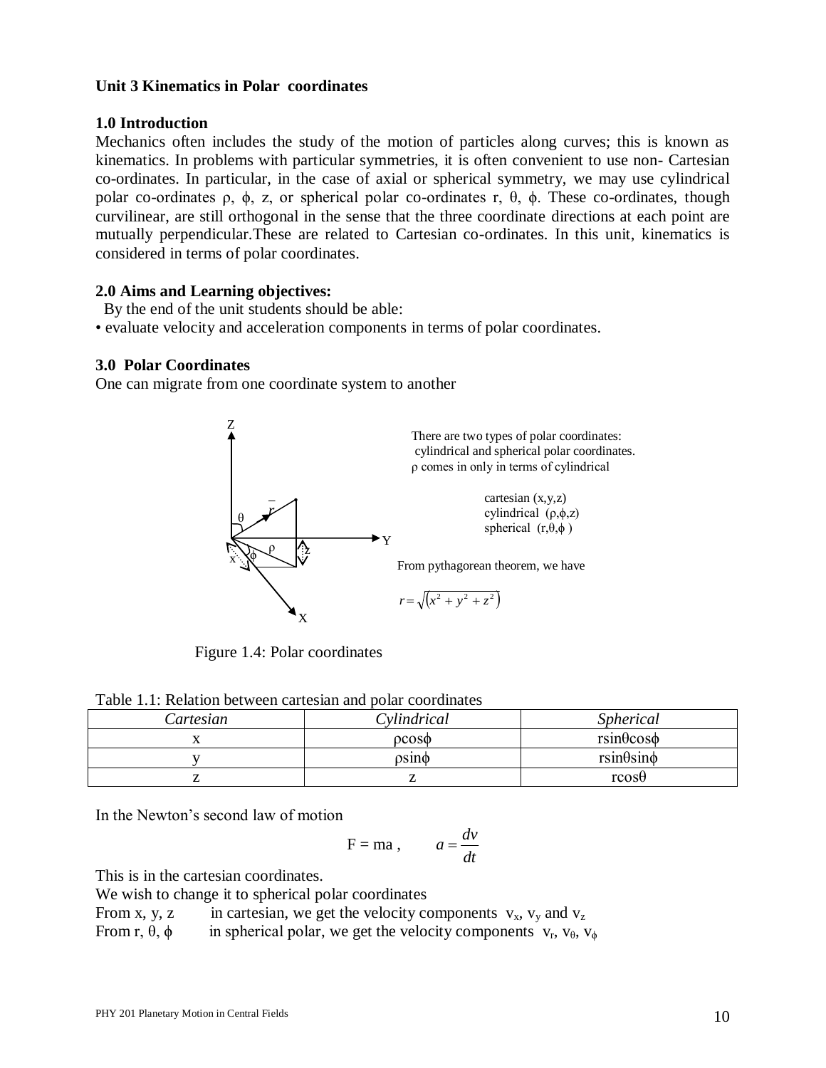## **Unit 3 Kinematics in Polar coordinates**

## **1.0 Introduction**

Mechanics often includes the study of the motion of particles along curves; this is known as kinematics. In problems with particular symmetries, it is often convenient to use non- Cartesian co-ordinates. In particular, in the case of axial or spherical symmetry, we may use cylindrical polar co-ordinates ρ, φ, z, or spherical polar co-ordinates r,  $θ$ ,  $φ$ . These co-ordinates, though curvilinear, are still orthogonal in the sense that the three coordinate directions at each point are mutually perpendicular.These are related to Cartesian co-ordinates. In this unit, kinematics is considered in terms of polar coordinates.

## **2.0 Aims and Learning objectives:**

- By the end of the unit students should be able:
- evaluate velocity and acceleration components in terms of polar coordinates.

## **3.0 Polar Coordinates**

One can migrate from one coordinate system to another



Figure 1.4: Polar coordinates

|  |  |  | Table 1.1: Relation between cartesian and polar coordinates |
|--|--|--|-------------------------------------------------------------|
|  |  |  |                                                             |

| Cartesian | Cylindrical       | <i>Spherical</i>     |  |  |  |
|-----------|-------------------|----------------------|--|--|--|
|           | $0 \cos \phi$     | $rsin\theta cos\phi$ |  |  |  |
|           | $\rho$ sin $\phi$ | $rsin\theta sin\phi$ |  |  |  |
|           |                   | $r\cos\theta$        |  |  |  |

In the Newton's second law of motion

$$
F = ma , \t a = \frac{dv}{dt}
$$

This is in the cartesian coordinates.

We wish to change it to spherical polar coordinates

From x, y, z in cartesian, we get the velocity components  $v_x$ ,  $v_y$  and  $v_z$ 

From r,  $\theta$ ,  $\phi$  in spherical polar, we get the velocity components  $v_r$ ,  $v_{\theta}$ ,  $v_{\phi}$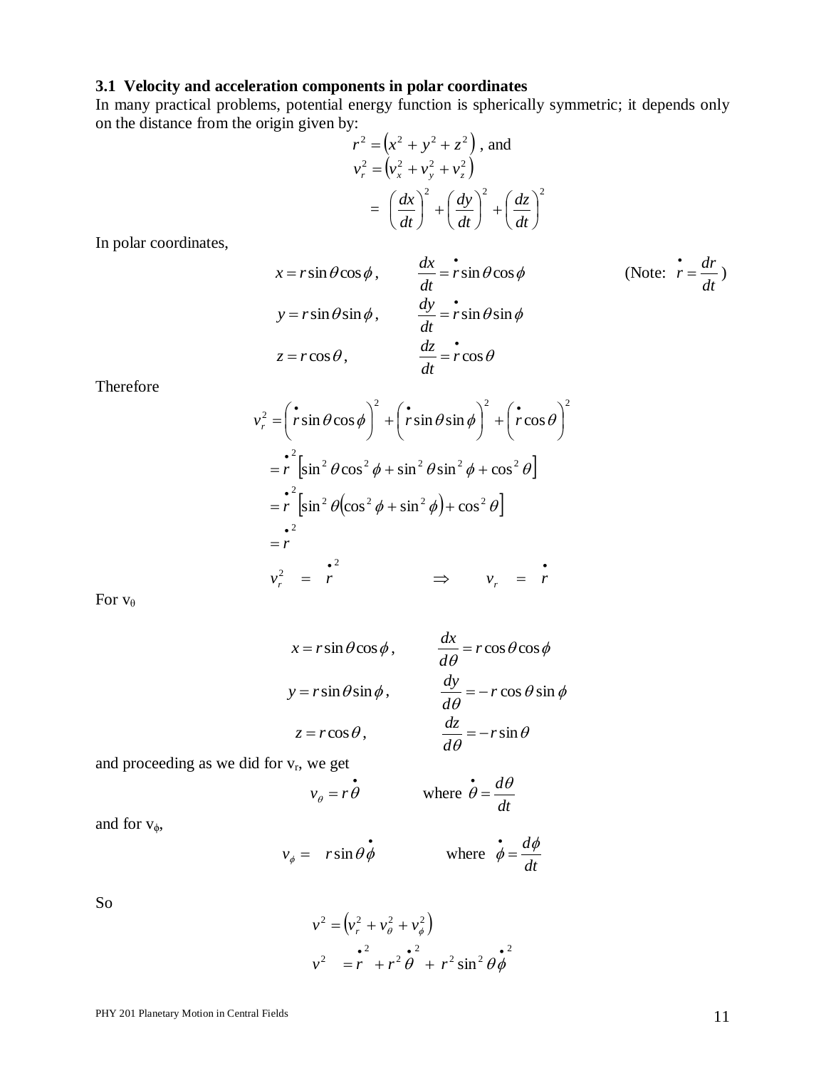## **3.1 Velocity and acceleration components in polar coordinates**

In many practical problems, potential energy function is spherically symmetric; it depends only on the distance from the origin given by:  $\mathbb{R}^2$ 

$$
r2 = (x2 + y2 + z2)
$$
, and  

$$
vr2 = (vx2 + vy2 + vz2)
$$

$$
= \left(\frac{dx}{dt}\right)^{2} + \left(\frac{dy}{dt}\right)^{2} + \left(\frac{dz}{dt}\right)^{2}
$$

In polar coordinates,

$$
x = r \sin \theta \cos \phi, \qquad \frac{dx}{dt} = r \sin \theta \cos \phi \qquad \qquad \text{(Note: } \dot{r} = \frac{dr}{dt})
$$
\n
$$
y = r \sin \theta \sin \phi, \qquad \frac{dy}{dt} = r \sin \theta \sin \phi
$$
\n
$$
z = r \cos \theta, \qquad \frac{dz}{dt} = r \cos \theta
$$

Therefore

$$
v_r^2 = \left(\dot{r}\sin\theta\cos\phi\right)^2 + \left(\dot{r}\sin\theta\sin\phi\right)^2 + \left(\dot{r}\cos\theta\right)^2
$$
  
=  $\dot{r}^2 \left[\sin^2\theta\cos^2\phi + \sin^2\theta\sin^2\phi + \cos^2\theta\right]$   
=  $\dot{r}^2 \left[\sin^2\theta\left(\cos^2\phi + \sin^2\phi\right) + \cos^2\theta\right]$   
=  $\dot{r}^2$   
=  $\dot{r}$   
 $v_r^2 = \dot{r}$   
 $v_r^2 = \dot{r}$ 

For  $v_\theta$ 

$$
x = r \sin \theta \cos \phi, \qquad \frac{dx}{d\theta} = r \cos \theta \cos \phi
$$
  

$$
y = r \sin \theta \sin \phi, \qquad \frac{dy}{d\theta} = -r \cos \theta \sin \phi
$$
  

$$
z = r \cos \theta, \qquad \frac{dz}{d\theta} = -r \sin \theta
$$

and proceeding as we did for  $v_r$ , we get

$$
v_{\theta} = r \dot{\theta}
$$
 where  $\dot{\theta} = \frac{d\theta}{dt}$ 

and for  $v_{\phi}$ ,

$$
v_{\phi} = r \sin \theta \dot{\phi}
$$
 where  $\dot{\phi} = \frac{d\phi}{dt}$ 

So

$$
v^{2} = (v_{r}^{2} + v_{\theta}^{2} + v_{\phi}^{2})
$$
  

$$
v^{2} = r^{2} + r^{2} \theta^{2} + r^{2} \sin^{2} \theta \phi^{2}
$$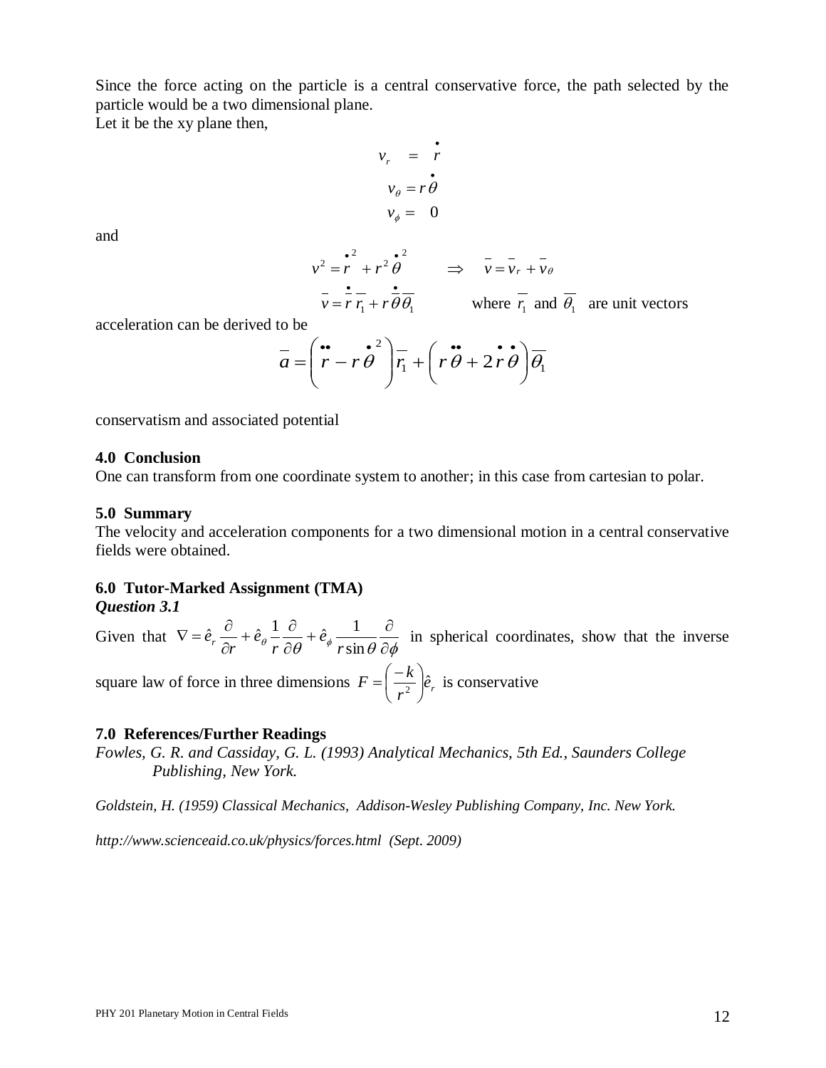Since the force acting on the particle is a central conservative force, the path selected by the particle would be a two dimensional plane.

 $\bullet$ 

Let it be the xy plane then,

$$
v_r = r
$$
  

$$
v_{\theta} = r \theta
$$
  

$$
v_{\phi} = 0
$$

and

$$
v^{2} = r^{2} + r^{2} \dot{\theta}^{2} \implies \bar{v} = \bar{v}_{r} + \bar{v}_{\theta}
$$
  
\n
$$
v = r r_{1} + r \dot{\theta} \theta_{1}
$$
 where  $r_{1}$  and  $\theta_{1}$  are unit vectors

acceleration can be derived to be

$$
\overline{a} = \left(\stackrel{\bullet}{r} - r\stackrel{\bullet}{\theta}^2\right)\overline{r_1} + \left(r\stackrel{\bullet}{\theta} + 2\stackrel{\bullet}{r}\stackrel{\bullet}{\theta}\right)\overline{\theta_1}
$$

conservatism and associated potential

#### **4.0 Conclusion**

One can transform from one coordinate system to another; in this case from cartesian to polar.

#### **5.0 Summary**

The velocity and acceleration components for a two dimensional motion in a central conservative fields were obtained.

## **6.0 Tutor-Marked Assignment (TMA)**

*Question 3.1*

Given that  $\theta$  r  $\partial \theta$   $\theta$  rsin $\theta$   $\partial \phi$  $+\hat{e}_4 \frac{1}{\cdots} \frac{\partial}{\partial x}$  $\partial$  $+\hat{e}_\theta \frac{1}{\theta} - \frac{\partial}{\partial x}$  $\partial$  $\nabla = \hat{e}_r \frac{\partial}{\partial r}$ sin  $\hat{e}_r \frac{\partial}{\partial r} + \hat{e}_\theta \frac{1}{r} \frac{\partial}{\partial r} + \hat{e}_\phi \frac{1}{r}$ *r e r e*  $\hat{e}_r \frac{\partial}{\partial r} + \hat{e}_{\theta} \frac{\partial}{r} \frac{\partial}{\partial \theta} + \hat{e}_{\phi} \frac{\partial}{r \sin \theta} \frac{\partial}{\partial \phi}$  in spherical coordinates, show that the inverse square law of force in three dimensions  $F = \frac{\kappa}{2} \hat{e}_r$ *r*  $F = \left(\frac{-k}{r^2}\right)\hat{e}$ J  $\left(\frac{-k}{2}\right)$  $\setminus$  $=\left(\frac{-k}{2}\right)\hat{e}_r$  is conservative

## **7.0 References/Further Readings**

*Fowles, G. R. and Cassiday, G. L. (1993) Analytical Mechanics, 5th Ed., Saunders College Publishing, New York.*

*Goldstein, H. (1959) Classical Mechanics, Addison-Wesley Publishing Company, Inc. New York.*

*http://www.scienceaid.co.uk/physics/forces.html (Sept. 2009)*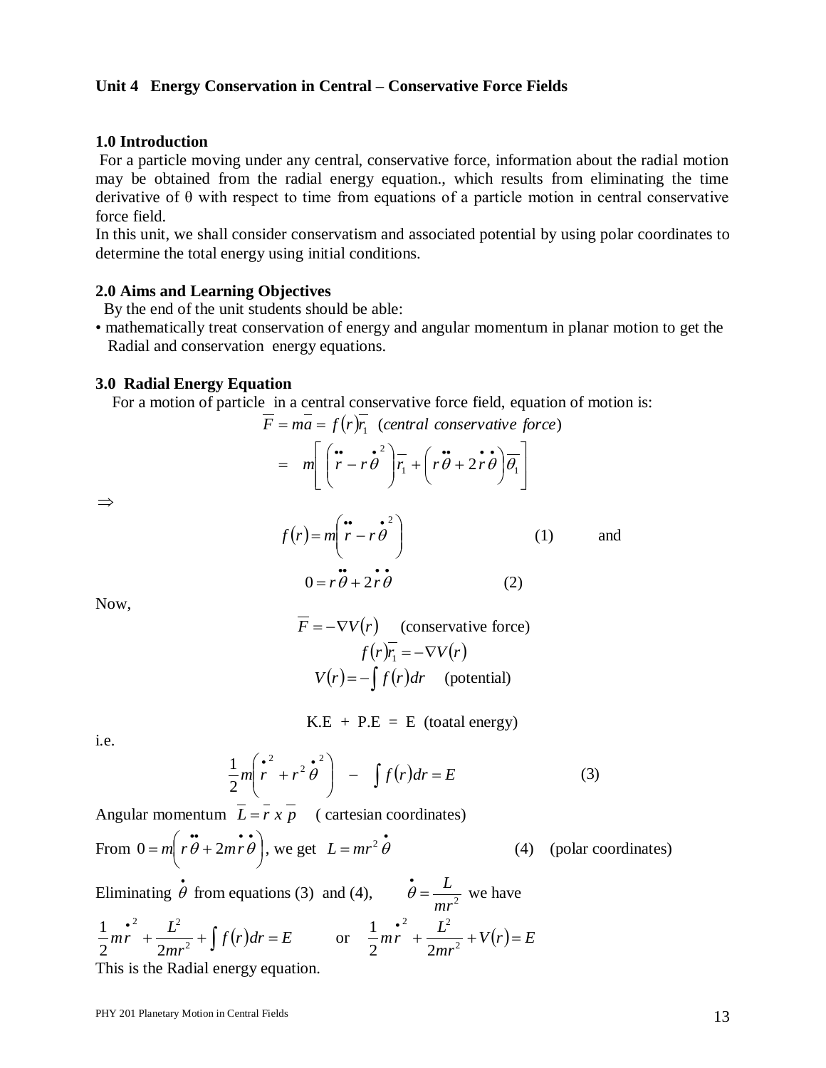## **Unit 4 Energy Conservation in Central – Conservative Force Fields**

#### **1.0 Introduction**

For a particle moving under any central, conservative force, information about the radial motion may be obtained from the radial energy equation., which results from eliminating the time derivative of θ with respect to time from equations of a particle motion in central conservative force field.

In this unit, we shall consider conservatism and associated potential by using polar coordinates to determine the total energy using initial conditions.

#### **2.0 Aims and Learning Objectives**

By the end of the unit students should be able:

• mathematically treat conservation of energy and angular momentum in planar motion to get the Radial and conservation energy equations.

#### **3.0 Radial Energy Equation**

For a motion of particle in a central conservative force field, equation of motion is:<br> $\overline{F} = m\overline{a} = f(r)\overline{r_1}$  *(central conservative force)* 

$$
\overline{F} = m\overline{a} = f(r)\overline{r_1} \text{ (central conservative force)}
$$

$$
= m\left[\left(\stackrel{\bullet}{r} - r\stackrel{\bullet}{\theta}^2\right)\overline{r_1} + \left(r\stackrel{\bullet}{\theta} + 2\stackrel{\bullet}{r}\stackrel{\bullet}{\theta}\right)\overline{\theta_1}\right]
$$

 $\Rightarrow$ 

$$
f(r) = m \left( \begin{array}{cc} \cdots & \cdots & \cdots \\ r - r \theta & \cdots & \cdots \\ 0 & r \theta + 2r \theta & (2) \end{array} \right)
$$
 (1) and

Now,

$$
F = -\nabla V(r)
$$
 (conservative force)  

$$
f(r)\overline{r_1} = -\nabla V(r)
$$
  

$$
V(r) = -\int f(r)dr
$$
 (potential)

$$
K.E + P.E = E (total energy)
$$

i.e.

$$
\frac{1}{2}m\left(\stackrel{\bullet}{r}^{2}+r^{2}\stackrel{\bullet}{\theta}^{2}\right) - \int f(r)dr = E
$$
\n(3)

Angular momentum  $L = r x p$  (cartesian coordinates)

From 
$$
0 = m \left( r \ddot{\theta} + 2mr \dot{\theta} \right)
$$
, we get  $L = mr^2 \dot{\theta}$  (4) (polar coordinates)

Eliminating  $\dot{\theta}$  $\theta$  from equations (3) and (4),  $\theta = \frac{E}{mr^2}$  $\dot{\theta} = \frac{L}{2}$  $\theta = \frac{E}{\lambda}$  we have  $f^{2}$  +  $\frac{L^{2}}{2mr^{2}}$  +  $\int f(r)dr = E$ *mr*  $\frac{e^2}{mr} + \frac{L^2}{2mr^2}$ 2  $\mathbf{r}^2$  $2^{n+1}$  2  $\frac{1}{2}mr^{2} + \frac{L^{2}}{2} + \int f(r)dr = E$  or  $\frac{1}{2}mr^{2} + \frac{L^{2}}{2} + V(r) = E$ *mr*  $\int_{m}^{2} + \frac{L^2}{2} + V(r) =$ 2 2  $\mathbf{r}^2$  $2^{n+1}$  2 1

This is the Radial energy equation.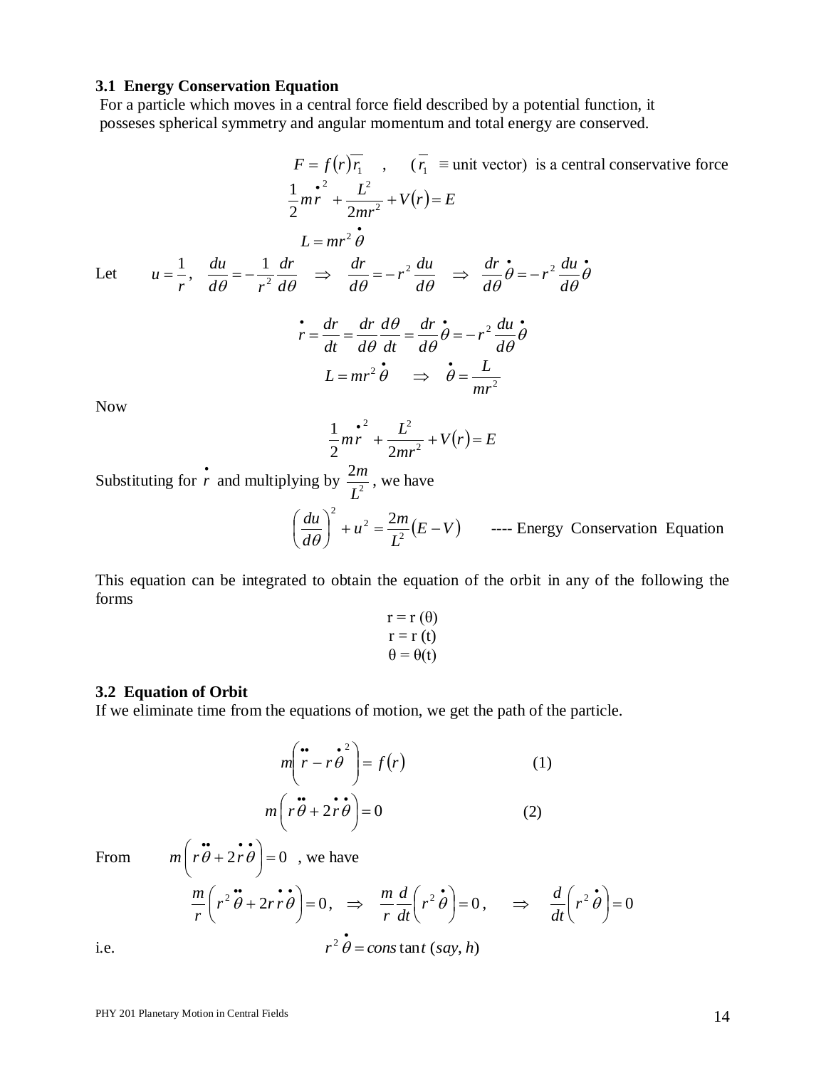#### **3.1 Energy Conservation Equation**

For a particle which moves in a central force field described by a potential function, it posseses spherical symmetry and angular momentum and total energy are conserved.

$$
F = f(r)\overline{r_1}, \qquad (\overline{r_1} \equiv \text{unit vector}) \text{ is a central conservative force}
$$
\n
$$
\frac{1}{2}m\overline{r} + \frac{L^2}{2mr^2} + V(r) = E
$$
\n
$$
L = mr^2 \overrightarrow{\theta}
$$
\nLet  $u = \frac{1}{r}, \qquad \frac{du}{d\theta} = -\frac{1}{r^2} \frac{dr}{d\theta} \implies \frac{dr}{d\theta} = -r^2 \frac{du}{d\theta} \implies \frac{dr}{d\theta} \dot{\theta} = -r^2 \frac{du}{d\theta} \dot{\theta}$ \n
$$
\dot{r} = \frac{dr}{dt} = \frac{dr}{d\theta} \frac{d\theta}{dt} = \frac{dr}{d\theta} \dot{\theta} = -r^2 \frac{du}{d\theta} \dot{\theta}
$$
\n
$$
L = mr^2 \dot{\theta} \implies \dot{\theta} = \frac{L}{mr^2}
$$
\nNow

$$
\frac{1}{2}mr^{2} + \frac{L^{2}}{2mr^{2}} + V(r) = E
$$

Substituting for  $\dot{r}$  and multiplying by  $\frac{2n}{l^2}$ 2 *L*  $\frac{m}{2}$ , we have

$$
\left(\frac{du}{d\theta}\right)^2 + u^2 = \frac{2m}{L^2}(E - V) \qquad \text{--- Energy Conservation Equation}
$$

This equation can be integrated to obtain the equation of the orbit in any of the following the forms

$$
r = r(\theta)
$$
  
\n
$$
r = r(t)
$$
  
\n
$$
\theta = \theta(t)
$$

#### **3.2 Equation of Orbit**

If we eliminate time from the equations of motion, we get the path of the particle.

$$
m\left(\stackrel{\bullet}{r} - r\stackrel{\bullet}{\theta}^2\right) = f(r) \tag{1}
$$

$$
m\left(r\stackrel{\bullet}{\theta} + 2r\stackrel{\bullet}{\theta}\right) = 0 \tag{2}
$$

From

From 
$$
m\left(r\ddot{\theta} + 2r\dot{\theta}\right) = 0
$$
, we have  
\n
$$
\frac{m}{r}\left(r^2\ddot{\theta} + 2r\dot{r}\dot{\theta}\right) = 0, \implies \frac{m}{r}\frac{d}{dt}\left(r^2\dot{\theta}\right) = 0, \implies \frac{d}{dt}\left(r^2\dot{\theta}\right) = 0
$$
\ni.e.  $r^2\dot{\theta} = \text{const}$  and  $(say, h)$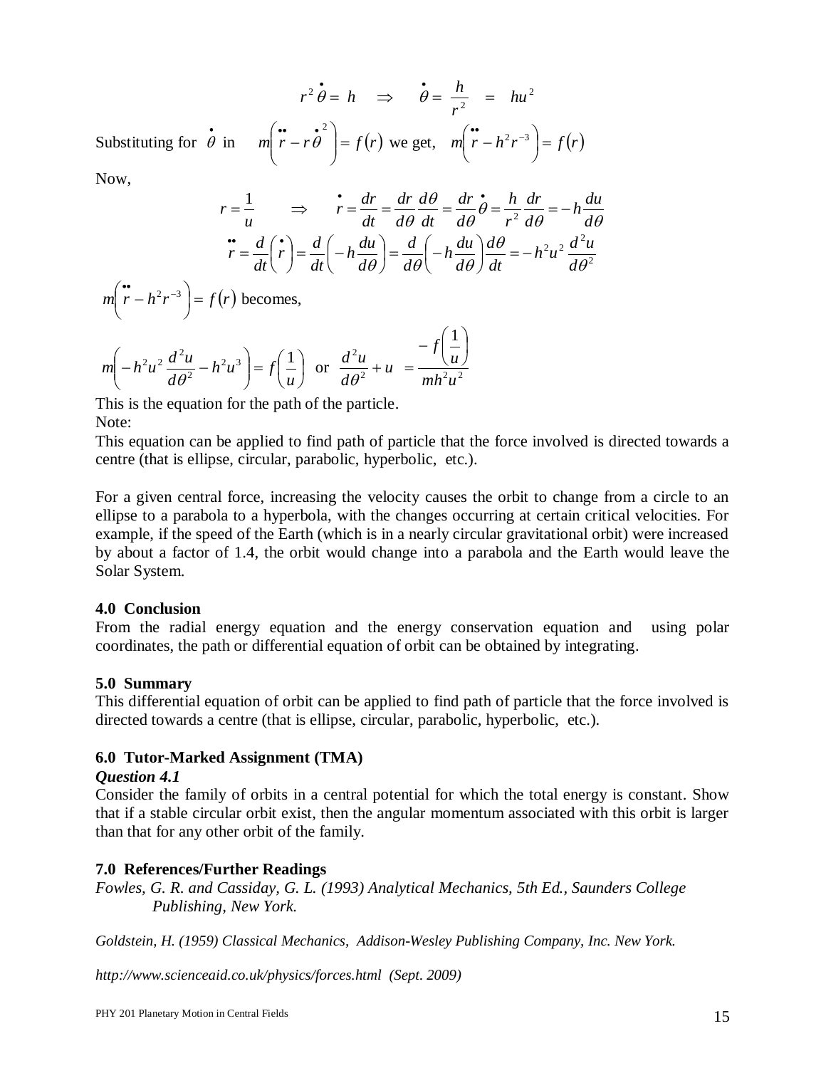$r^2 \dot{\theta} = h$  $\theta = h \Rightarrow \theta = \frac{h}{a} = hu^2$  $\frac{u}{2}$  =  $hu$ *r*  $\dot{\theta} = \frac{h}{a}$  =  $\theta$ Substituting for  $\dot{\theta}$  $\theta$  in  $m \mid r - r \theta \mid = f(r)$  $\int$  $\backslash$  $\overline{\phantom{a}}$  $\setminus$ ſ  $\frac{1}{r-r\theta}$ <sup>2</sup>  $\theta$  |=  $f(r)$  we get, *m*|  $r - h^2 r^{-3}$  |=  $f(r)$  $\bigg)$  $\left(\begin{array}{c}\bullet\\ r-h^2r^{-3}\end{array}\right)$  $\setminus$  $\int_{0}^{\infty} r - h^2 r^{-3}$ 

Now,

$$
r = \frac{1}{u} \implies \dot{r} = \frac{dr}{dt} = \frac{dr}{d\theta} \frac{d\theta}{dt} = \frac{dr}{d\theta} \dot{\theta} = \frac{h}{r^2} \frac{dr}{d\theta} = -h \frac{du}{d\theta}
$$

$$
\dot{r} = \frac{d}{dt} \left(\dot{r}\right) = \frac{d}{dt} \left(-h \frac{du}{d\theta}\right) = \frac{d}{d\theta} \left(-h \frac{du}{d\theta}\right) \frac{d\theta}{dt} = -h^2 u^2 \frac{d^2 u}{d\theta^2}
$$

 $m|r - h^2r^{-3}| = f(r)$ J  $\left(\begin{array}{c}\bullet\\ r-h^2r^{-3}\end{array}\right)$  $\setminus$  $\left(\begin{array}{c} \bullet \\ r-h^2r^{-3} \end{array}\right) = f(r)$  becomes,

$$
m\left(-h^2u^2\frac{d^2u}{d\theta^2} - h^2u^3\right) = f\left(\frac{1}{u}\right) \text{ or } \frac{d^2u}{d\theta^2} + u = \frac{-f\left(\frac{1}{u}\right)}{mh^2u^2}
$$

This is the equation for the path of the particle. Note:

This equation can be applied to find path of particle that the force involved is directed towards a centre (that is ellipse, circular, parabolic, hyperbolic, etc.).

For a given central force, increasing the velocity causes the orbit to change from a circle to an ellipse to a parabola to a hyperbola, with the changes occurring at certain critical velocities. For example, if the speed of the Earth (which is in a nearly circular gravitational orbit) were increased by about a factor of 1.4, the orbit would change into a parabola and the Earth would leave the Solar System.

## **4.0 Conclusion**

From the radial energy equation and the energy conservation equation and using polar coordinates, the path or differential equation of orbit can be obtained by integrating.

## **5.0 Summary**

This differential equation of orbit can be applied to find path of particle that the force involved is directed towards a centre (that is ellipse, circular, parabolic, hyperbolic, etc.).

## **6.0 Tutor-Marked Assignment (TMA)**

## *Question 4.1*

Consider the family of orbits in a central potential for which the total energy is constant. Show that if a stable circular orbit exist, then the angular momentum associated with this orbit is larger than that for any other orbit of the family.

## **7.0 References/Further Readings**

*Fowles, G. R. and Cassiday, G. L. (1993) Analytical Mechanics, 5th Ed., Saunders College Publishing, New York.*

*Goldstein, H. (1959) Classical Mechanics, Addison-Wesley Publishing Company, Inc. New York.*

*http://www.scienceaid.co.uk/physics/forces.html (Sept. 2009)*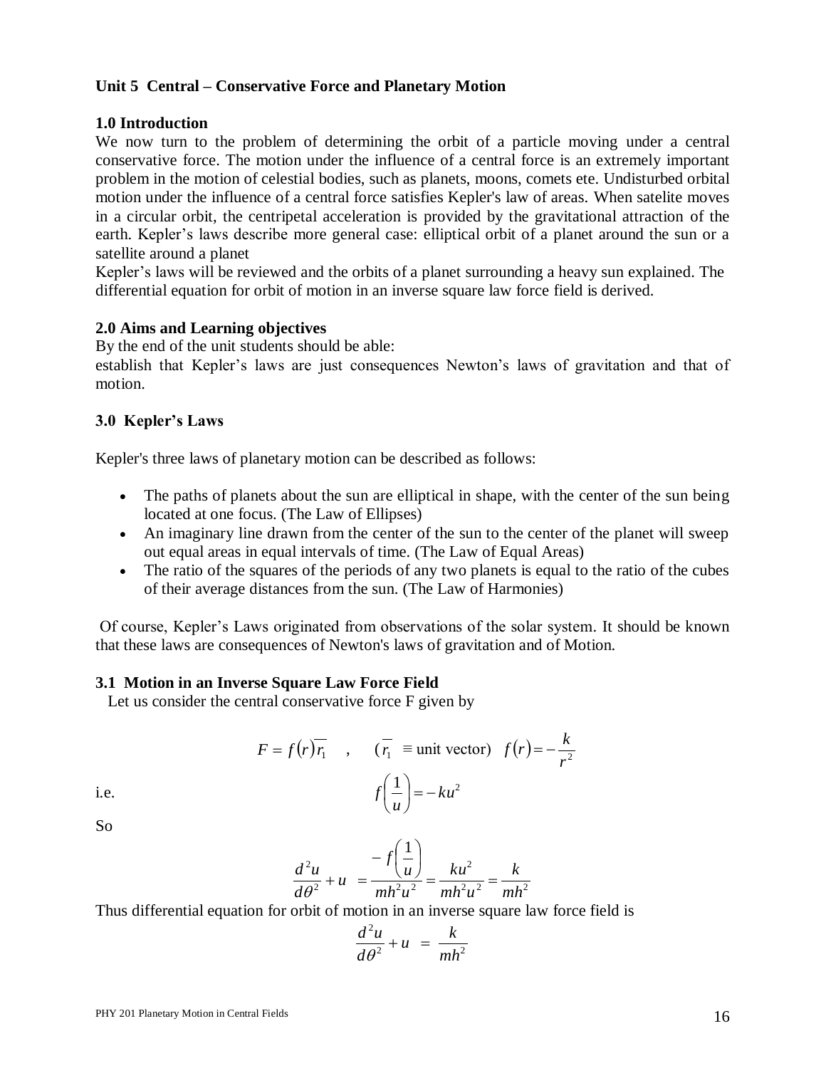## **Unit 5 Central – Conservative Force and Planetary Motion**

## **1.0 Introduction**

We now turn to the problem of determining the orbit of a particle moving under a central conservative force. The motion under the influence of a central force is an extremely important problem in the motion of celestial bodies, such as planets, moons, comets ete. Undisturbed orbital motion under the influence of a central force satisfies Kepler's law of areas. When satelite moves in a circular orbit, the centripetal acceleration is provided by the gravitational attraction of the earth. Kepler's laws describe more general case: elliptical orbit of a planet around the sun or a satellite around a planet

Kepler's laws will be reviewed and the orbits of a planet surrounding a heavy sun explained. The differential equation for orbit of motion in an inverse square law force field is derived.

## **2.0 Aims and Learning objectives**

By the end of the unit students should be able:

establish that Kepler's laws are just consequences Newton's laws of gravitation and that of motion.

## **3.0 Kepler's Laws**

Kepler's three laws of planetary motion can be described as follows:

- The paths of planets about the sun are elliptical in shape, with the center of the sun being located at one focus. (The Law of Ellipses)
- An imaginary line drawn from the center of the sun to the center of the planet will sweep out equal areas in equal intervals of time. (The Law of Equal Areas)
- The ratio of the squares of the periods of any two planets is equal to the ratio of the cubes of their average distances from the sun. (The Law of Harmonies)

Of course, Kepler's Laws originated from observations of the solar system. It should be known that these laws are consequences of Newton's laws of gravitation and of Motion.

#### **3.1 Motion in an Inverse Square Law Force Field**

Let us consider the central conservative force F given by

$$
F = f(r)\overline{r_1} \quad , \quad (\overline{r_1} \equiv \text{unit vector}) \quad f(r) = -\frac{k}{r^2}
$$

$$
f\left(\frac{1}{u}\right) = -ku^2
$$

i.e.

So

 $2 \cdot 2 = \ln^2$ 2 2  $u = \frac{1}{2}h^2 \cdot 2$ 2 1 *mh k*  $mh^2u$ *ku*  $mh^2u$ *u f u d*  $\frac{d^2u}{dx^2} + u = \frac{u^2(u)}{dx^2} = \frac{ku^2}{dx^2} =$  $\overline{\phantom{a}}$ J  $\left(\frac{1}{-}\right)$  $\setminus$  $-f\Big($  $\frac{u}{\theta^2} + u =$ 

Thus differential equation for orbit of motion in an inverse square law force field is

$$
\frac{d^2u}{d\theta^2} + u = \frac{k}{mh^2}
$$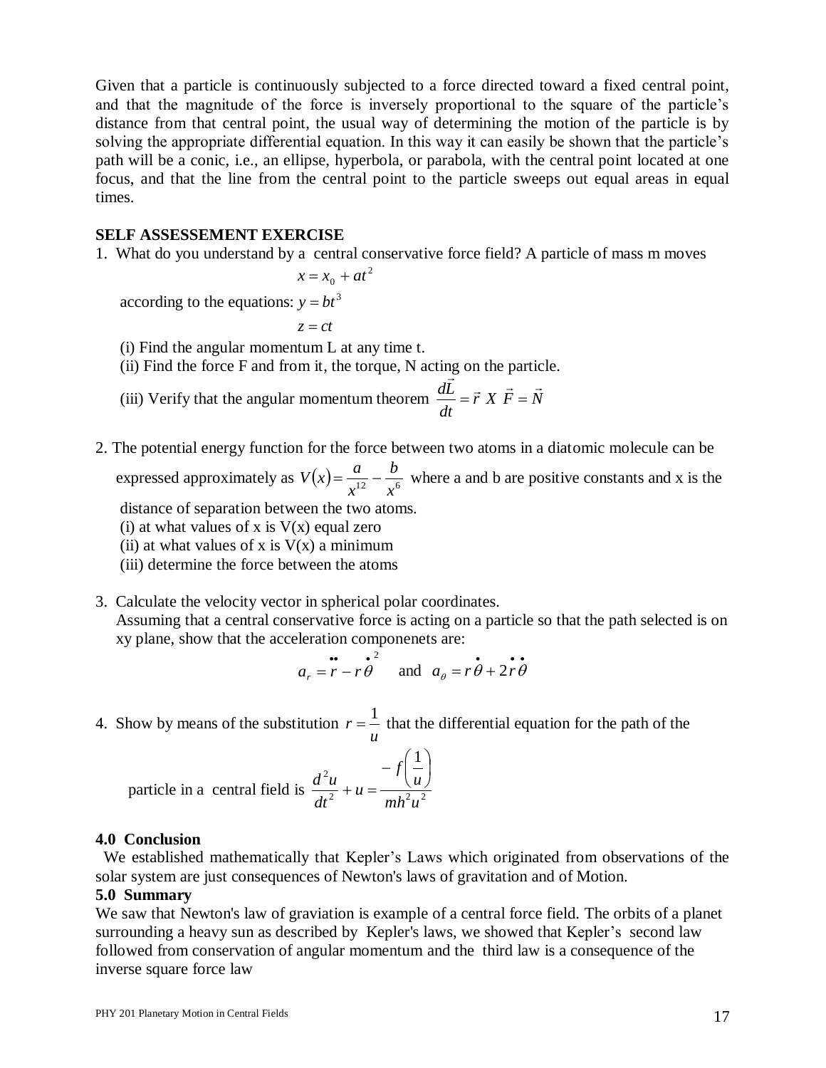Given that a particle is continuously subjected to a force directed toward a fixed central point, and that the magnitude of the force is inversely proportional to the square of the particle's distance from that central point, the usual way of determining the motion of the particle is by solving the appropriate differential equation. In this way it can easily be shown that the particle's path will be a conic, i.e., an ellipse, hyperbola, or parabola, with the central point located at one focus, and that the line from the central point to the particle sweeps out equal areas in equal times.

#### **SELF ASSESSEMENT EXERCISE**

1. What do you understand by a central conservative force field? A particle of mass m moves

$$
x = x_0 + at^2
$$

according to the equations:  $y = bt^3$ 

 $z = ct$ 

(i) Find the angular momentum L at any time t.

(ii) Find the force F and from it, the torque, N acting on the particle.

- (iii) Verify that the angular momentum theorem  $\frac{dE}{dr} = \vec{r} X \vec{F} = N$ *dt*  $d\vec{L}$   $\rightarrow$   $V$   $\vec{F}$   $\rightarrow$   $V$  $=\vec{r} X \vec{F} =$
- 2. The potential energy function for the force between two atoms in a diatomic molecule can be

expressed approximately as  $V(x) = \frac{u}{x^{12}} - \frac{b}{x^6}$ *b x*  $V(x) = \frac{a}{a} - \frac{b}{b}$  where a and b are positive constants and x is the

distance of separation between the two atoms.

- (i) at what values of x is  $V(x)$  equal zero
- (ii) at what values of x is  $V(x)$  a minimum
- (iii) determine the force between the atoms
- 3. Calculate the velocity vector in spherical polar coordinates.

 Assuming that a central conservative force is acting on a particle so that the path selected is on xy plane, show that the acceleration componenets are:

$$
a_r = \mathbf{r} - \mathbf{r}\boldsymbol{\theta}^2
$$
 and  $a_\theta = \mathbf{r}\boldsymbol{\theta} + 2\mathbf{r}\boldsymbol{\theta}^2$ 

4. Show by means of the substitution *u*  $r = \frac{1}{1}$  that the differential equation for the path of the

particle in a central field is 
$$
\frac{d^2u}{dt^2} + u = \frac{-f\left(\frac{1}{u}\right)}{mh^2u^2}
$$

#### **4.0 Conclusion**

We established mathematically that Kepler's Laws which originated from observations of the solar system are just consequences of Newton's laws of gravitation and of Motion.

#### **5.0 Summary**

We saw that Newton's law of graviation is example of a central force field. The orbits of a planet surrounding a heavy sun as described by Kepler's laws, we showed that Kepler's second law followed from conservation of angular momentum and the third law is a consequence of the inverse square force law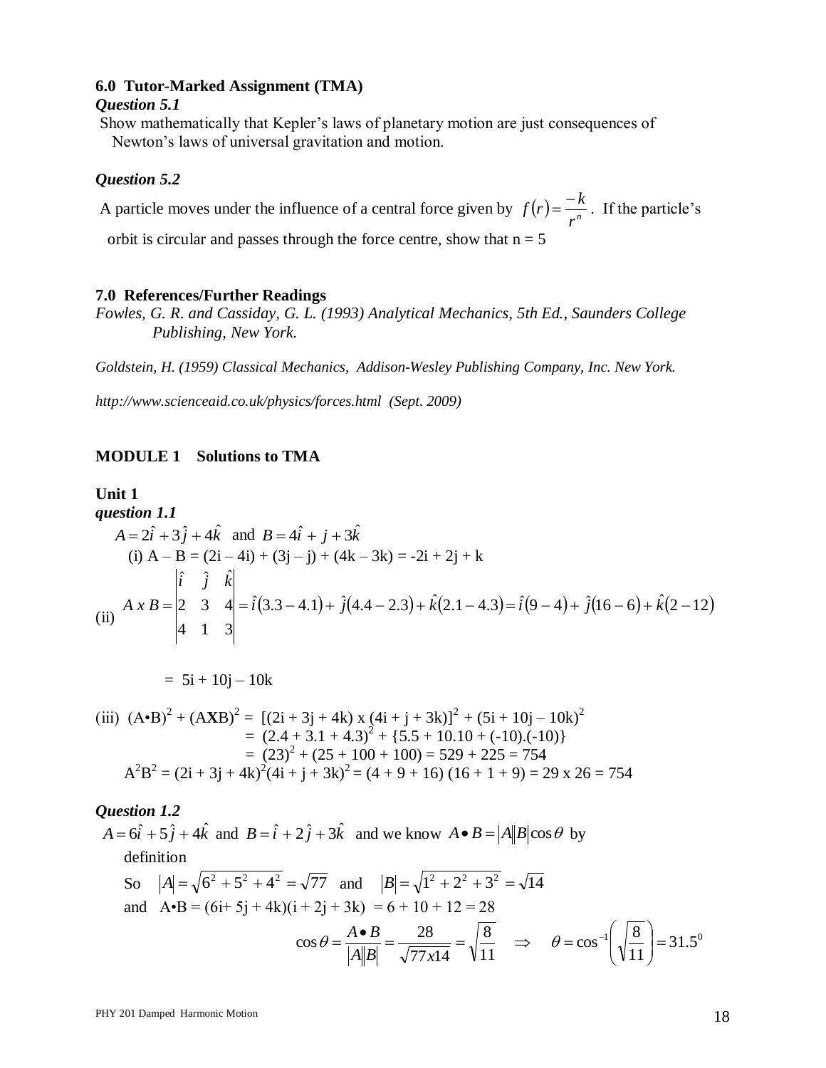## **6.0 Tutor-Marked Assignment (TMA)**

#### *Question 5.1*

Show mathematically that Kepler's laws of planetary motion are just consequences of Newton's laws of universal gravitation and motion.

#### *Question 5.2*

A particle moves under the influence of a central force given by  $f(r) = \frac{r}{r^n}$  $f(r) = \frac{-k}{r}$ . If the particle's

orbit is circular and passes through the force centre, show that  $n = 5$ 

#### **7.0 References/Further Readings**

*Fowles, G. R. and Cassiday, G. L. (1993) Analytical Mechanics, 5th Ed., Saunders College Publishing, New York.*

*Goldstein, H. (1959) Classical Mechanics, Addison-Wesley Publishing Company, Inc. New York.*

*http://www.scienceaid.co.uk/physics/forces.html (Sept. 2009)*

## **MODULE 1 Solutions to TMA**

## **Unit 1**

**question 1.1**  
\n
$$
A = 2\hat{i} + 3\hat{j} + 4\hat{k}
$$
 and  $B = 4\hat{i} + \hat{j} + 3\hat{k}$   
\n(i)  $A - B = (2\hat{i} - 4\hat{i}) + (3\hat{j} - \hat{j}) + (4\hat{k} - 3\hat{k}) = -2\hat{i} + 2\hat{j} + \hat{k}$   
\n(ii)  $A \times B = \begin{vmatrix} \hat{i} & \hat{j} & \hat{k} \\ 2 & 3 & 4 \\ 4 & 1 & 3 \end{vmatrix} = \hat{i}(3.3 - 4.1) + \hat{j}(4.4 - 2.3) + \hat{k}(2.1 - 4.3) = \hat{i}(9 - 4) + \hat{j}(16 - 6) + \hat{k}(2 - 12)$ 

$$
= 5i + 10j - 10k
$$

(iii) 
$$
(A \cdot B)^2 + (A \mathbf{X} B)^2 = [(2\mathbf{i} + 3\mathbf{j} + 4\mathbf{k}) \times (4\mathbf{i} + \mathbf{j} + 3\mathbf{k})]^2 + (5\mathbf{i} + 10\mathbf{j} - 10\mathbf{k})^2
$$
  
\t=  $(2.4 + 3.1 + 4.3)^2 + \{5.5 + 10.10 + (-10).(-10)\}$   
\t=  $(23)^2 + (25 + 100 + 100) = 529 + 225 = 754$   
 $A^2B^2 = (2\mathbf{i} + 3\mathbf{j} + 4\mathbf{k})^2(4\mathbf{i} + \mathbf{j} + 3\mathbf{k})^2 = (4 + 9 + 16) (16 + 1 + 9) = 29 \times 26 = 754$ 

## *Question 1.2*

 $A = 6\hat{i} + 5\hat{j} + 4\hat{k}$  and  $B = \hat{i} + 2\hat{j} + 3\hat{k}$  and we know  $A \bullet B = |A||B|\cos\theta$  by definition So  $|A| = \sqrt{6^2 + 5^2 + 4^2} = \sqrt{77}$  and  $|B| = \sqrt{1^2 + 2^2 + 3^2} = \sqrt{14}$ and  $A \cdot B = (6i + 5j + 4k)(i + 2j + 3k) = 6 + 10 + 12 = 28$ 11 8  $77x14$  $\cos \theta = \frac{A \bullet B}{\|A\| \|B\|} = \frac{28}{\sqrt{28}} =$ *A* $\|B\|$   $\sqrt{77x}$  $\theta = \frac{A \cdot B}{\ln |\cdot|} = \frac{28}{\sqrt{2}} = \sqrt{\frac{8}{\sqrt{12}}} \Rightarrow \theta = \cos^{-1} \left( \sqrt{\frac{8}{\sqrt{12}}} \right) = 31.5^{\circ}$ 11  $\cos^{-1}\left(\sqrt{\frac{8}{11}}\right) =$ J  $\setminus$  $\overline{\phantom{a}}$  $\setminus$ ſ  $\theta = \cos^{-1}$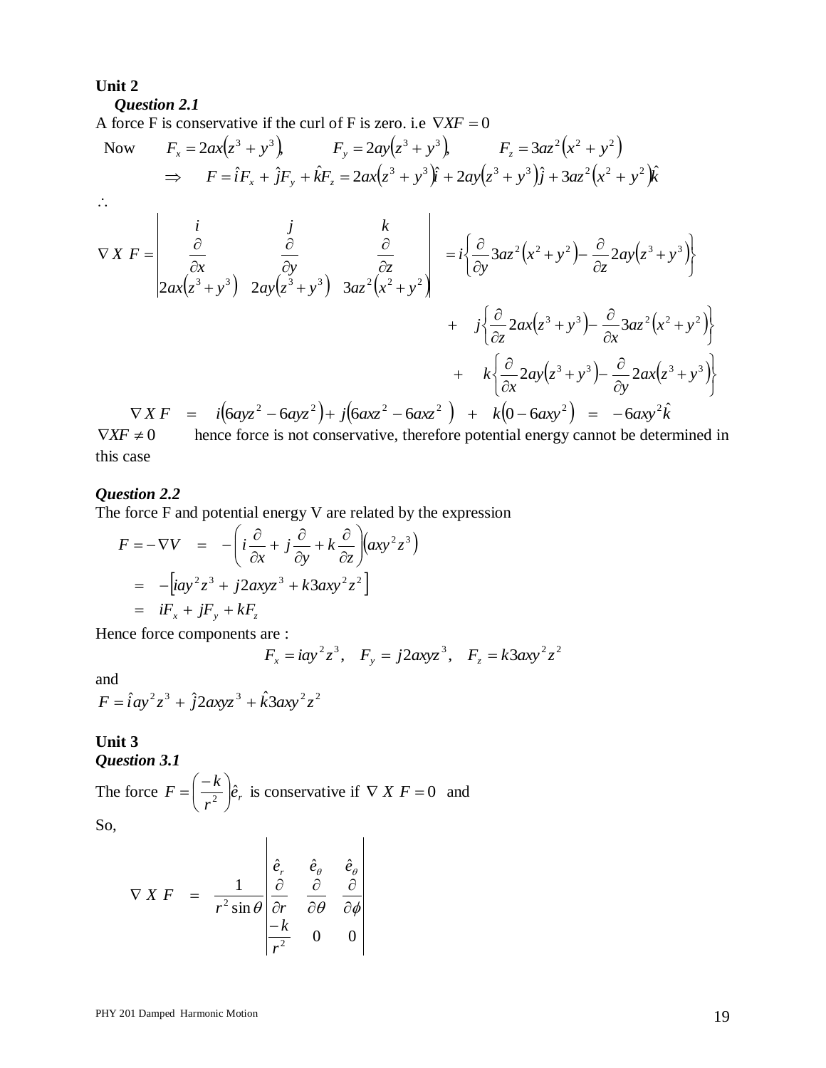#### **Unit 2**

#### *Question 2.1*

A force F is conservative if the curl of F is zero. i.e  $\nabla$ *XF* = 0

Now 
$$
F_x = 2ax(z^3 + y^3)
$$
  $F_y = 2ay(z^3 + y^3)$   $F_z = 3az^2(x^2 + y^2)$   
\n $\Rightarrow F = \hat{i}F_x + \hat{j}F_y + \hat{k}F_z = 2ax(z^3 + y^3)\hat{j} + 2ay(z^3 + y^3)\hat{j} + 3az^2(z^2 + y^2)\hat{k}$   
\n $\therefore$   
\n $\nabla X F = \begin{vmatrix}\n\frac{i}{\partial x} & \frac{j}{\partial y} & \frac{k}{\partial z} \\
\frac{\partial}{\partial x} & \frac{\partial}{\partial y} & \frac{\partial}{\partial z} \\
2ax(z^3 + y^3) & 2ay(z^3 + y^3) & 3az^2(z^2 + y^2)\n\end{vmatrix} = i\left\{\frac{\partial}{\partial y}3az^2(z^2 + y^2) - \frac{\partial}{\partial z}2ay(z^3 + y^3)\right\}$   
\n $+ i\left\{\frac{\partial}{\partial z}2ax(z^3 + y^3) - \frac{\partial}{\partial x}3az^2(z^2 + y^2)\right\}$   
\n $+ k\left\{\frac{\partial}{\partial x}2ay(z^3 + y^3) - \frac{\partial}{\partial y}2ax(z^3 + y^3)\right\}$   
\n $\nabla X F = i(6ayz^2 - 6ayz^2) + j(6axz^2 - 6axz^2) + k(0 - 6axy^2) = -6axy^2\hat{k}$ 

 $\nabla$ *XF*  $\neq$  0 hence force is not conservative, therefore potential energy cannot be determined in this case

#### *Question 2.2*

The force F and potential energy V are related by the expression

$$
F = -\nabla V = -\left(i\frac{\partial}{\partial x} + j\frac{\partial}{\partial y} + k\frac{\partial}{\partial z}\right)(axy^{2}z^{3})
$$
  
= -[iay^{2}z^{3} + j2axyz^{3} + k3axy^{2}z^{2}]  
= iF\_{x} + jF\_{y} + kF\_{z}

Hence force components are :

$$
F_x = iay^2z^3
$$
,  $F_y = j2axyz^3$ ,  $F_z = k3axy^2z^2$ 

and

$$
F = \hat{i}ay^2z^3 + \hat{j}2axyz^3 + \hat{k}3axy^2z^2
$$

#### **Unit 3** *Question 3.1*

The force  $F = \frac{\kappa}{2} \hat{e}_r$ *r*  $F = \left(\frac{-k}{r^2}\right)\hat{e}$ J  $\left(\frac{-k}{2}\right)$  $\setminus$  $=\left(-\frac{k}{2}\right)\hat{e}_r$  is conservative if  $\nabla X F = 0$  and

So,

$$
\nabla X F = \frac{1}{r^2 \sin \theta} \begin{vmatrix} \hat{e}_r & \hat{e}_\theta & \hat{e}_\theta \\ \frac{\partial}{\partial r} & \frac{\partial}{\partial \theta} & \frac{\partial}{\partial \phi} \\ \frac{-k}{r^2} & 0 & 0 \end{vmatrix}
$$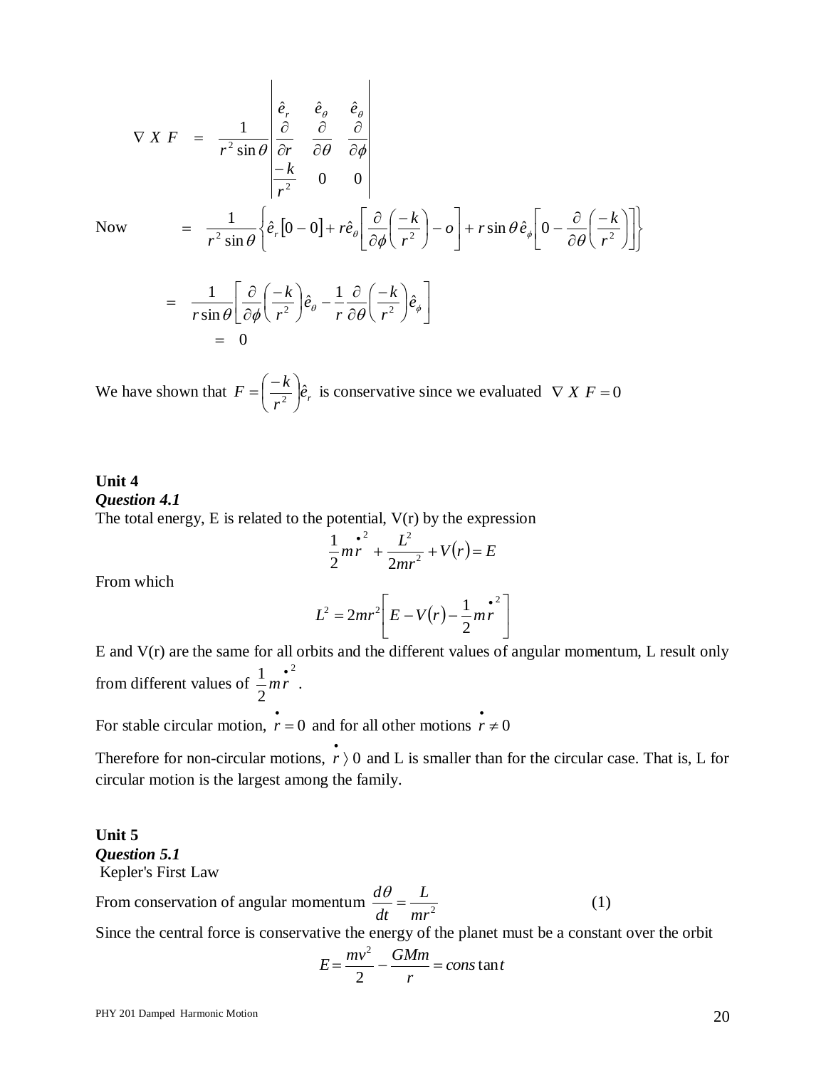$$
\nabla \times F = \frac{1}{r^2 \sin \theta} \begin{vmatrix} \hat{e}_r & \hat{e}_\theta & \hat{e}_\theta \\ \frac{\partial}{\partial r} & \frac{\partial}{\partial \theta} & \frac{\partial}{\partial \phi} \\ \frac{-k}{r^2} & 0 & 0 \end{vmatrix}
$$
  
=  $\frac{1}{r^2 \sin \theta} \left\{ \hat{e}_r [0 - 0] + r \hat{e}_\theta \left[ \frac{\partial}{\partial \phi} \left( \frac{-k}{r^2} \right) - \theta \right] + r \sin \theta \hat{e}_\phi \left[ 0 - \frac{\partial}{\partial \theta} \left( \frac{-k}{r^2} \right) \right] \right\}$   
=  $\frac{1}{r \sin \theta} \left[ \frac{\partial}{\partial \phi} \left( \frac{-k}{r^2} \right) \hat{e}_\theta - \frac{1}{r} \frac{\partial}{\partial \theta} \left( \frac{-k}{r^2} \right) \hat{e}_\phi \right]$ 

Now

$$
= 0
$$

We have shown that  $F = \frac{\lambda}{r^2} \hat{e}_r$ *r*  $F = \left(\frac{-k}{r^2}\right)\hat{e}$ J  $\left(\frac{-k}{2}\right)$  $\setminus$  $\left( \frac{-k}{2} \right) \hat{e}_r$  is conservative since we evaluated  $\nabla X F = 0$ 

## **Unit 4** *Question 4.1* The total energy, E is related to the potential, V(r) by the expression

$$
\frac{1}{2}mr^{2} + \frac{L^{2}}{2mr^{2}} + V(r) = E
$$

From which

$$
L^2 = 2mr^2 \left[ E - V(r) - \frac{1}{2}mr^2 \right]
$$

E and V(r) are the same for all orbits and the different values of angular momentum, L result only from different values of 2 2  $\frac{1}{2} m r^2$ .

For stable circular motion,  $\vec{r} = 0$  and for all other motions  $\vec{r} \neq 0$ 

Therefore for non-circular motions,  $\vec{r}$  o and L is smaller than for the circular case. That is, L for circular motion is the largest among the family.

## **Unit 5** *Question 5.1* Kepler's First Law

From conservation of angular momentum  $\frac{dv}{dt} = \frac{E}{mr^2}$ *L dt*  $\frac{d\theta}{dt} =$  (1) Since the central force is conservative the energy of the planet must be a constant over the orbit

$$
E = \frac{mv^2}{2} - \frac{GMm}{r} = constant
$$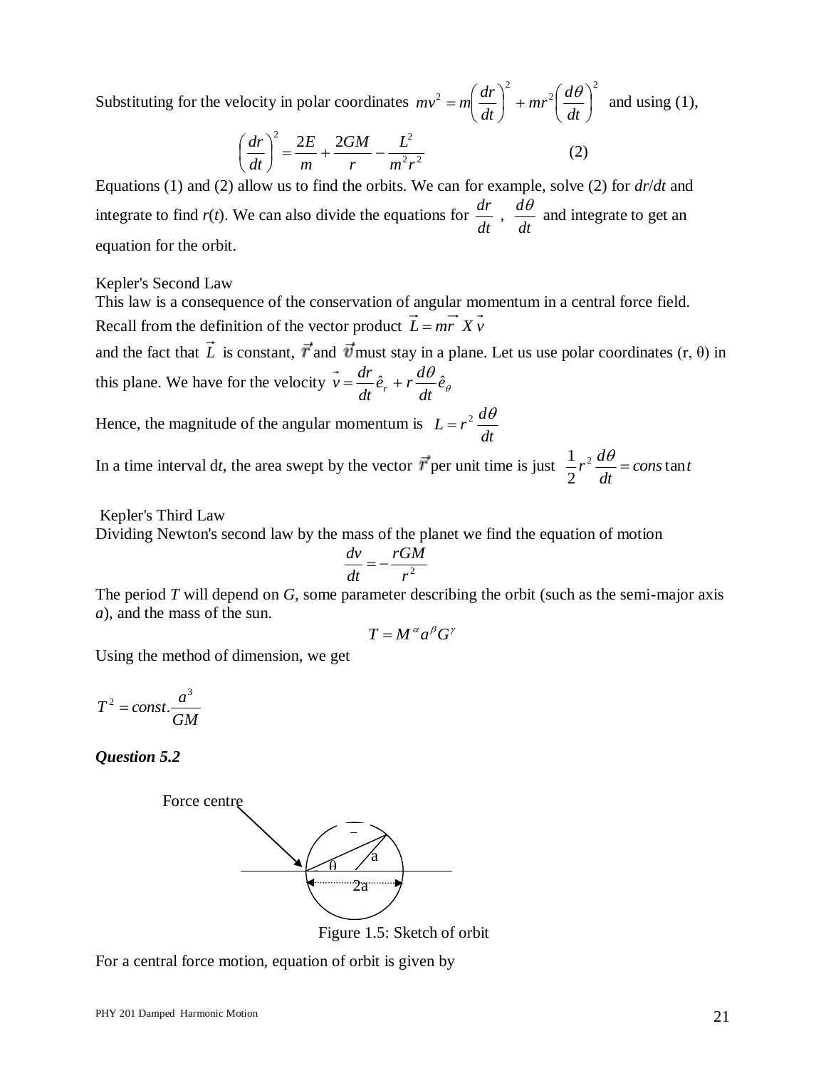Substituting for the velocity in polar coordinates 2 2 2  $2 = m \left| \frac{ar}{dr} \right| + mr^2 \left| \frac{av}{dr} \right|$  $\bigg)$  $\left(\frac{d\theta}{dt}\right)$  $\setminus$  $\vert + mr^2 \vert$ J  $\left(\frac{dr}{dt}\right)$  $\setminus$  $=$ m $\left($ *dt*  $mr^2\left(\frac{d}{2}\right)$ *dt*  $mv^2 = m\left(\frac{dr}{dr}\right)^2 + mr^2\left(\frac{d\theta}{dr}\right)^2$  and using (1),

$$
\left(\frac{dr}{dt}\right)^2 = \frac{2E}{m} + \frac{2GM}{r} - \frac{L^2}{m^2r^2}
$$
 (2)

Equations (1) and (2) allow us to find the orbits. We can for example, solve (2) for *dr*/*dt* and integrate to find  $r(t)$ . We can also divide the equations for *dt dr* , *dt*  $\frac{d\theta}{dt}$  and integrate to get an equation for the orbit.

#### Kepler's Second Law

This law is a consequence of the conservation of angular momentum in a central force field. Recall from the definition of the vector product  $L = mr Xv$ 

and the fact that L is constant,  $\vec{r}$  and  $\vec{v}$  must stay in a plane. Let us use polar coordinates  $(r, \theta)$  in this plane. We have for the velocity  $v = \frac{dr}{dr} \hat{e}_r + r \frac{dv}{dr} \hat{e}_{\theta}$  $\frac{\theta}{\cdot}$ ê *dt*  $\hat{e}_r + r \frac{d}{r}$ *dt*  $\vec{v} = \frac{dr}{L}\hat{e}_r + r\frac{d\theta}{L}\hat{e}$ 

Hence, the magnitude of the angular momentum is *dt*  $L = r^2 \frac{d\theta}{dt}$ 

In a time interval dt, the area swept by the vector  $\vec{r}$  per unit time is just  $\frac{1}{\epsilon}r^2 \frac{dv}{dr} = const$ *dt*  $r^2 \frac{d\theta}{dt} = const$  tan 2  $\frac{1}{2}r^2\frac{d\theta}{dt}$ 

Kepler's Third Law

Dividing Newton's second law by the mass of the planet we find the equation of motion

$$
\frac{dv}{dt} = -\frac{rGM}{r^2}
$$

The period *T* will depend on *G*, some parameter describing the orbit (such as the semi-major axis *a*), and the mass of the sun.

$$
T = M^{\alpha} a^{\beta} G^{\gamma}
$$

Using the method of dimension, we get

$$
T^2 = const. \frac{a^3}{GM}
$$

*Question 5.2*



Figure 1.5: Sketch of orbit

For a central force motion, equation of orbit is given by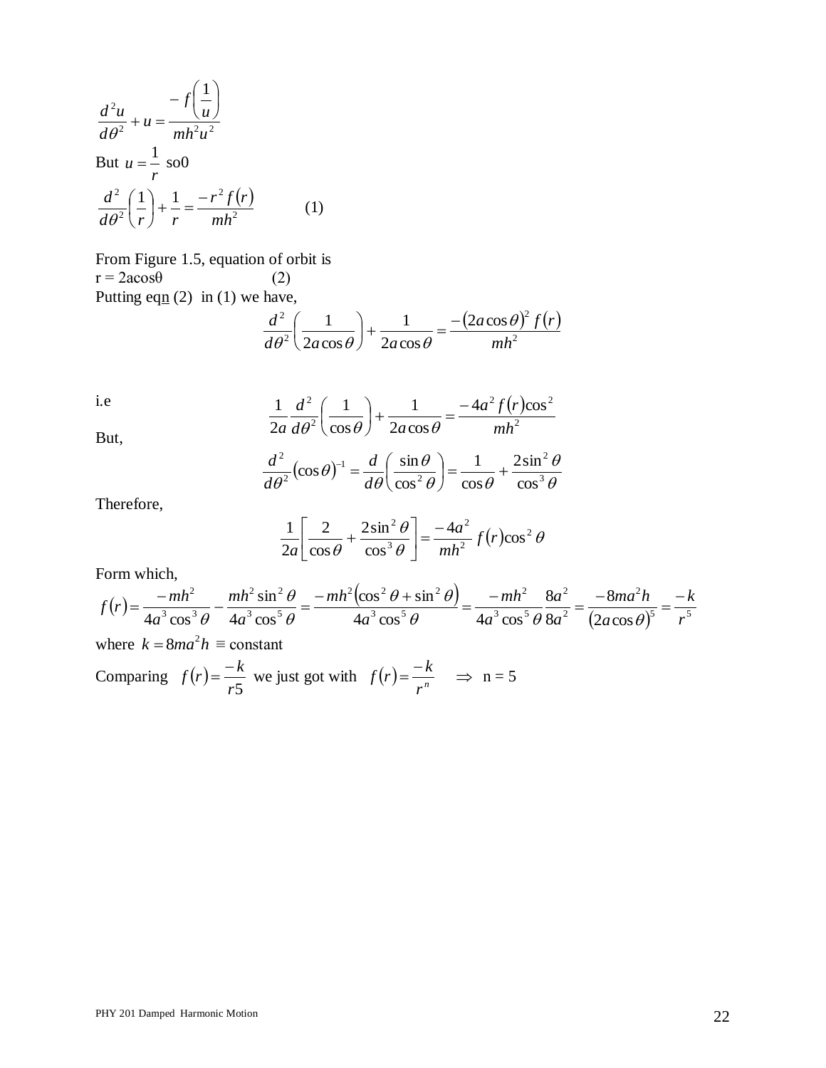$$
\frac{d^2u}{d\theta^2} + u = \frac{-f\left(\frac{1}{u}\right)}{mh^2u^2}
$$
  
But  $u = \frac{1}{r}$  so0  

$$
\frac{d^2}{d\theta^2}\left(\frac{1}{r}\right) + \frac{1}{r} = \frac{-r^2f(r)}{mh^2}
$$
(1)

From Figure 1.5, equation of orbit is  $r = 2a\cos\theta$  (2) Putting eqn  $(2)$  in  $(1)$  we have,

$$
\frac{d^2}{d\theta^2} \left( \frac{1}{2a\cos\theta} \right) + \frac{1}{2a\cos\theta} = \frac{-(2a\cos\theta)^2 f(r)}{mh^2}
$$

i.e

But,

$$
\frac{1}{2a}\frac{d^2}{d\theta^2}\left(\frac{1}{\cos\theta}\right) + \frac{1}{2a\cos\theta} = \frac{-4a^2f(r)\cos^2\theta}{mh^2}
$$

$$
\frac{d^2}{d\theta^2}(\cos\theta)^{-1} = \frac{d}{d\theta}\left(\frac{\sin\theta}{\cos^2\theta}\right) = \frac{1}{\cos\theta} + \frac{2\sin^2\theta}{\cos^3\theta}
$$

Therefore,

$$
\frac{1}{2a} \left[ \frac{2}{\cos \theta} + \frac{2 \sin^2 \theta}{\cos^3 \theta} \right] = \frac{-4a^2}{mh^2} f(r) \cos^2 \theta
$$

 $\theta$  $\theta$ 

Form which,

$$
f(r) = \frac{-mh^2}{4a^3 \cos^3 \theta} - \frac{mh^2 \sin^2 \theta}{4a^3 \cos^5 \theta} = \frac{-mh^2(\cos^2 \theta + \sin^2 \theta)}{4a^3 \cos^5 \theta} = \frac{-mh^2}{4a^3 \cos^5 \theta} \frac{8a^2}{8a^2} = \frac{-8ma^2h}{(2a \cos \theta)^5} = \frac{-k}{r^5}
$$
  
where  $k = 8ma^2h \equiv \text{constant}$ 

Comparing  $f(r)$ *r*5  $f(r) = \frac{-k}{r5}$  we just got with  $f(r) = \frac{-k}{r^n}$  $f(r) = \frac{-k}{r}$   $\Rightarrow$  n = 5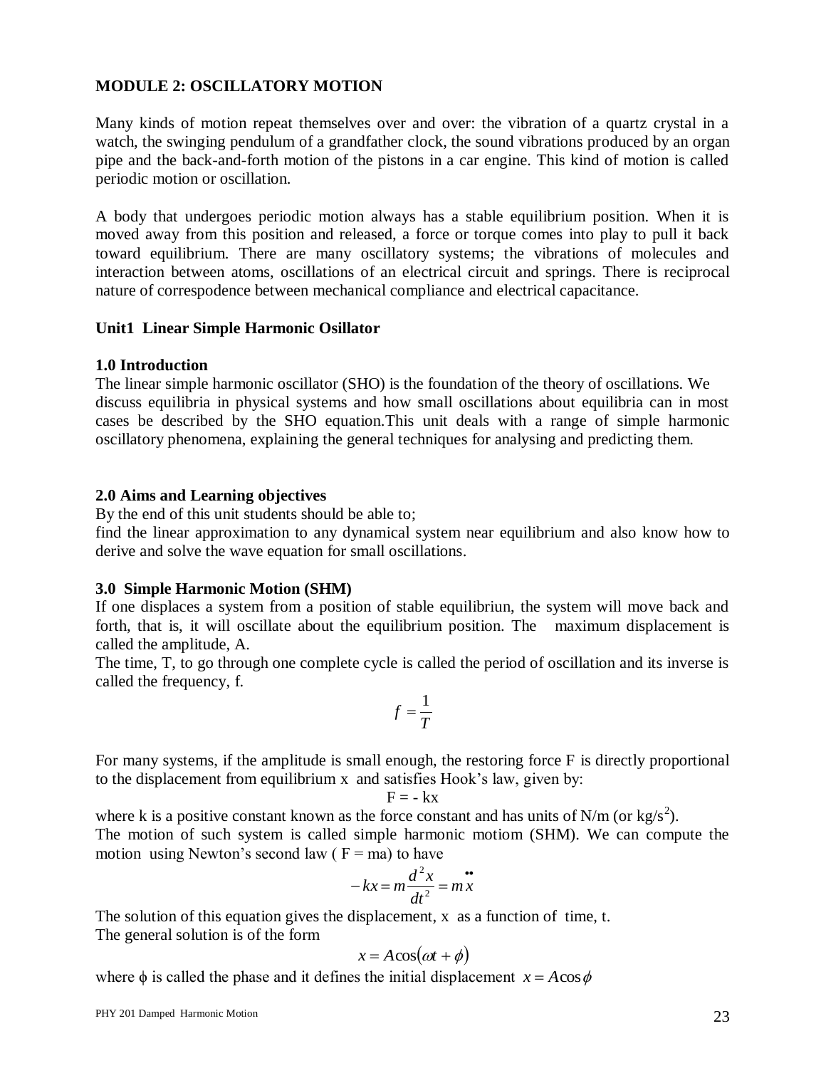## **MODULE 2: OSCILLATORY MOTION**

Many kinds of motion repeat themselves over and over: the vibration of a quartz crystal in a watch, the swinging pendulum of a grandfather clock, the sound vibrations produced by an organ pipe and the back-and-forth motion of the pistons in a car engine. This kind of motion is called periodic motion or oscillation.

A body that undergoes periodic motion always has a stable equilibrium position. When it is moved away from this position and released, a force or torque comes into play to pull it back toward equilibrium. There are many oscillatory systems; the vibrations of molecules and interaction between atoms, oscillations of an electrical circuit and springs. There is reciprocal nature of correspodence between mechanical compliance and electrical capacitance.

## **Unit1 Linear Simple Harmonic Osillator**

## **1.0 Introduction**

The linear simple harmonic oscillator (SHO) is the foundation of the theory of oscillations. We discuss equilibria in physical systems and how small oscillations about equilibria can in most cases be described by the SHO equation.This unit deals with a range of simple harmonic oscillatory phenomena, explaining the general techniques for analysing and predicting them.

#### **2.0 Aims and Learning objectives**

By the end of this unit students should be able to;

find the linear approximation to any dynamical system near equilibrium and also know how to derive and solve the wave equation for small oscillations.

## **3.0 Simple Harmonic Motion (SHM)**

If one displaces a system from a position of stable equilibriun, the system will move back and forth, that is, it will oscillate about the equilibrium position. The maximum displacement is called the amplitude, A.

The time, T, to go through one complete cycle is called the period of oscillation and its inverse is called the frequency, f.

$$
f=\frac{1}{T}
$$

For many systems, if the amplitude is small enough, the restoring force F is directly proportional to the displacement from equilibrium x and satisfies Hook's law, given by:

$$
\mathbf{F}=-\mathbf{k}\mathbf{x}
$$

where k is a positive constant known as the force constant and has units of N/m (or kg/s<sup>2</sup>). The motion of such system is called simple harmonic motiom (SHM). We can compute the motion using Newton's second law  $(F = ma)$  to have

$$
-kx = m\frac{d^2x}{dt^2} = mx
$$

The solution of this equation gives the displacement, x as a function of time, t. The general solution is of the form

$$
x = A\cos(\omega t + \phi)
$$

where  $\phi$  is called the phase and it defines the initial displacement  $x = A\cos\phi$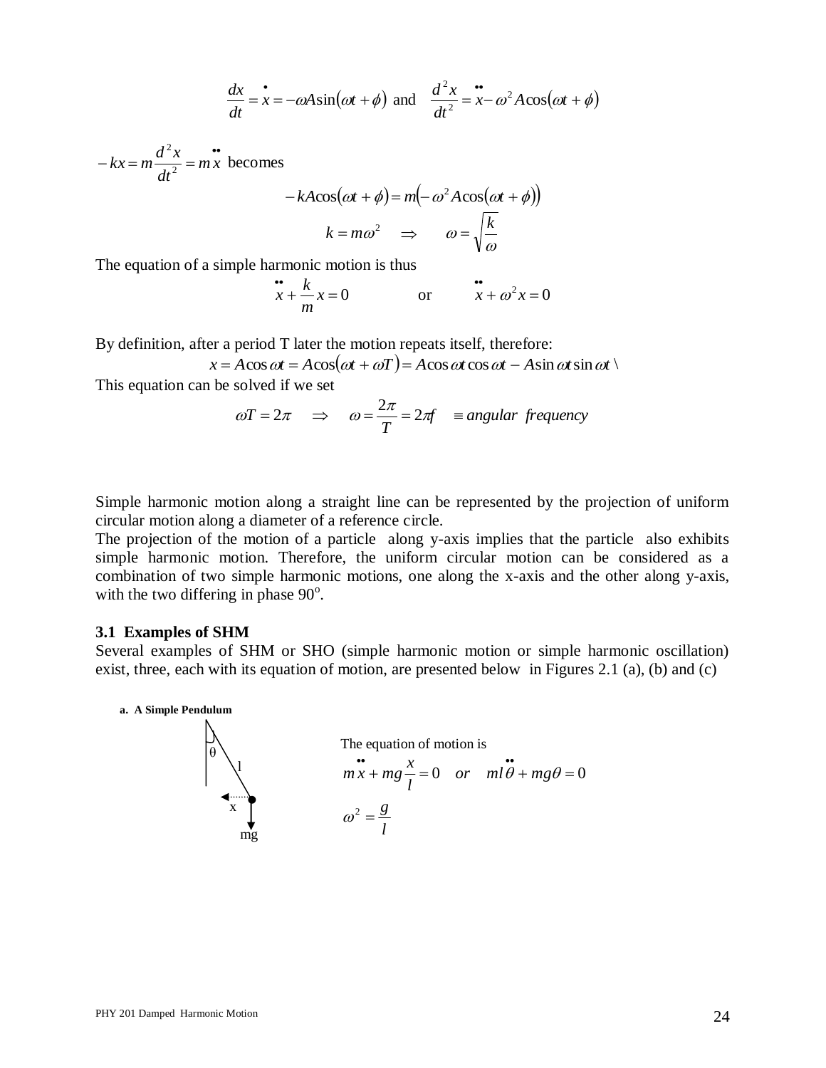$$
\frac{dx}{dt} = \dot{x} = -\omega A \sin(\omega t + \phi) \text{ and } \frac{d^2x}{dt^2} = \dot{x} - \omega^2 A \cos(\omega t + \phi)
$$

 $-kx = m\frac{d^2x}{dx^2} = mx$ *dt*  $kx = m \frac{d^2x}{dt^2}$ 2 becomes

$$
-kA\cos(\omega t + \phi) = m(-\omega^2 A \cos(\omega t + \phi))
$$

$$
k = m\omega^2 \implies \omega = \sqrt{\frac{k}{\omega}}
$$

The equation of a simple harmonic motion is thus

$$
\therefore x + \frac{k}{m}x = 0 \qquad \text{or} \qquad \frac{k}{x} + \omega^2 x = 0
$$

By definition, after a period T later the motion repeats itself, therefore:

$$
x = A\cos \omega t = A\cos(\omega t + \omega T) = A\cos \omega t \cos \omega t - A\sin \omega t \sin \omega t
$$

This equation can be solved if we set

$$
\omega T = 2\pi \quad \Rightarrow \quad \omega = \frac{2\pi}{T} = 2\pi f \quad \equiv angular \text{ frequency}
$$

Simple harmonic motion along a straight line can be represented by the projection of uniform circular motion along a diameter of a reference circle.

The projection of the motion of a particle along y-axis implies that the particle also exhibits simple harmonic motion. Therefore, the uniform circular motion can be considered as a combination of two simple harmonic motions, one along the x-axis and the other along y-axis, with the two differing in phase  $90^\circ$ .

#### **3.1 Examples of SHM**

Several examples of SHM or SHO (simple harmonic motion or simple harmonic oscillation) exist, three, each with its equation of motion, are presented below in Figures 2.1 (a), (b) and (c)

**a. A Simple Pendulum**

$$
\frac{dx}{dt} = x = -\omega A \sin(\omega t + \phi) \text{ and } \frac{dx}{dt^2} = x - \omega^2 A \cos(\omega t + \phi)
$$
  
\n
$$
-kx = m \frac{d^2x}{dt^2} = m \frac{d^2x}{dt^2} = m \frac{d^2x}{dt^2} = m \frac{d^2x}{dt^2} = m \frac{d^2x}{dt^2} = m \frac{d^2x}{dt^2} = m \frac{d^2x}{dt^2} = m \frac{d^2x}{dt^2} = m \frac{d^2x}{dt^2} = m \frac{d^2x}{dt^2} = m \frac{d^2x}{dt^2} = m \frac{d^2x}{dt^2} = m \frac{d^2x}{dt^2} = m \frac{d^2x}{dt^2} = m \frac{d^2x}{dt^2} = m \frac{d^2x}{dt^2} = 0
$$
  
\nBy definition, after a period T later the motion repeats itself, therefore:  
\n $x = A \cos \omega t = A \cos(\omega t + \omega t) = A \cos \omega t \cos \omega t - A \sin \omega t \sin \omega t$   
\nThis equation can be solved if we set  
\n
$$
\omega T = 2\pi \implies \omega = \frac{2\pi}{T} = 2\pi f \implies \omega = \frac{2\pi}{T} = 2\pi f \implies \omega = \frac{2\pi}{T} = \omega = \frac{2\pi}{T} \implies \omega = \frac{2\pi}{T} = \frac{2\pi}{T} \implies \omega = \frac{2\pi}{T} \implies \omega = \frac{2\pi}{T} \implies \omega = \frac{2\pi}{T} \implies \omega = \frac{2\pi}{T} \implies \omega = \frac{2\pi}{T} \implies \omega = \frac{2\pi}{T} \implies \omega = \frac{2\pi}{T} \implies \omega = \frac{2\pi}{T} \implies \omega = \frac{2\pi}{T} \implies \omega = \frac{2\pi}{T} \implies \omega = \frac{2\pi}{T} \implies \omega = \frac{2\pi}{T} \implies \omega = \frac{2\pi}{T} \implies \omega = \frac{2\pi}{T} \implies \omega = \frac{2\pi}{T} \implies \omega = \frac{2\pi}{T} \implies \omega = \frac{2\pi}{T} \implies \omega = \frac{2\pi}{T}
$$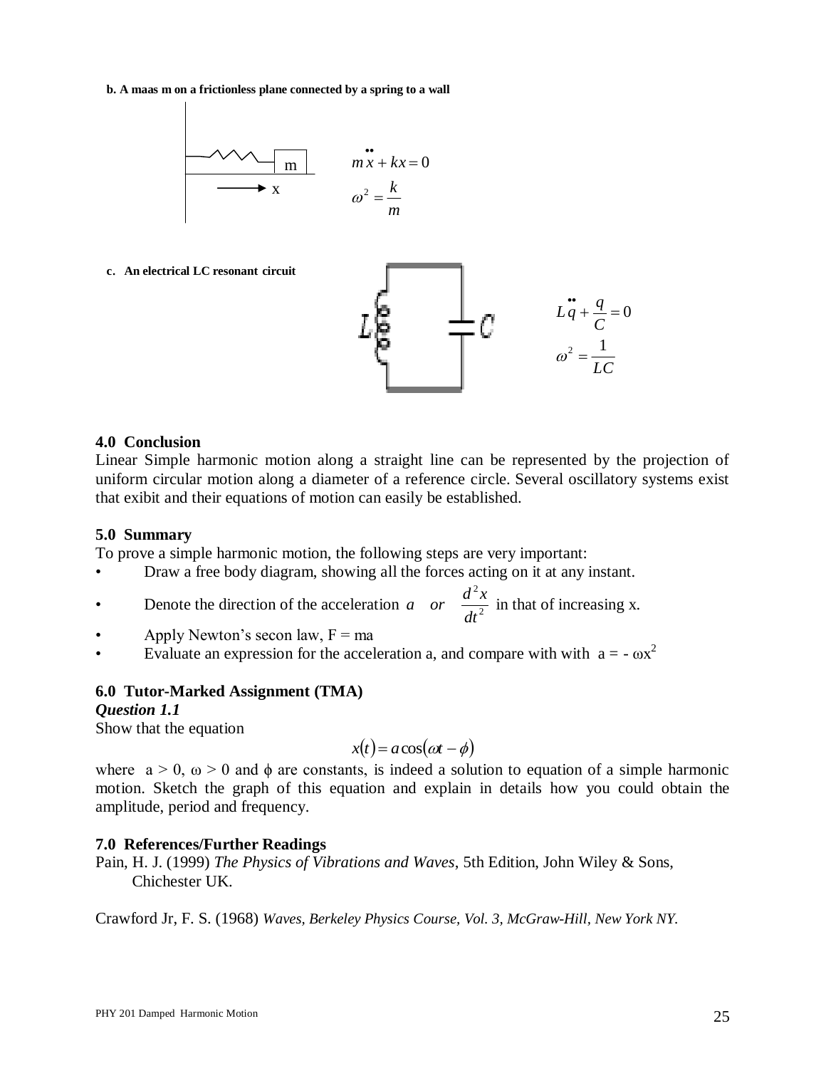**b. A maas m on a frictionless plane connected by a spring to a wall**



**c**. **An electrical LC resonant circuit**



#### **4.0 Conclusion**

Linear Simple harmonic motion along a straight line can be represented by the projection of uniform circular motion along a diameter of a reference circle. Several oscillatory systems exist that exibit and their equations of motion can easily be established.

#### **5.0 Summary**

To prove a simple harmonic motion, the following steps are very important:

- Draw a free body diagram, showing all the forces acting on it at any instant.
- Denote the direction of the acceleration a or  $\frac{a}{\mu^2}$ 2 *dt a or*  $\frac{d^2x}{dx^2}$  in that of increasing x.
- Apply Newton's secon law,  $F = ma$
- Evaluate an expression for the acceleration a, and compare with with  $a = -\omega x^2$

## **6.0 Tutor-Marked Assignment (TMA)**

*Question 1.1*

Show that the equation

$$
x(t) = a\cos(\omega t - \phi)
$$

where  $a > 0$ ,  $\omega > 0$  and  $\phi$  are constants, is indeed a solution to equation of a simple harmonic motion. Sketch the graph of this equation and explain in details how you could obtain the amplitude, period and frequency.

## **7.0 References/Further Readings**

Pain, H. J. (1999) *The Physics of Vibrations and Waves*, 5th Edition, John Wiley & Sons, Chichester UK.

Crawford Jr, F. S. (1968) *Waves, Berkeley Physics Course, Vol. 3, McGraw-Hill, New York NY.*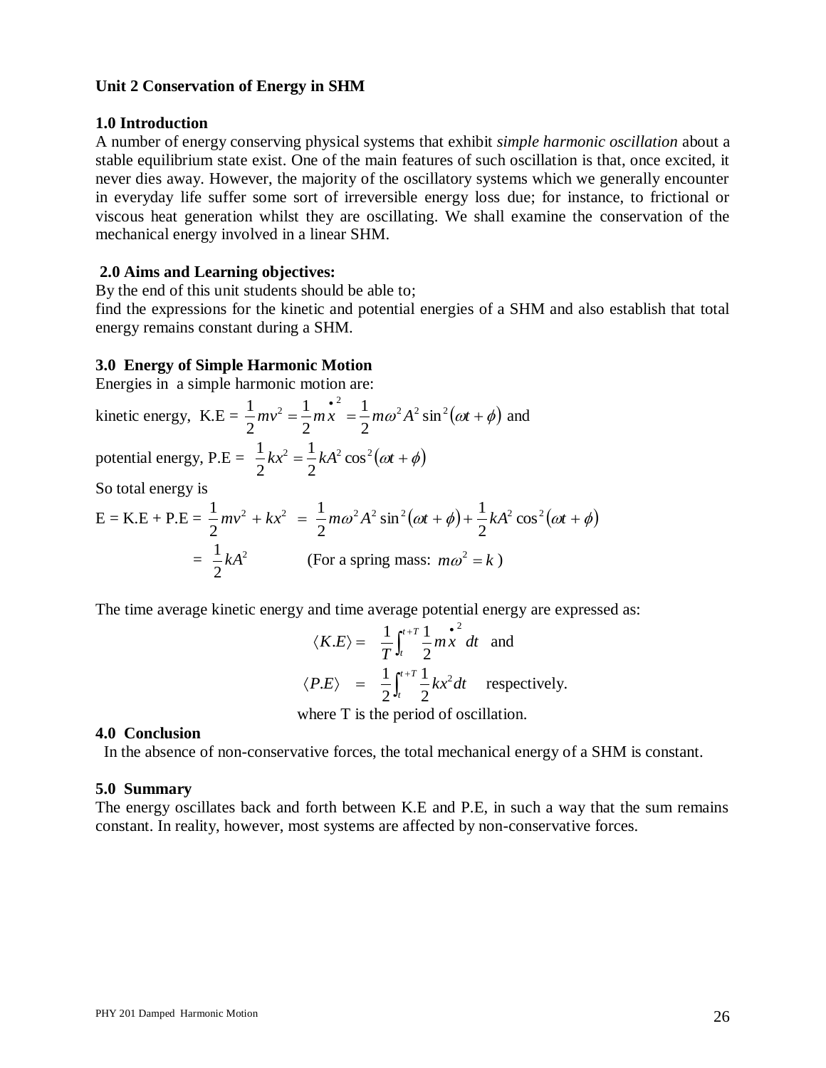#### **Unit 2 Conservation of Energy in SHM**

#### **1.0 Introduction**

A number of energy conserving physical systems that exhibit *simple harmonic oscillation* about a stable equilibrium state exist. One of the main features of such oscillation is that, once excited, it never dies away. However, the majority of the oscillatory systems which we generally encounter in everyday life suffer some sort of irreversible energy loss due; for instance, to frictional or viscous heat generation whilst they are oscillating. We shall examine the conservation of the mechanical energy involved in a linear SHM.

#### **2.0 Aims and Learning objectives:**

By the end of this unit students should be able to;

find the expressions for the kinetic and potential energies of a SHM and also establish that total energy remains constant during a SHM.

#### **3.0 Energy of Simple Harmonic Motion**

Energies in a simple harmonic motion are:

kinetic energy,  $K.E = \frac{1}{2}mv^2 = \frac{1}{2}m\dot{x}^2 = \frac{1}{2}m\omega^2 A^2 \sin^2(\omega t + \phi)$ 2  $x^2 = \frac{1}{2}mx = \frac{1}{2}m\omega^2 A^2 \sin^2 \theta$ 2 1 2 1 2  $\frac{1}{2}mv^2 = \frac{1}{2}m\dot{x}^2 = \frac{1}{2}m\omega^2 A^2 \sin^2(\omega t + \phi)$  and potential energy,  $P.E = \frac{1}{2}kx^2 = \frac{1}{2}kA^2 \cos^2(\omega t + \phi)$ 2 1 2 1

So total energy is

So total energy is  
\n
$$
E = KE + P.E = \frac{1}{2}mv^2 + kx^2 = \frac{1}{2}m\omega^2A^2\sin^2(\omega t + \phi) + \frac{1}{2}kA^2\cos^2(\omega t + \phi)
$$
\n
$$
= \frac{1}{2}kA^2
$$
 (For a spring mass:  $m\omega^2 = k$ )

The time average kinetic energy and time average potential energy are expressed as:

$$
\langle K.E \rangle = \frac{1}{T} \int_{t}^{t+T} \frac{1}{2} m x^{2} dt \text{ and}
$$
  

$$
\langle P.E \rangle = \frac{1}{2} \int_{t}^{t+T} \frac{1}{2} k x^{2} dt \text{ respectively.}
$$

where T is the period of oscillation.

#### **4.0 Conclusion**

In the absence of non-conservative forces, the total mechanical energy of a SHM is constant.

#### **5.0 Summary**

The energy oscillates back and forth between K.E and P.E, in such a way that the sum remains constant. In reality, however, most systems are affected by non-conservative forces.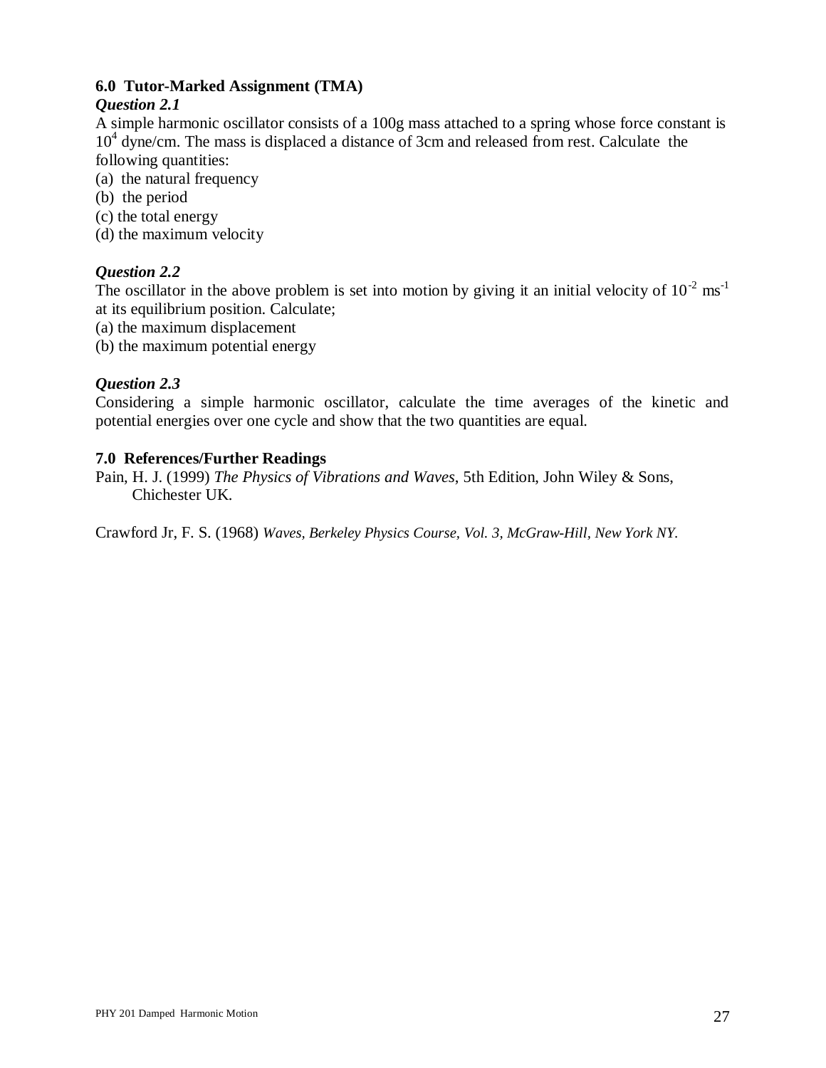## **6.0 Tutor-Marked Assignment (TMA)**

## *Question 2.1*

A simple harmonic oscillator consists of a 100g mass attached to a spring whose force constant is 10<sup>4</sup> dyne/cm. The mass is displaced a distance of 3cm and released from rest. Calculate the following quantities:

- (a) the natural frequency
- (b) the period
- (c) the total energy
- (d) the maximum velocity

## *Question 2.2*

The oscillator in the above problem is set into motion by giving it an initial velocity of  $10^{-2}$  ms<sup>-1</sup> at its equilibrium position. Calculate;

- (a) the maximum displacement
- (b) the maximum potential energy

## *Question 2.3*

Considering a simple harmonic oscillator, calculate the time averages of the kinetic and potential energies over one cycle and show that the two quantities are equal.

## **7.0 References/Further Readings**

Pain, H. J. (1999) *The Physics of Vibrations and Waves*, 5th Edition, John Wiley & Sons, Chichester UK.

Crawford Jr, F. S. (1968) *Waves, Berkeley Physics Course, Vol. 3, McGraw-Hill, New York NY.*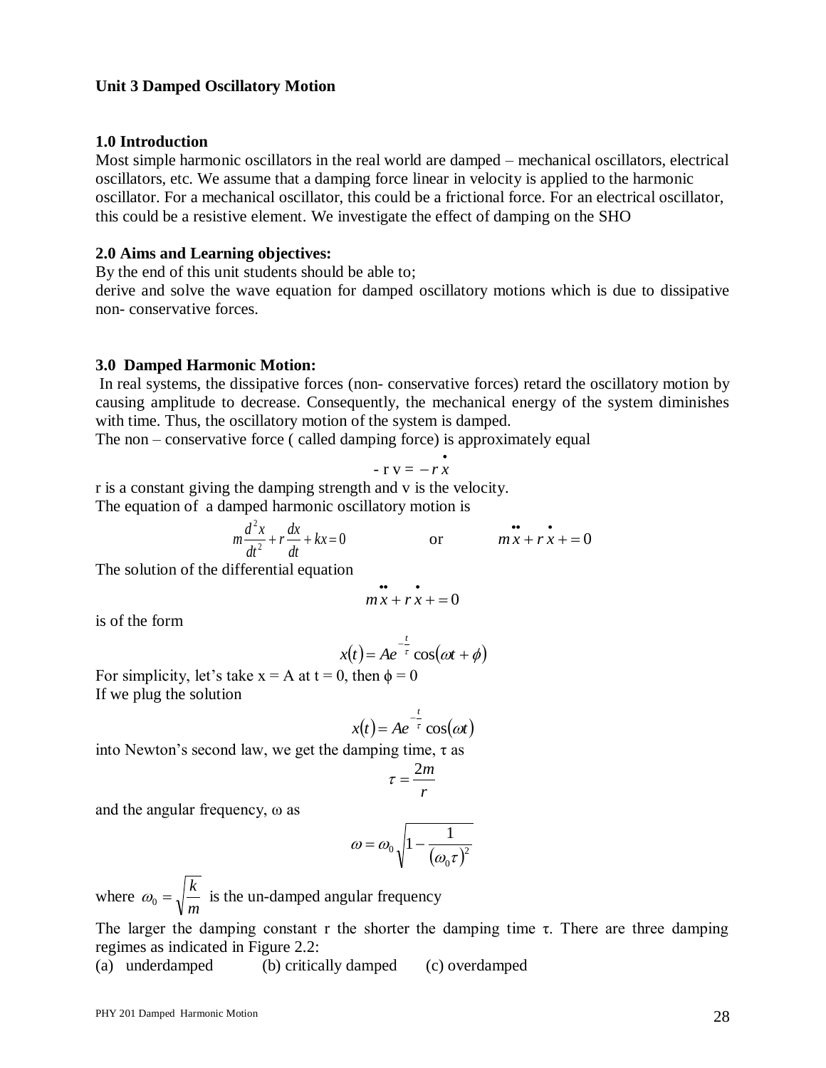#### **Unit 3 Damped Oscillatory Motion**

#### **1.0 Introduction**

Most simple harmonic oscillators in the real world are damped – mechanical oscillators, electrical oscillators, etc. We assume that a damping force linear in velocity is applied to the harmonic oscillator. For a mechanical oscillator, this could be a frictional force. For an electrical oscillator, this could be a resistive element. We investigate the effect of damping on the SHO

#### **2.0 Aims and Learning objectives:**

By the end of this unit students should be able to;

derive and solve the wave equation for damped oscillatory motions which is due to dissipative non- conservative forces.

#### **3.0 Damped Harmonic Motion:**

In real systems, the dissipative forces (non- conservative forces) retard the oscillatory motion by causing amplitude to decrease. Consequently, the mechanical energy of the system diminishes with time. Thus, the oscillatory motion of the system is damped.

The non – conservative force ( called damping force) is approximately equal

$$
-r v = -r \dot{x}
$$

r is a constant giving the damping strength and v is the velocity. The equation of a damped harmonic oscillatory motion is

$$
m\frac{d^2x}{dt^2} + r\frac{dx}{dt} + kx = 0
$$
 or 
$$
m\ddot{x} + r\dot{x} + 0
$$

The solution of the differential equation

$$
mx + rx + = 0
$$

is of the form

$$
x(t) = Ae^{-\frac{t}{\tau}}\cos(\omega t + \phi)
$$

For simplicity, let's take  $x = A$  at  $t = 0$ , then  $\phi = 0$ If we plug the solution

$$
x(t) = Ae^{-\frac{t}{\tau}}\cos(\omega t)
$$

into Newton's second law, we get the damping time,  $\tau$  as

$$
\tau = \frac{2m}{r}
$$

and the angular frequency, ω as

$$
\omega = \omega_0 \sqrt{1 - \frac{1}{\left(\omega_0 \tau\right)^2}}
$$

where *m*  $\omega_0 = \sqrt{\frac{k}{m}}$  is the un-damped angular frequency

The larger the damping constant r the shorter the damping time  $\tau$ . There are three damping regimes as indicated in Figure 2.2:

(a) underdamped (b) critically damped (c) overdamped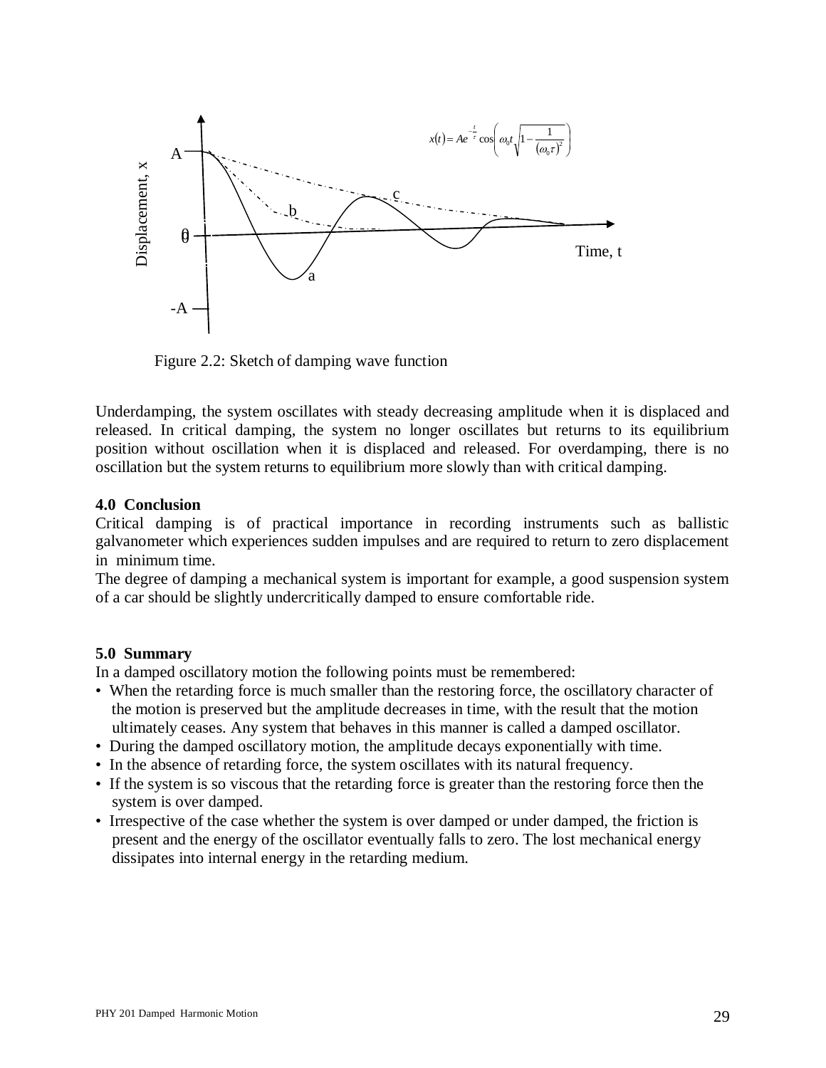

Figure 2.2: Sketch of damping wave function

Underdamping, the system oscillates with steady decreasing amplitude when it is displaced and released. In critical damping, the system no longer oscillates but returns to its equilibrium position without oscillation when it is displaced and released. For overdamping, there is no oscillation but the system returns to equilibrium more slowly than with critical damping.

## **4.0 Conclusion**

Critical damping is of practical importance in recording instruments such as ballistic galvanometer which experiences sudden impulses and are required to return to zero displacement in minimum time.

The degree of damping a mechanical system is important for example, a good suspension system of a car should be slightly undercritically damped to ensure comfortable ride.

## **5.0 Summary**

In a damped oscillatory motion the following points must be remembered:

- When the retarding force is much smaller than the restoring force, the oscillatory character of the motion is preserved but the amplitude decreases in time, with the result that the motion ultimately ceases. Any system that behaves in this manner is called a damped oscillator.
- During the damped oscillatory motion, the amplitude decays exponentially with time.
- In the absence of retarding force, the system oscillates with its natural frequency.
- If the system is so viscous that the retarding force is greater than the restoring force then the system is over damped.
- Irrespective of the case whether the system is over damped or under damped, the friction is present and the energy of the oscillator eventually falls to zero. The lost mechanical energy dissipates into internal energy in the retarding medium.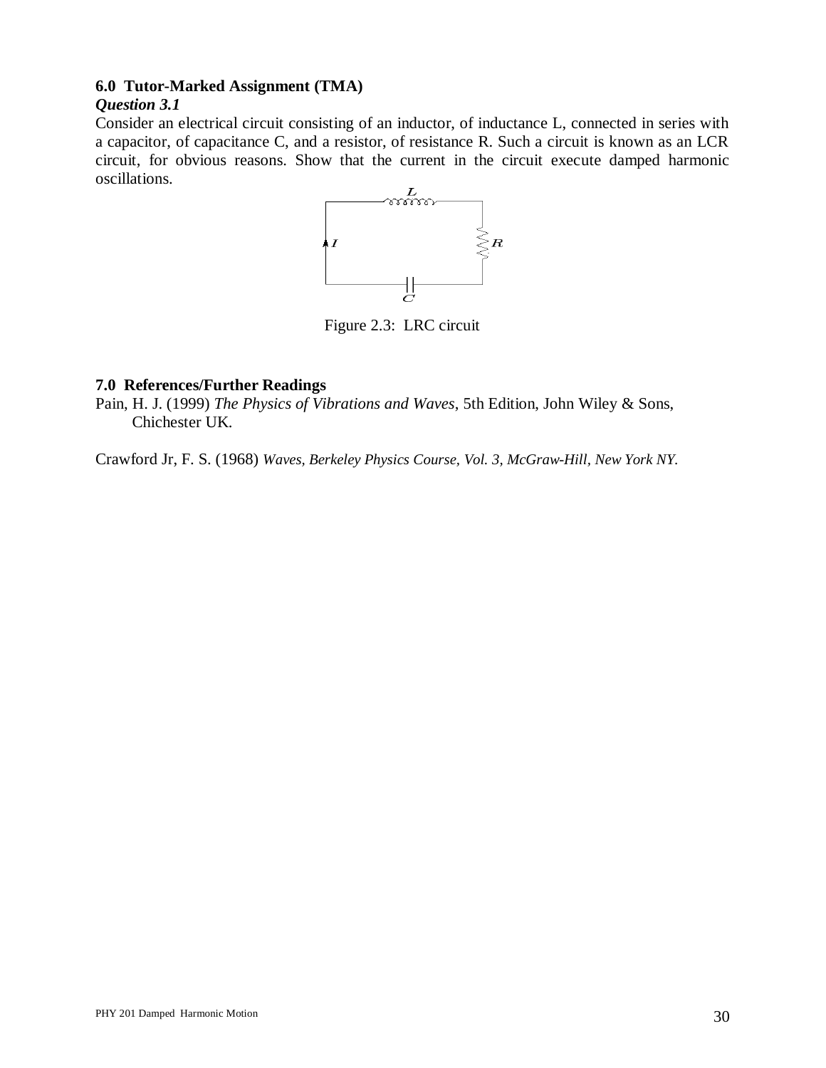## **6.0 Tutor-Marked Assignment (TMA)**

## *Question 3.1*

Consider an electrical circuit consisting of an inductor, of inductance L, connected in series with a capacitor, of capacitance C, and a resistor, of resistance R. Such a circuit is known as an LCR circuit, for obvious reasons. Show that the current in the circuit execute damped harmonic oscillations.



Figure 2.3: LRC circuit

## **7.0 References/Further Readings**

Pain, H. J. (1999) *The Physics of Vibrations and Waves*, 5th Edition, John Wiley & Sons, Chichester UK.

Crawford Jr, F. S. (1968) *Waves, Berkeley Physics Course, Vol. 3, McGraw-Hill, New York NY.*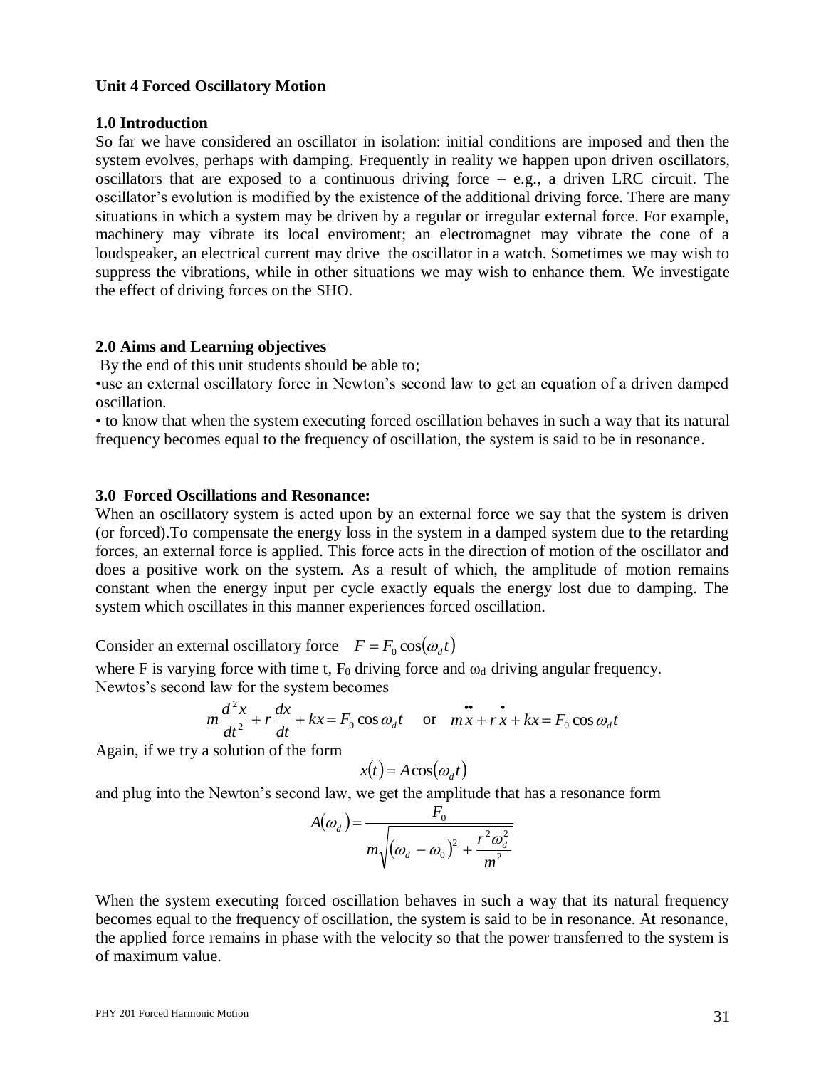#### **Unit 4 Forced Oscillatory Motion**

#### **1.0 Introduction**

So far we have considered an oscillator in isolation: initial conditions are imposed and then the system evolves, perhaps with damping. Frequently in reality we happen upon driven oscillators, oscillators that are exposed to a continuous driving force  $-$  e.g., a driven LRC circuit. The oscillator's evolution is modified by the existence of the additional driving force. There are many situations in which a system may be driven by a regular or irregular external force. For example, machinery may vibrate its local enviroment; an electromagnet may vibrate the cone of a loudspeaker, an electrical current may drive the oscillator in a watch. Sometimes we may wish to suppress the vibrations, while in other situations we may wish to enhance them. We investigate the effect of driving forces on the SHO.

#### **2.0 Aims and Learning objectives**

By the end of this unit students should be able to;

•use an external oscillatory force in Newton's second law to get an equation of a driven damped oscillation.

• to know that when the system executing forced oscillation behaves in such a way that its natural frequency becomes equal to the frequency of oscillation, the system is said to be in resonance.

#### **3.0 Forced Oscillations and Resonance:**

When an oscillatory system is acted upon by an external force we say that the system is driven (or forced).To compensate the energy loss in the system in a damped system due to the retarding forces, an external force is applied. This force acts in the direction of motion of the oscillator and does a positive work on the system. As a result of which, the amplitude of motion remains constant when the energy input per cycle exactly equals the energy lost due to damping. The system which oscillates in this manner experiences forced oscillation.

Consider an external oscillatory force  $F = F_0 \cos(\omega_d t)$ 

where F is varying force with time t,  $F_0$  driving force and  $\omega_d$  driving angular frequency. Newtos's second law for the system becomes

$$
m\frac{d^2x}{dt^2} + r\frac{dx}{dt} + kx = F_0 \cos \omega_d t \quad \text{or} \quad m\ddot{x} + r\dot{x} + kx = F_0 \cos \omega_d t
$$

Again, if we try a solution of the form

$$
x(t) = A\cos(\omega_d t)
$$

and plug into the Newton's second law, we get the amplitude that has a resonance form

$$
A(\omega_d) = \frac{F_0}{m\sqrt{(\omega_d - \omega_0)^2 + \frac{r^2 \omega_d^2}{m^2}}}
$$

When the system executing forced oscillation behaves in such a way that its natural frequency becomes equal to the frequency of oscillation, the system is said to be in resonance. At resonance, the applied force remains in phase with the velocity so that the power transferred to the system is of maximum value.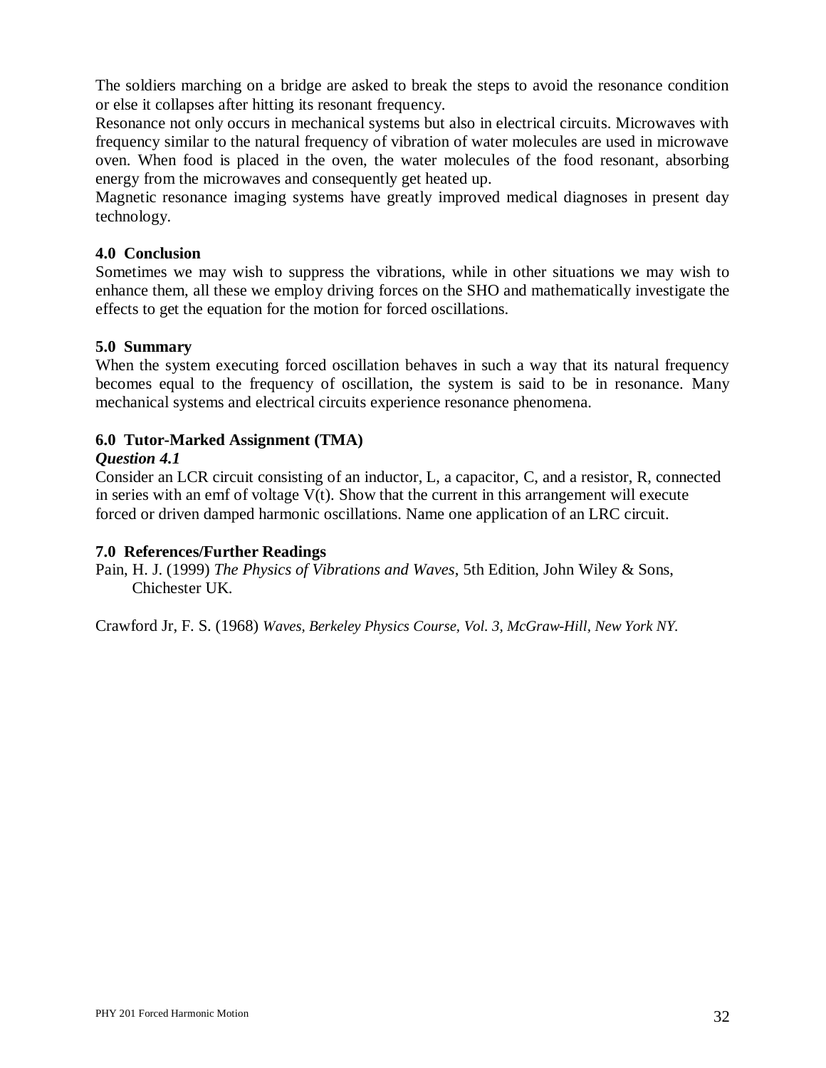The soldiers marching on a bridge are asked to break the steps to avoid the resonance condition or else it collapses after hitting its resonant frequency.

Resonance not only occurs in mechanical systems but also in electrical circuits. Microwaves with frequency similar to the natural frequency of vibration of water molecules are used in microwave oven. When food is placed in the oven, the water molecules of the food resonant, absorbing energy from the microwaves and consequently get heated up.

Magnetic resonance imaging systems have greatly improved medical diagnoses in present day technology.

## **4.0 Conclusion**

Sometimes we may wish to suppress the vibrations, while in other situations we may wish to enhance them, all these we employ driving forces on the SHO and mathematically investigate the effects to get the equation for the motion for forced oscillations.

## **5.0 Summary**

When the system executing forced oscillation behaves in such a way that its natural frequency becomes equal to the frequency of oscillation, the system is said to be in resonance. Many mechanical systems and electrical circuits experience resonance phenomena.

## **6.0 Tutor-Marked Assignment (TMA)**

## *Question 4.1*

Consider an LCR circuit consisting of an inductor, L, a capacitor, C, and a resistor, R, connected in series with an emf of voltage  $V(t)$ . Show that the current in this arrangement will execute forced or driven damped harmonic oscillations. Name one application of an LRC circuit.

## **7.0 References/Further Readings**

Pain, H. J. (1999) *The Physics of Vibrations and Waves*, 5th Edition, John Wiley & Sons, Chichester UK.

Crawford Jr, F. S. (1968) *Waves, Berkeley Physics Course, Vol. 3, McGraw-Hill, New York NY.*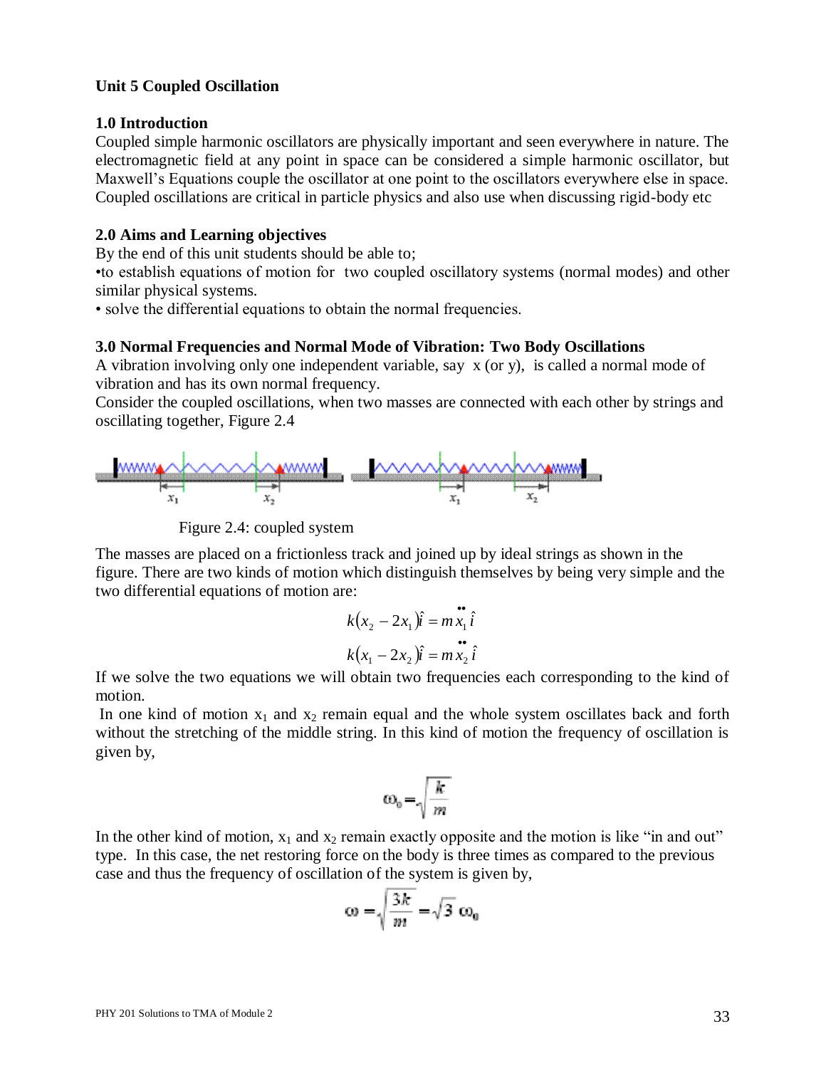#### **Unit 5 Coupled Oscillation**

#### **1.0 Introduction**

Coupled simple harmonic oscillators are physically important and seen everywhere in nature. The electromagnetic field at any point in space can be considered a simple harmonic oscillator, but Maxwell's Equations couple the oscillator at one point to the oscillators everywhere else in space. Coupled oscillations are critical in particle physics and also use when discussing rigid-body etc

#### **2.0 Aims and Learning objectives**

By the end of this unit students should be able to;

•to establish equations of motion for two coupled oscillatory systems (normal modes) and other similar physical systems.

• solve the differential equations to obtain the normal frequencies.

#### **3.0 Normal Frequencies and Normal Mode of Vibration: Two Body Oscillations**

A vibration involving only one independent variable, say x (or y), is called a normal mode of vibration and has its own normal frequency.

Consider the coupled oscillations, when two masses are connected with each other by strings and oscillating together, Figure 2.4



Figure 2.4: coupled system

The masses are placed on a frictionless track and joined up by ideal strings as shown in the figure. There are two kinds of motion which distinguish themselves by being very simple and the two differential equations of motion are:

$$
k(x_2 - 2x_1)\hat{i} = m\ddot{x}_1 \hat{i}
$$
  

$$
k(x_1 - 2x_2)\hat{i} = m\ddot{x}_2 \hat{i}
$$

If we solve the two equations we will obtain two frequencies each corresponding to the kind of motion.

In one kind of motion  $x_1$  and  $x_2$  remain equal and the whole system oscillates back and forth without the stretching of the middle string. In this kind of motion the frequency of oscillation is given by,

$$
\omega_0\!=\!\!\sqrt{\frac{k}{m}}
$$

In the other kind of motion,  $x_1$  and  $x_2$  remain exactly opposite and the motion is like "in and out" type. In this case, the net restoring force on the body is three times as compared to the previous case and thus the frequency of oscillation of the system is given by,

$$
\omega = \sqrt{\frac{3k}{m}} = \sqrt{3} \omega_0
$$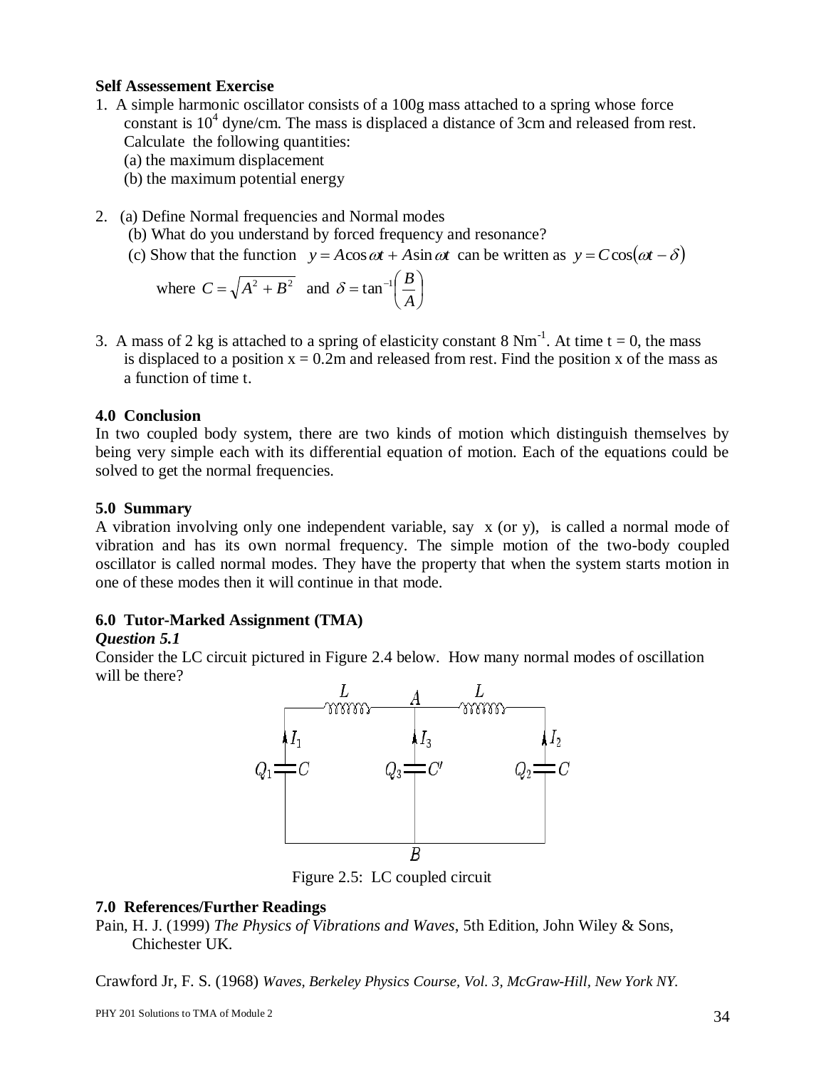## **Self Assessement Exercise**

- 1. A simple harmonic oscillator consists of a 100g mass attached to a spring whose force constant is 10<sup>4</sup> dyne/cm. The mass is displaced a distance of 3cm and released from rest. Calculate the following quantities:
	- (a) the maximum displacement
	- (b) the maximum potential energy
- 2. (a) Define Normal frequencies and Normal modes
	- (b) What do you understand by forced frequency and resonance?
- (c) Show that the function  $y = A\cos \omega t + A\sin \omega t$  can be written as  $y = C\cos(\omega t \delta)$

where 
$$
C = \sqrt{A^2 + B^2}
$$
 and  $\delta = \tan^{-1}\left(\frac{B}{A}\right)$ 

3. A mass of 2 kg is attached to a spring of elasticity constant 8  $Nm^{-1}$ . At time t = 0, the mass is displaced to a position  $x = 0.2m$  and released from rest. Find the position x of the mass as a function of time t.

## **4.0 Conclusion**

In two coupled body system, there are two kinds of motion which distinguish themselves by being very simple each with its differential equation of motion. Each of the equations could be solved to get the normal frequencies.

## **5.0 Summary**

A vibration involving only one independent variable, say x (or y), is called a normal mode of vibration and has its own normal frequency. The simple motion of the two-body coupled oscillator is called normal modes. They have the property that when the system starts motion in one of these modes then it will continue in that mode.

## **6.0 Tutor-Marked Assignment (TMA)**

## *Question 5.1*

Consider the LC circuit pictured in Figure 2.4 below. How many normal modes of oscillation will be there?



Figure 2.5: LC coupled circuit

## **7.0 References/Further Readings**

Pain, H. J. (1999) *The Physics of Vibrations and Waves*, 5th Edition, John Wiley & Sons, Chichester UK.

Crawford Jr, F. S. (1968) *Waves, Berkeley Physics Course, Vol. 3, McGraw-Hill, New York NY.*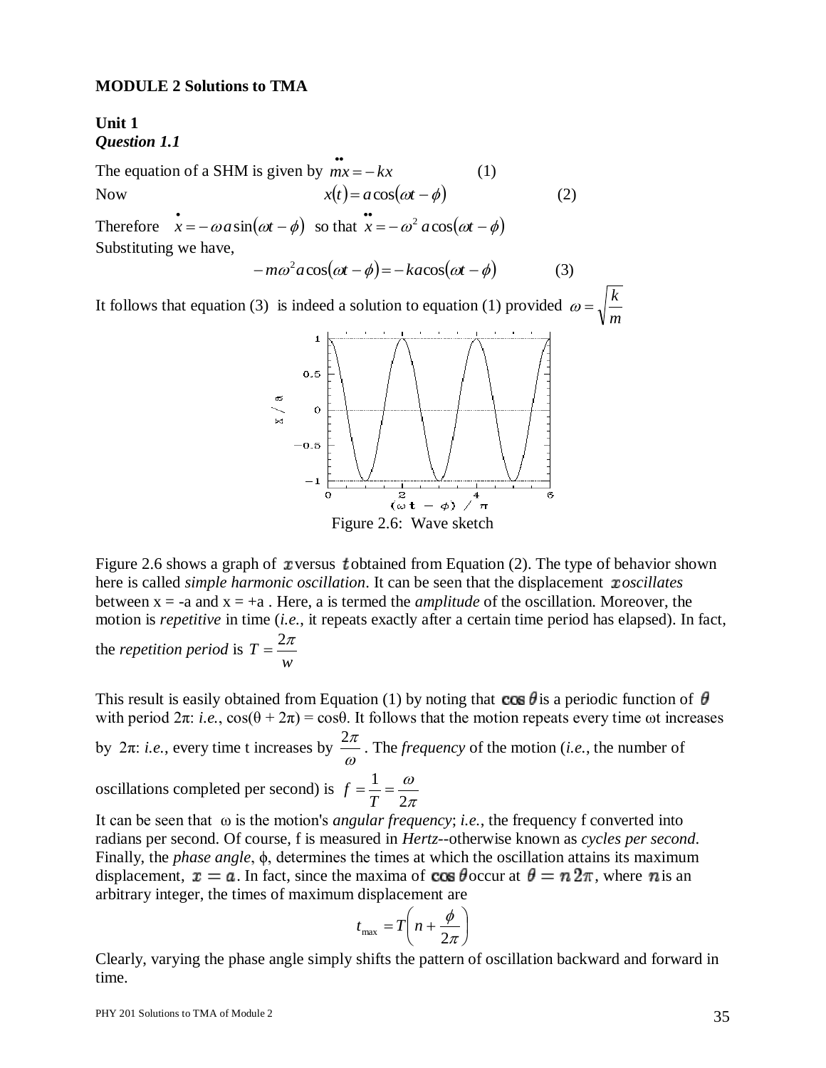#### **MODULE 2 Solutions to TMA**

## **Unit 1** *Question 1.1*

The equation of a SHM is given by  $mx = -kx$  (1) Now  $x(t) = a\cos(\omega t - \phi)$  (2) Therefore  $\vec{x} = -\omega a \sin(\omega t - \phi)$  so that  $\vec{x} = -\omega^2 a \cos(\omega t - \phi)$ 

Substituting we have,

$$
-m\omega^2 a \cos(\omega t - \phi) = -k a \cos(\omega t - \phi)
$$
 (3)

It follows that equation (3) is indeed a solution to equation (1) provided *m*  $\omega = \sqrt{\frac{k}{k}}$ 



Figure 2.6: Wave sketch

Figure 2.6 shows a graph of xversus tobtained from Equation (2). The type of behavior shown here is called *simple harmonic oscillation*. It can be seen that the displacement *xoscillates* between  $x = -a$  and  $x = +a$ . Here, a is termed the *amplitude* of the oscillation. Moreover, the motion is *repetitive* in time (*i.e.*, it repeats exactly after a certain time period has elapsed). In fact,

the *repetition period* is *w*  $T=\frac{2\pi}{2}$ 

This result is easily obtained from Equation (1) by noting that  $\cos \theta$  is a periodic function of  $\theta$ with period  $2\pi$ : *i.e.*,  $\cos(\theta + 2\pi) = \cos\theta$ . It follows that the motion repeats every time  $\omega t$  increases by 2π: *i.e.*, every time t increases by  $\frac{2\pi}{\omega}$  $\frac{2\pi}{\pi}$ . The *frequency* of the motion (*i.e.*, the number of oscillations completed per second) is  $f = \frac{1}{T} = \frac{\omega}{2\pi}$  $\omega$ 2  $=\frac{1}{-}$ *T f*

It can be seen that ω is the motion's *angular frequency*; *i.e.*, the frequency f converted into radians per second. Of course, f is measured in *Hertz*--otherwise known as *cycles per second*. Finally, the *phase angle*, ϕ, determines the times at which the oscillation attains its maximum displacement,  $x = a$ . In fact, since the maxima of  $\cos \theta$  occur at  $\theta = n \, 2\pi$ , where n is an arbitrary integer, the times of maximum displacement are

$$
t_{\max} = T\left(n + \frac{\phi}{2\pi}\right)
$$

Clearly, varying the phase angle simply shifts the pattern of oscillation backward and forward in time.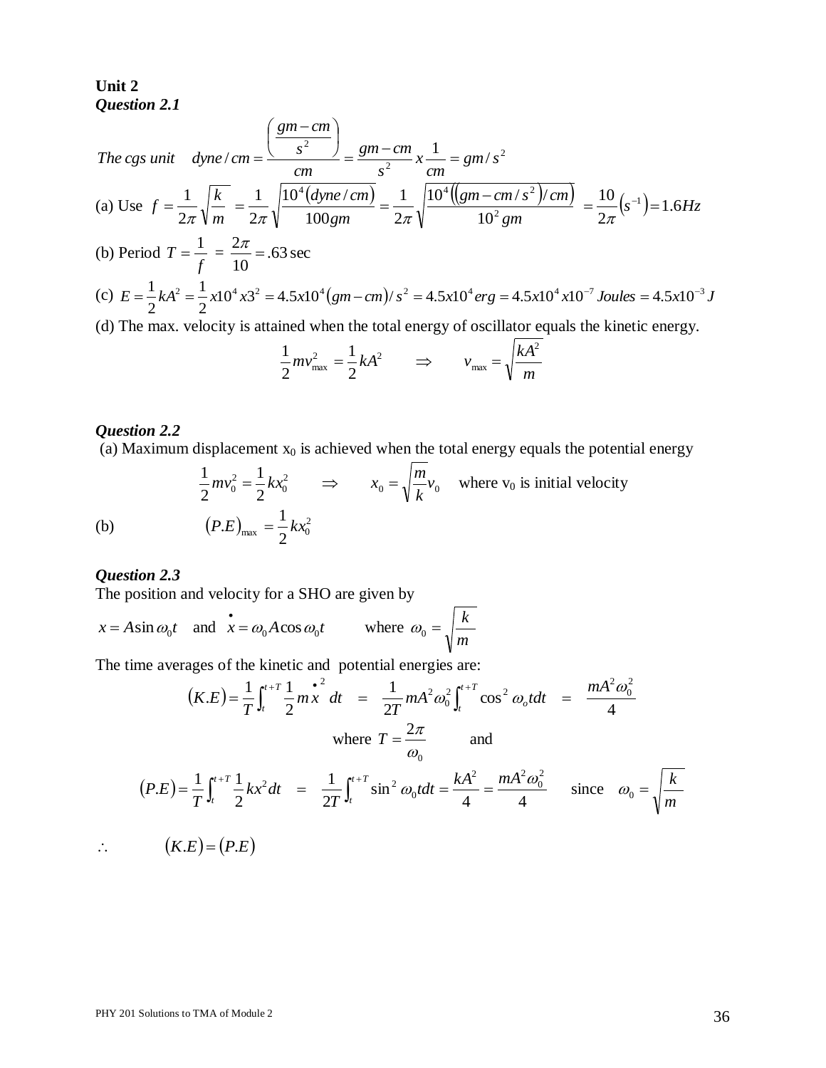**Unit 2** *Question 2.1*

The cgs unit 
$$
dyne/cm = \frac{\left(\frac{gm-cm}{s^2}\right)}{cm} = \frac{gm-cm}{s^2}x\frac{1}{cm} = gm/s^2
$$
  
\n(a) Use  $f = \frac{1}{2\pi}\sqrt{\frac{k}{m}} = \frac{1}{2\pi}\sqrt{\frac{10^4(dyne/cm)}{100gm}} = \frac{1}{2\pi}\sqrt{\frac{10^4((gm-cm/s^2)/cm)}{10^2gm}} = \frac{10}{2\pi}(s^{-1}) = 1.6Hz$   
\n(b) Period  $T = \frac{1}{f} = \frac{2\pi}{10} = .63 \text{ sec}$   
\n(c)  $E = \frac{1}{2}kA^2 = \frac{1}{2}x10^4x3^2 = 4.5x10^4(gm-cm)/s^2 = 4.5x10^4erg = 4.5x10^4x10^{-7}Joules = 4.5x10^{-3}J$   
\n(d) The max. velocity is attained when the total energy of oscillator equals the kinetic energy.  
\n $\frac{1}{kA^2}$ 

$$
\frac{1}{2}mv_{\text{max}}^2 = \frac{1}{2}kA^2 \qquad \Rightarrow \qquad v_{\text{max}} = \sqrt{\frac{kA^2}{m}}
$$

## *Question 2.2*

(a) Maximum displacement  $x_0$  is achieved when the total energy equals the potential energy

$$
\frac{1}{2}mv_0^2 = \frac{1}{2}kx_0^2 \implies x_0 = \sqrt{\frac{m}{k}}v_0 \text{ where } v_0 \text{ is initial velocity}
$$
  
(*P.E*)<sub>max</sub> =  $\frac{1}{2}kx_0^2$ 

(b)

# *Question 2.3*

The position and velocity for a SHO are given by

$$
x = A \sin \omega_0 t
$$
 and  $\mathbf{x} = \omega_0 A \cos \omega_0 t$  where  $\omega_0 = \sqrt{\frac{k}{m}}$ 

The time averages of the kinetic and potential energies are:

$$
(K.E) = \frac{1}{T} \int_{t}^{t+T} \frac{1}{2} m x^{2} dt = \frac{1}{2T} m A^{2} \omega_{0}^{2} \int_{t}^{t+T} \cos^{2} \omega_{0} t dt = \frac{m A^{2} \omega_{0}^{2}}{4}
$$
  
where  $T = \frac{2\pi}{\omega_{0}}$  and  

$$
(P.E) = \frac{1}{T} \int_{t}^{t+T} \frac{1}{2} k x^{2} dt = \frac{1}{2T} \int_{t}^{t+T} \sin^{2} \omega_{0} t dt = \frac{k A^{2}}{4} = \frac{m A^{2} \omega_{0}^{2}}{4}
$$
 since  $\omega_{0} = \sqrt{\frac{k}{m}}$   

$$
\therefore (K.E) = (P.E)
$$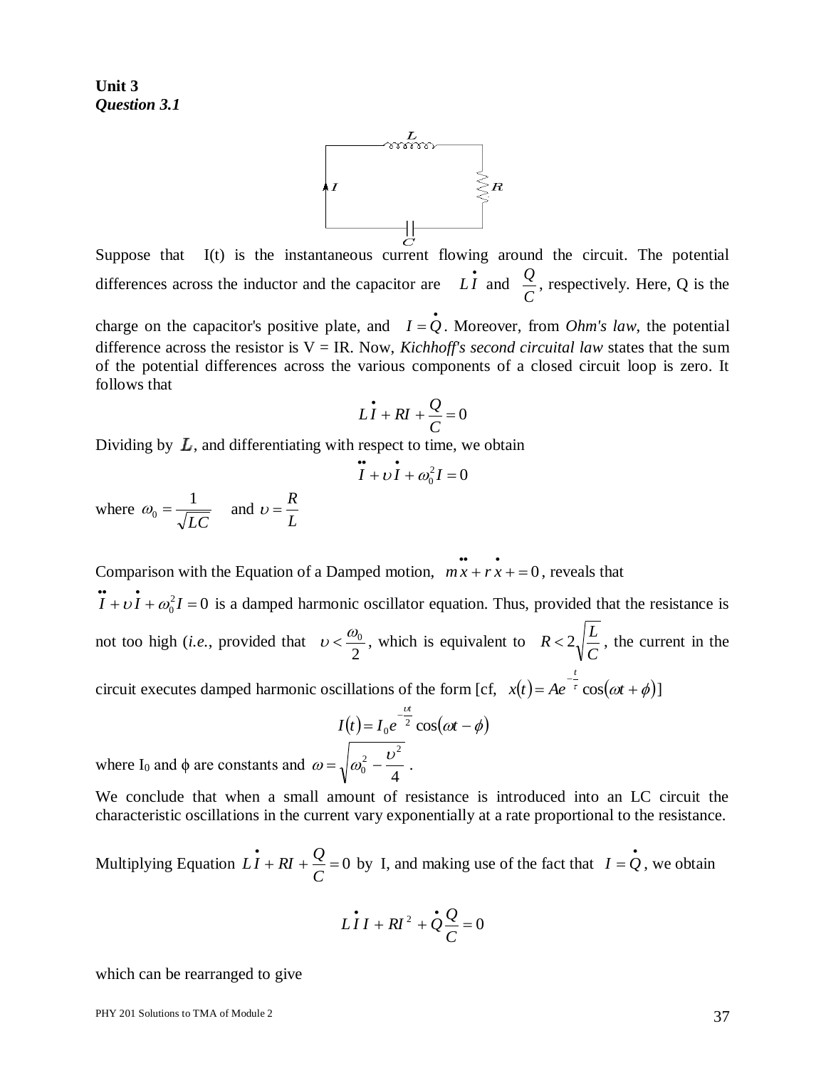**Unit 3** *Question 3.1*



Suppose that I(t) is the instantaneous current flowing around the circuit. The potential differences across the inductor and the capacitor are  $\overrightarrow{LI}$  and *C*  $\frac{Q}{q}$ , respectively. Here, Q is the

charge on the capacitor's positive plate, and  $I = \dot{Q}$ . Moreover, from *Ohm's law*, the potential difference across the resistor is  $V = IR$ . Now, *Kichhoff's second circuital law* states that the sum of the potential differences across the various components of a closed circuit loop is zero. It follows that

$$
L\dot{I} + RI + \frac{Q}{C} = 0
$$

Dividing by  $L$ , and differentiating with respect to time, we obtain

$$
\ddot{I} + \nu \dot{I} + \omega_0^2 I = 0
$$

where *LC*  $\omega_0 = \frac{1}{\sqrt{LC}}$  and  $\upsilon = \frac{R}{L}$  $v = \frac{R}{a}$ 

Comparison with the Equation of a Damped motion,  $\vec{m} \cdot \vec{x} + \vec{x} = 0$ , reveals that

 $I + vI + \omega_0^2 I = 0$  is a damped harmonic oscillator equation. Thus, provided that the resistance is not too high (*i.e.*, provided that 2  $v < \frac{\omega_0}{\omega}$ , which is equivalent to *C*  $R < 2 \sqrt{\frac{L}{m}}$ , the current in the circuit executes damped harmonic oscillations of the form [cf,  $x(t) = Ae^{-\frac{t}{\tau}} \cos(\omega t + \phi)$ ] *t*  $\cos(\omega t + \phi)$ ]

$$
I(t) = I_0 e^{-\frac{Ut}{2}} \cos(\omega t - \phi)
$$

$$
\sqrt{\omega_0^2 - \frac{U^2}{4}}.
$$

where I<sub>0</sub> and  $\phi$  are constants and  $\omega = \sqrt{\omega_0^2 - \frac{\omega}{\epsilon}}$ . 4  $\overline{0}$ 

We conclude that when a small amount of resistance is introduced into an LC circuit the characteristic oscillations in the current vary exponentially at a rate proportional to the resistance.

Multiplying Equation  $\mathbf{L}\mathbf{\hat{I}} + \mathbf{R}\mathbf{I} + \frac{Q}{g} = 0$ *C*  $\vec{LI} + \vec{RI} + \frac{Q}{q} = 0$  by I, and making use of the fact that  $\vec{I} = \vec{Q}$ , we obtain

$$
LII + RI^2 + Q\frac{Q}{C} = 0
$$

which can be rearranged to give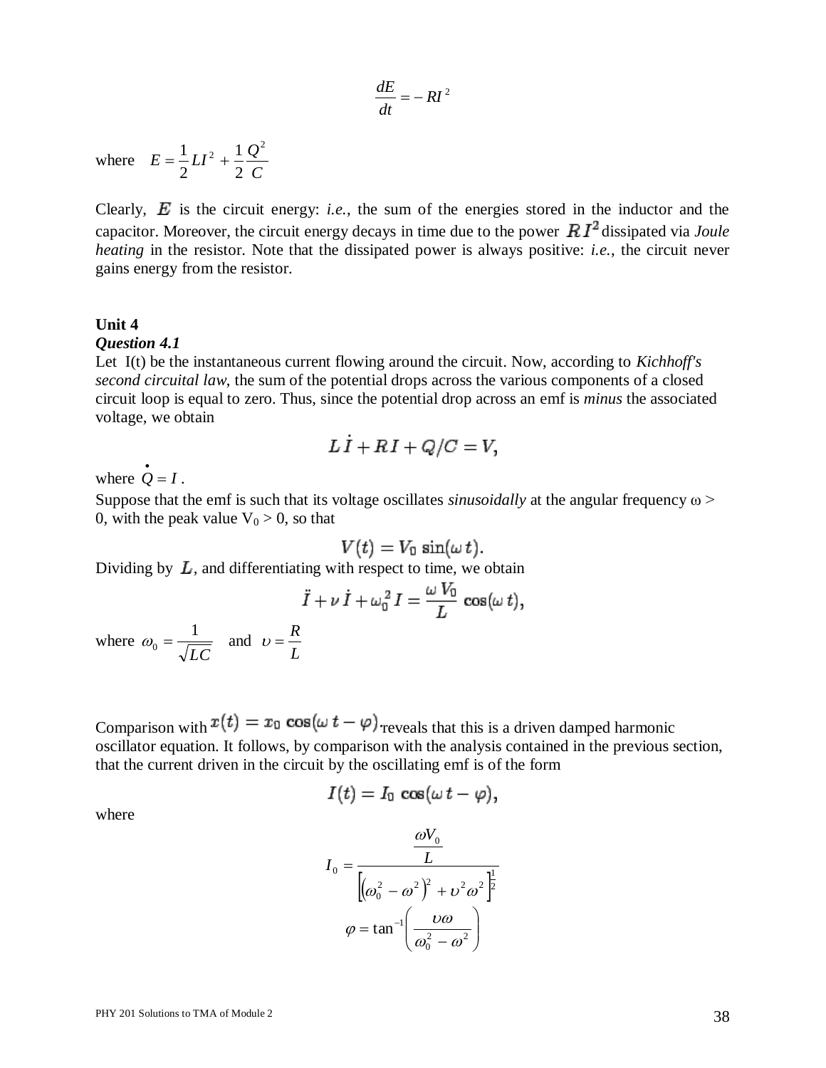$$
\frac{dE}{dt} = -RI^2
$$

where *C*  $E = \frac{1}{2}LI^{2} + \frac{1}{2}\frac{Q}{Z}$  $\frac{1}{2}$  1  $\mathcal{Q}^2$ 2 1 2  $=\frac{1}{2}LI^{2} +$ 

where  $E = \frac{1}{2}LI^2 + \frac{1}{2}\frac{Q^2}{C}$ <br>Clearly,  $E$  is the critectic energy, i.e., the sum of the energies stored in the inductor and the<br>representations to Theorem is energy to the case of the case of Module 2 and the case Clearly,  $E$  is the circuit energy: *i.e.*, the sum of the energies stored in the inductor and the capacitor. Moreover, the circuit energy decays in time due to the power  $R I<sup>2</sup>$  dissipated via *Joule heating* in the resistor. Note that the dissipated power is always positive: *i.e.*, the circuit never gains energy from the resistor.

#### **Unit 4**

#### *Question 4.1*

Let I(t) be the instantaneous current flowing around the circuit. Now, according to *Kichhoff's second circuital law*, the sum of the potential drops across the various components of a closed circuit loop is equal to zero. Thus, since the potential drop across an emf is *minus* the associated voltage, we obtain

$$
L\dot{I} + RI + Q/C = V,
$$

where  $\dot{Q} = I$ .

Suppose that the emf is such that its voltage oscillates *sinusoidally* at the angular frequency ω > 0, with the peak value  $V_0 > 0$ , so that

$$
V(t)=V_0\,\sin(\omega\,t)
$$

Dividing by  $L$ , and differentiating with respect to time, we obtain

$$
\ddot{I} + \nu \dot{I} + \omega_0^2 I = \frac{\omega V_0}{L} \cos(\omega t)
$$
  

$$
\omega_0 = \frac{1}{\sqrt{LC}} \text{ and } \nu = \frac{R}{L}
$$

where *LC*

Comparison with  $x(t) = x_0 \cos(\omega t - \varphi)$  reveals that this is a driven damped harmonic oscillator equation. It follows, by comparison with the analysis contained in the previous section, that the current driven in the circuit by the oscillating emf is of the form

$$
I(t)=I_0\,\cos(\omega\,t-\varphi),
$$

where

$$
I_0 = \frac{\omega V_0}{L}
$$

$$
I_0 = \frac{L}{\left[\omega_0^2 - \omega^2\right)^2 + \omega^2 \omega^2\right]^{\frac{1}{2}}}
$$

$$
\varphi = \tan^{-1}\left(\frac{\omega \omega}{\omega_0^2 - \omega^2}\right)
$$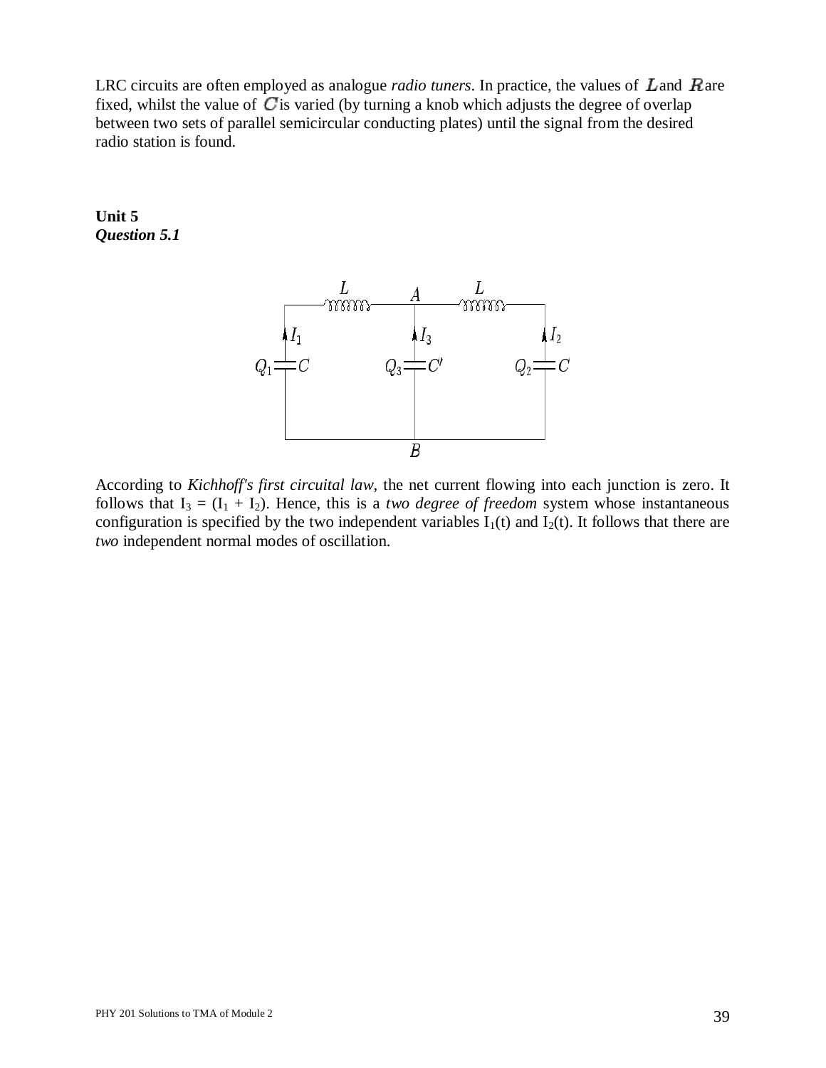LRC circuits are often employed as analogue *radio tuners*. In practice, the values of  $L$  and  $R$  are fixed, whilst the value of  $C$  is varied (by turning a knob which adjusts the degree of overlap between two sets of parallel semicircular conducting plates) until the signal from the desired radio station is found.

## **Unit 5** *Question 5.1*



According to *Kichhoff's first circuital law*, the net current flowing into each junction is zero. It follows that  $I_3 = (I_1 + I_2)$ . Hence, this is a *two degree of freedom* system whose instantaneous configuration is specified by the two independent variables  $I_1(t)$  and  $I_2(t)$ . It follows that there are *two* independent normal modes of oscillation.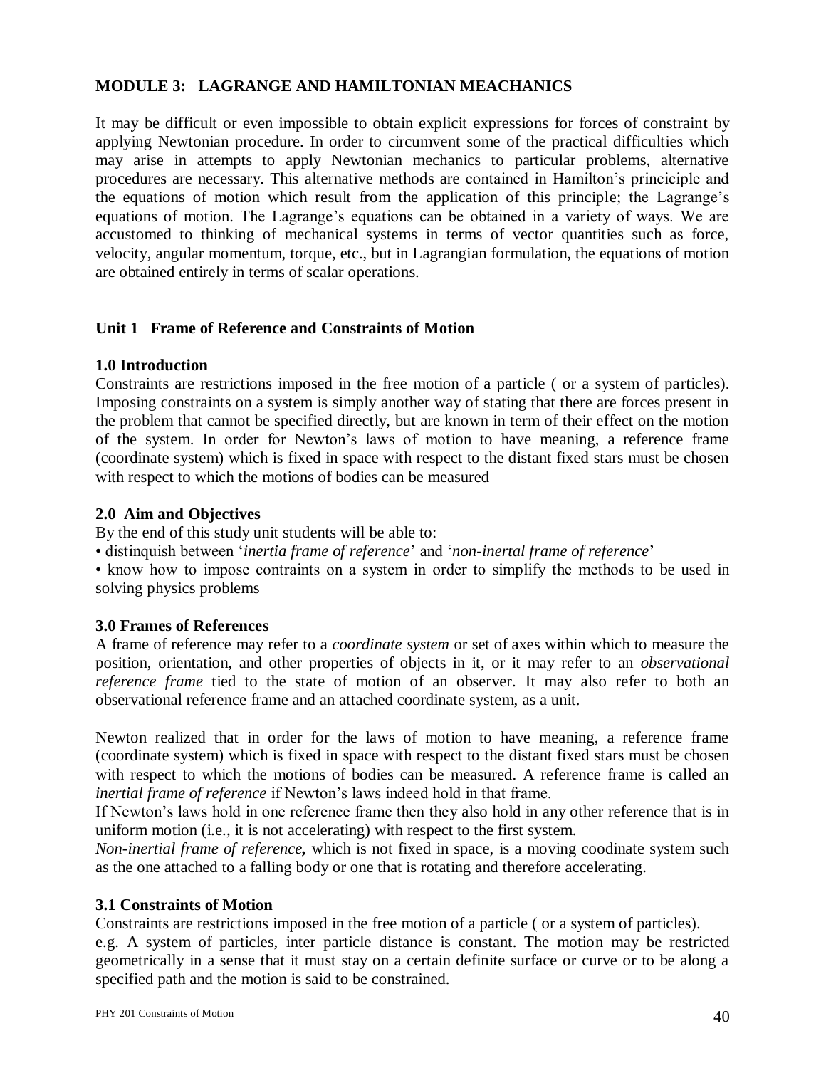## **MODULE 3: LAGRANGE AND HAMILTONIAN MEACHANICS**

It may be difficult or even impossible to obtain explicit expressions for forces of constraint by applying Newtonian procedure. In order to circumvent some of the practical difficulties which may arise in attempts to apply Newtonian mechanics to particular problems, alternative procedures are necessary. This alternative methods are contained in Hamilton's princiciple and the equations of motion which result from the application of this principle; the Lagrange's equations of motion. The Lagrange's equations can be obtained in a variety of ways. We are accustomed to thinking of mechanical systems in terms of vector quantities such as force, velocity, angular momentum, torque, etc., but in Lagrangian formulation, the equations of motion are obtained entirely in terms of scalar operations.

## **Unit 1 Frame of Reference and Constraints of Motion**

#### **1.0 Introduction**

Constraints are restrictions imposed in the free motion of a particle ( or a system of particles). Imposing constraints on a system is simply another way of stating that there are forces present in the problem that cannot be specified directly, but are known in term of their effect on the motion of the system. In order for Newton's laws of motion to have meaning, a reference frame (coordinate system) which is fixed in space with respect to the distant fixed stars must be chosen with respect to which the motions of bodies can be measured

#### **2.0 Aim and Objectives**

By the end of this study unit students will be able to:

• distinquish between '*inertia frame of reference*' and '*non-inertal frame of reference*'

• know how to impose contraints on a system in order to simplify the methods to be used in solving physics problems

## **3.0 Frames of References**

A frame of reference may refer to a *coordinate system* or set of axes within which to measure the position, orientation, and other properties of objects in it, or it may refer to an *observational reference frame* tied to the state of motion of an observer. It may also refer to both an observational reference frame and an attached coordinate system, as a unit.

Newton realized that in order for the laws of motion to have meaning, a reference frame (coordinate system) which is fixed in space with respect to the distant fixed stars must be chosen with respect to which the motions of bodies can be measured. A reference frame is called an *inertial frame of reference* if Newton's laws indeed hold in that frame.

If Newton's laws hold in one reference frame then they also hold in any other reference that is in uniform motion (i.e., it is not accelerating) with respect to the first system.

*Non-inertial frame of reference,* which is not fixed in space, is a moving coodinate system such as the one attached to a falling body or one that is rotating and therefore accelerating.

## **3.1 Constraints of Motion**

Constraints are restrictions imposed in the free motion of a particle ( or a system of particles).

e.g. A system of particles, inter particle distance is constant. The motion may be restricted geometrically in a sense that it must stay on a certain definite surface or curve or to be along a specified path and the motion is said to be constrained.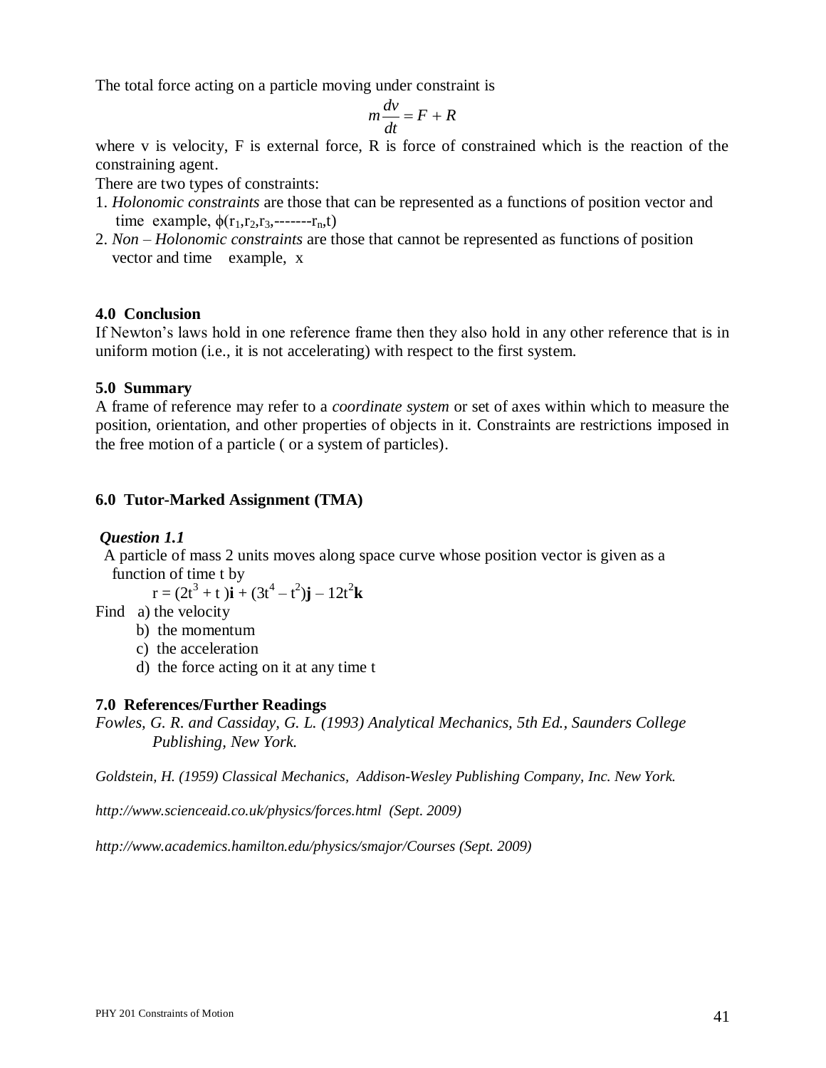The total force acting on a particle moving under constraint is

$$
m\frac{dv}{dt} = F + R
$$

where v is velocity, F is external force, R is force of constrained which is the reaction of the constraining agent.

There are two types of constraints:

- 1. *Holonomic constraints* are those that can be represented as a functions of position vector and time example,  $\phi(r_1, r_2, r_3, \dots, r_n, t)$
- 2. *Non – Holonomic constraints* are those that cannot be represented as functions of position vector and time example, x

## **4.0 Conclusion**

If Newton's laws hold in one reference frame then they also hold in any other reference that is in uniform motion (i.e., it is not accelerating) with respect to the first system.

#### **5.0 Summary**

A frame of reference may refer to a *coordinate system* or set of axes within which to measure the position, orientation, and other properties of objects in it. Constraints are restrictions imposed in the free motion of a particle ( or a system of particles).

## **6.0 Tutor-Marked Assignment (TMA)**

## *Question 1.1*

 A particle of mass 2 units moves along space curve whose position vector is given as a function of time t by

 $r = (2t^3 + t)\mathbf{i} + (3t^4 - t^2)\mathbf{j} - 12t^2\mathbf{k}$ 

- Find a) the velocity
	- b) the momentum
	- c) the acceleration
	- d) the force acting on it at any time t

## **7.0 References/Further Readings**

*Fowles, G. R. and Cassiday, G. L. (1993) Analytical Mechanics, 5th Ed., Saunders College Publishing, New York.*

*Goldstein, H. (1959) Classical Mechanics, Addison-Wesley Publishing Company, Inc. New York.*

*http://www.scienceaid.co.uk/physics/forces.html (Sept. 2009)*

*http://www.academics.hamilton.edu/physics/smajor/Courses (Sept. 2009)*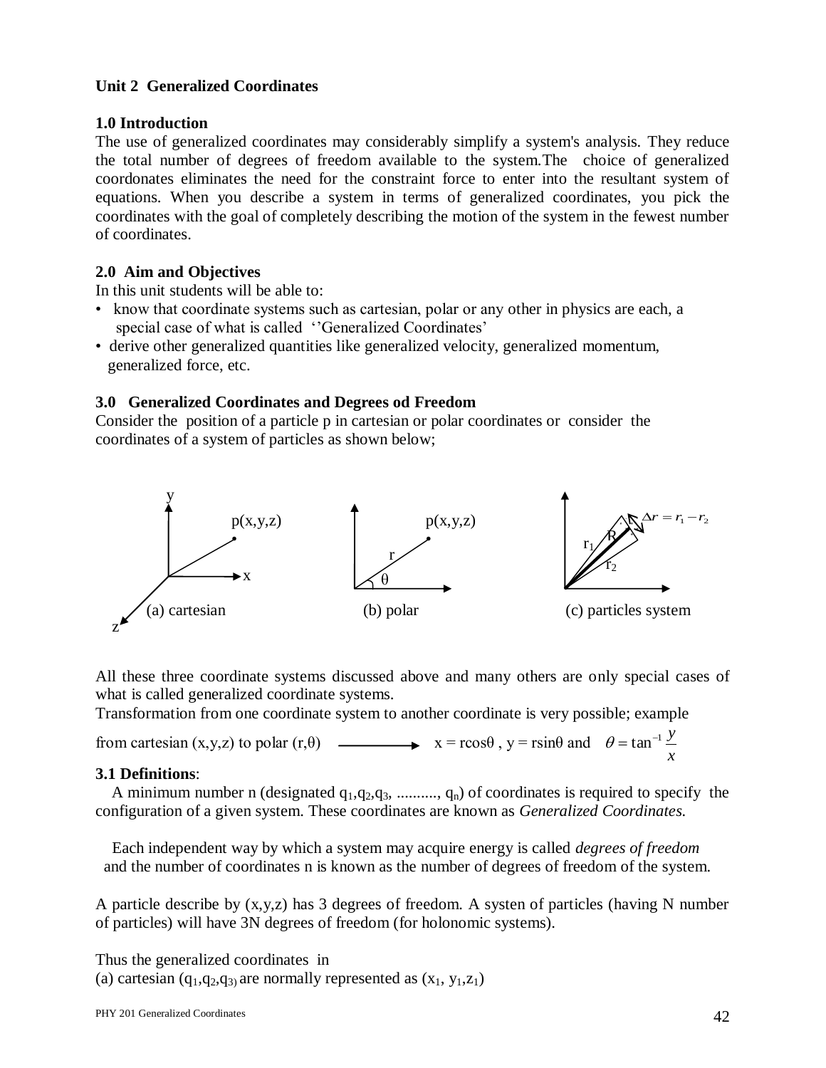## **Unit 2 Generalized Coordinates**

## **1.0 Introduction**

The use of generalized coordinates may considerably simplify a system's analysis. They reduce the total number of degrees of freedom available to the system.The choice of generalized coordonates eliminates the need for the constraint force to enter into the resultant system of equations. When you describe a system in terms of generalized coordinates, you pick the coordinates with the goal of completely describing the motion of the system in the fewest number of coordinates.

# **2.0 Aim and Objectives**

In this unit students will be able to:

- know that coordinate systems such as cartesian, polar or any other in physics are each, a special case of what is called ''Generalized Coordinates'
- derive other generalized quantities like generalized velocity, generalized momentum, generalized force, etc.

## **3.0 Generalized Coordinates and Degrees od Freedom**

Consider the position of a particle p in cartesian or polar coordinates or consider the coordinates of a system of particles as shown below;



All these three coordinate systems discussed above and many others are only special cases of what is called generalized coordinate systems.

Transformation from one coordinate system to another coordinate is very possible; example

from cartesian  $(x,y,z)$  to polar  $(r,\theta)$   $\longrightarrow x = r\cos\theta$ ,  $y = r\sin\theta$  and *x*  $\theta = \tan^{-1} \frac{y}{x}$ 

## **3.1 Definitions**:

A minimum number n (designated  $q_1, q_2, q_3, \dots, q_n$ ) of coordinates is required to specify the configuration of a given system. These coordinates are known as *Generalized Coordinates.*

Each independent way by which a system may acquire energy is called *degrees of freedom*  and the number of coordinates n is known as the number of degrees of freedom of the system.

A particle describe by (x,y,z) has 3 degrees of freedom. A systen of particles (having N number of particles) will have 3N degrees of freedom (for holonomic systems).

```
Thus the generalized coordinates in 
(a) cartesian (q_1,q_2,q_3) are normally represented as (x_1, y_1,z_1)
```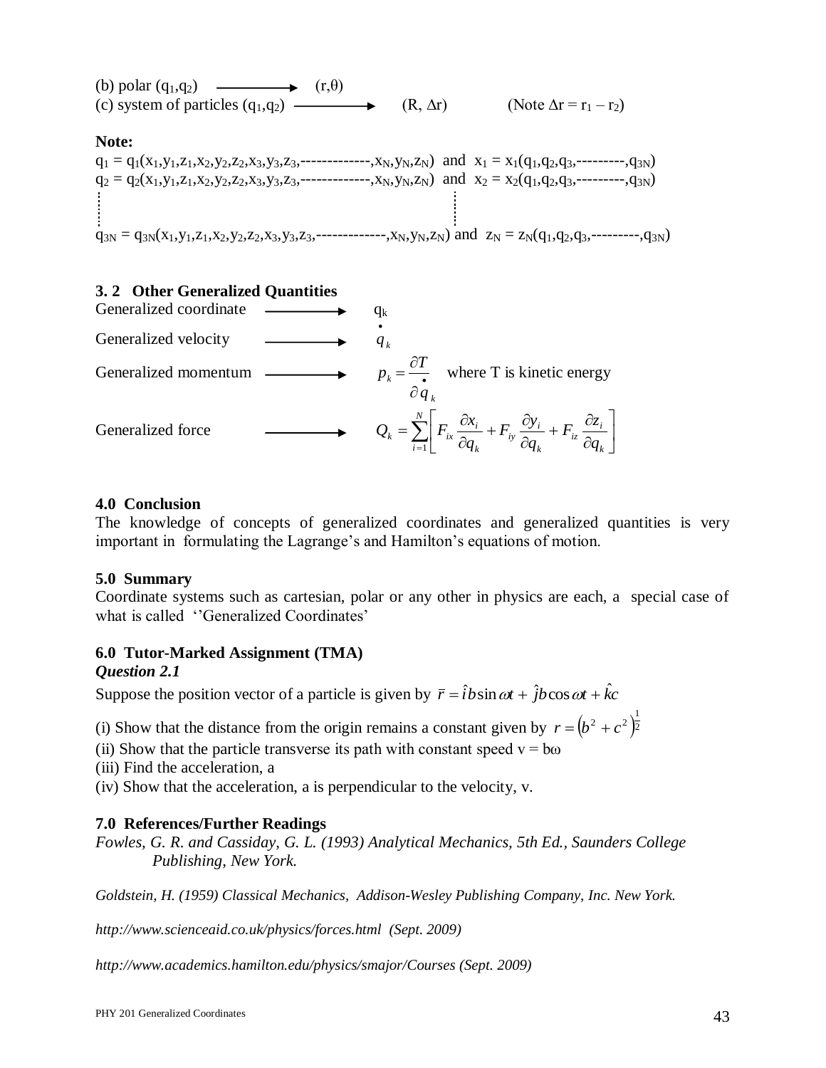

## **3. 2 Other Generalized Quantities**



## **4.0 Conclusion**

The knowledge of concepts of generalized coordinates and generalized quantities is very important in formulating the Lagrange's and Hamilton's equations of motion.

## **5.0 Summary**

Coordinate systems such as cartesian, polar or any other in physics are each, a special case of what is called ''Generalized Coordinates'

# **6.0 Tutor-Marked Assignment (TMA)**

#### *Question 2.1*

Suppose the position vector of a particle is given by  $\bar{r} = \hat{i}b\sin\omega t + \hat{j}b\cos\omega t + \hat{k}c$ 

(i) Show that the distance from the origin remains a constant given by  $r = (b^2 + c^2)^{\frac{1}{2}}$  $r = (b^2 + c^2)^{\frac{1}{2}}$ 

(ii) Show that the particle transverse its path with constant speed  $v = b\omega$ 

(iii) Find the acceleration, a

(iv) Show that the acceleration, a is perpendicular to the velocity, v.

## **7.0 References/Further Readings**

*Fowles, G. R. and Cassiday, G. L. (1993) Analytical Mechanics, 5th Ed., Saunders College Publishing, New York.*

*Goldstein, H. (1959) Classical Mechanics, Addison-Wesley Publishing Company, Inc. New York.*

*http://www.scienceaid.co.uk/physics/forces.html (Sept. 2009)*

*http://www.academics.hamilton.edu/physics/smajor/Courses (Sept. 2009)*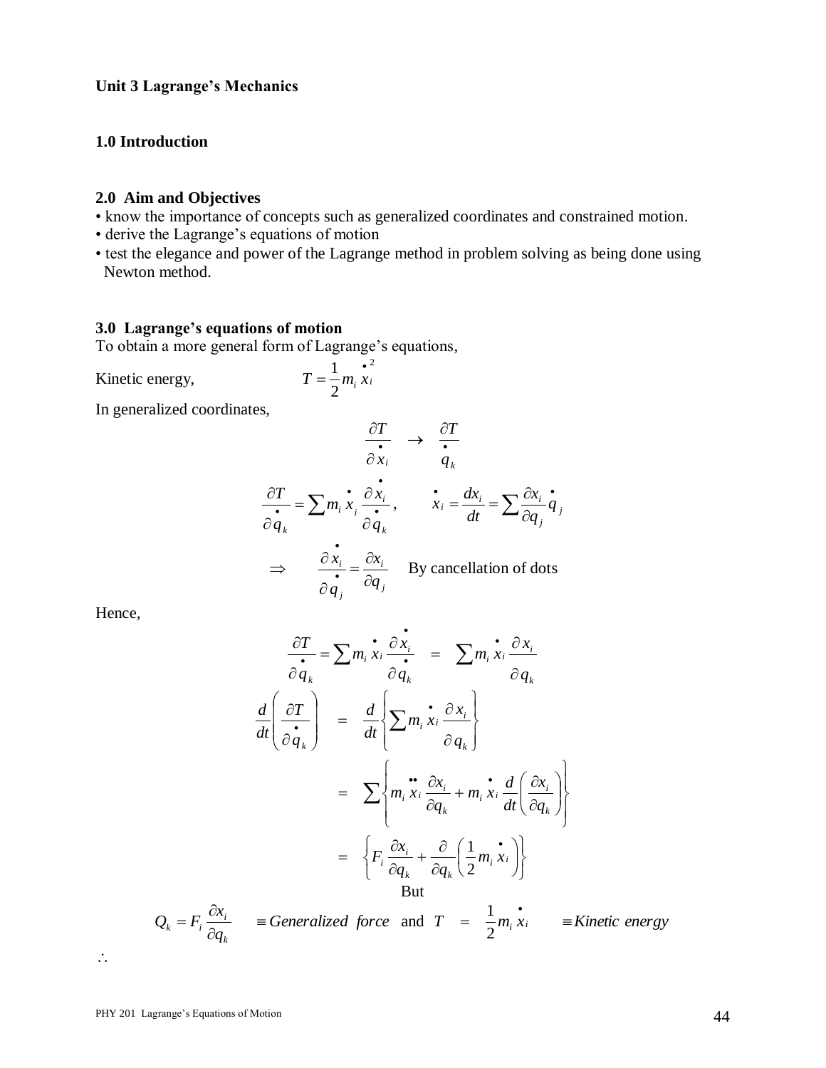## **1.0 Introduction**

#### **2.0 Aim and Objectives**

- know the importance of concepts such as generalized coordinates and constrained motion.
- derive the Lagrange's equations of motion
- test the elegance and power of the Lagrange method in problem solving as being done using Newton method.

## **3.0 Lagrange's equations of motion**

To obtain a more general form of Lagrange's equations,

Kinetic energy, 2 2  $T = \frac{1}{2} m_i \frac{e^2}{x_i}$ 

In generalized coordinates,

$$
\frac{\partial T}{\partial x_i} \rightarrow \frac{\partial T}{\partial x_i}
$$
\n
$$
\frac{\partial T}{\partial q_k} = \sum m_i \dot{x}_i \frac{\partial x_i}{\partial q_k}, \qquad \dot{x}_i = \frac{dx_i}{dt} = \sum \frac{\partial x_i}{\partial q_j} \dot{q}_j
$$
\n
$$
\Rightarrow \qquad \frac{\partial x_i}{\partial q_j} = \frac{\partial x_i}{\partial q_j} \qquad \text{By cancellation of dots}
$$

Hence,

$$
\frac{\partial T}{\partial q_k} = \sum m_i \dot{x}_i \frac{\partial \dot{x}_i}{\partial q_k} = \sum m_i \dot{x}_i \frac{\partial x_i}{\partial q_k}
$$

$$
\frac{d}{dt} \left( \frac{\partial T}{\partial q_k} \right) = \frac{d}{dt} \left\{ \sum m_i \dot{x}_i \frac{\partial x_i}{\partial q_k} \right\}
$$

$$
= \sum \left\{ m_i \ddot{x}_i \frac{\partial x_i}{\partial q_k} + m_i \dot{x}_i \frac{d}{dt} \left( \frac{\partial x_i}{\partial q_k} \right) \right\}
$$

$$
= \left\{ F_i \frac{\partial x_i}{\partial q_k} + \frac{\partial}{\partial q_k} \left( \frac{1}{2} m_i \dot{x}_i \right) \right\}
$$
But

$$
Q_k = F_i \frac{\partial x_i}{\partial q_k} \quad \text{ } \equiv \text{Generalized force} \quad \text{and} \quad T \quad = \quad \frac{1}{2} m_i \dot{x}_i \quad \text{ } \equiv \text{Kinetic energy}
$$

 $\dddot{\mathbf{r}}$ .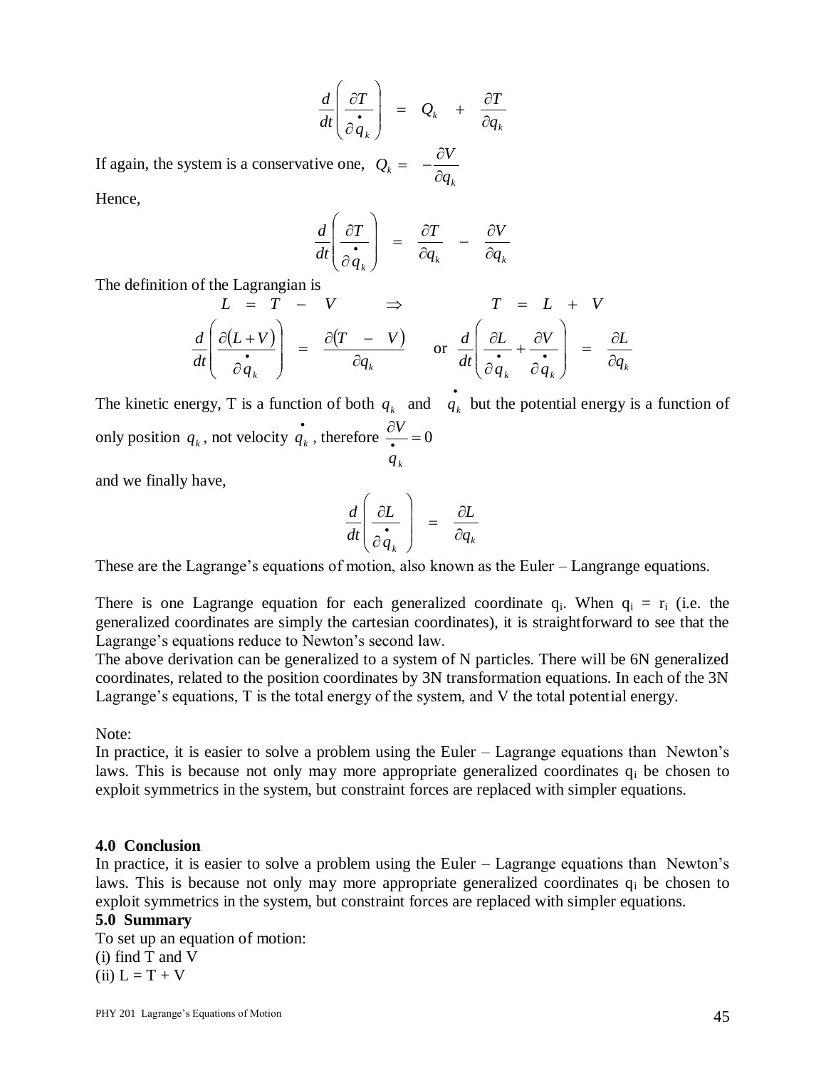$$
\frac{d}{dt}\left(\frac{\partial T}{\partial \dot{q}_k}\right) = Q_k + \frac{\partial T}{\partial q_k}
$$

If again, the system is a conservative one, *k*  $\partial q$  $Q_k = -\frac{\partial V}{\partial x}$  $\partial$  $= -\frac{\partial}{\partial x}$ 

Hence,

$$
\frac{d}{dt}\left(\frac{\partial T}{\partial \dot{q}_k}\right) = \frac{\partial T}{\partial q_k} - \frac{\partial V}{\partial q_k}
$$

The definition of the Lagrangian is

$$
L = T - V \implies T = L + V
$$
  

$$
\frac{d}{dt} \left( \frac{\partial (L + V)}{\partial \dot{q}_k} \right) = \frac{\partial (T - V)}{\partial q_k} \quad \text{or} \quad \frac{d}{dt} \left( \frac{\partial L}{\partial \dot{q}_k} + \frac{\partial V}{\partial \dot{q}_k} \right) = \frac{\partial L}{\partial q_k}
$$

The kinetic energy, T is a function of both  $q_k$  and  $\dot{q}_k$  but the potential energy is a function of only position  $q_k$ , not velocity  $\dot{q}_k$ , therefore  $\frac{\partial V}{\partial q_k} = 0$  *q k V*

and we finally have,

$$
\frac{d}{dt} \left( \frac{\partial L}{\partial \dot{q}_k} \right) = \frac{\partial L}{\partial q_k}
$$

These are the Lagrange's equations of motion, also known as the Euler – Langrange equations.

There is one Lagrange equation for each generalized coordinate  $q_i$ . When  $q_i = r_i$  (i.e. the generalized coordinates are simply the cartesian coordinates), it is straightforward to see that the Lagrange's equations reduce to Newton's second law.

The above derivation can be generalized to a system of N particles. There will be 6N generalized coordinates, related to the position coordinates by 3N transformation equations. In each of the 3N Lagrange's equations, T is the total energy of the system, and V the total potential energy.

Note:

In practice, it is easier to solve a problem using the Euler – Lagrange equations than Newton's laws. This is because not only may more appropriate generalized coordinates  $q_i$  be chosen to exploit symmetrics in the system, but constraint forces are replaced with simpler equations.

#### **4.0 Conclusion**

In practice, it is easier to solve a problem using the Euler – Lagrange equations than Newton's laws. This is because not only may more appropriate generalized coordinates  $q_i$  be chosen to exploit symmetrics in the system, but constraint forces are replaced with simpler equations.

#### **5.0 Summary**

To set up an equation of motion: (i) find T and V  $(ii) L = T + V$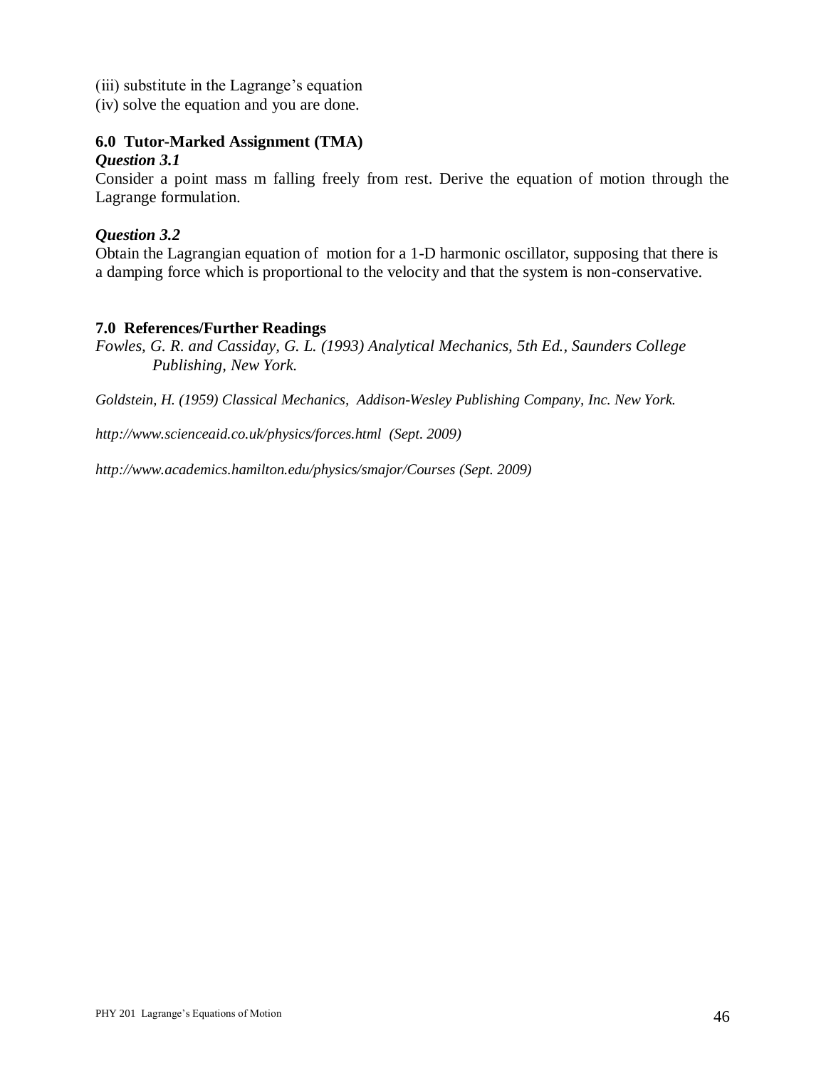- (iii) substitute in the Lagrange's equation
- (iv) solve the equation and you are done.

# **6.0 Tutor-Marked Assignment (TMA)**

## *Question 3.1*

Consider a point mass m falling freely from rest. Derive the equation of motion through the Lagrange formulation.

## *Question 3.2*

Obtain the Lagrangian equation of motion for a 1-D harmonic oscillator, supposing that there is a damping force which is proportional to the velocity and that the system is non-conservative.

## **7.0 References/Further Readings**

*Fowles, G. R. and Cassiday, G. L. (1993) Analytical Mechanics, 5th Ed., Saunders College Publishing, New York.*

*Goldstein, H. (1959) Classical Mechanics, Addison-Wesley Publishing Company, Inc. New York.*

*http://www.scienceaid.co.uk/physics/forces.html (Sept. 2009)*

*http://www.academics.hamilton.edu/physics/smajor/Courses (Sept. 2009)*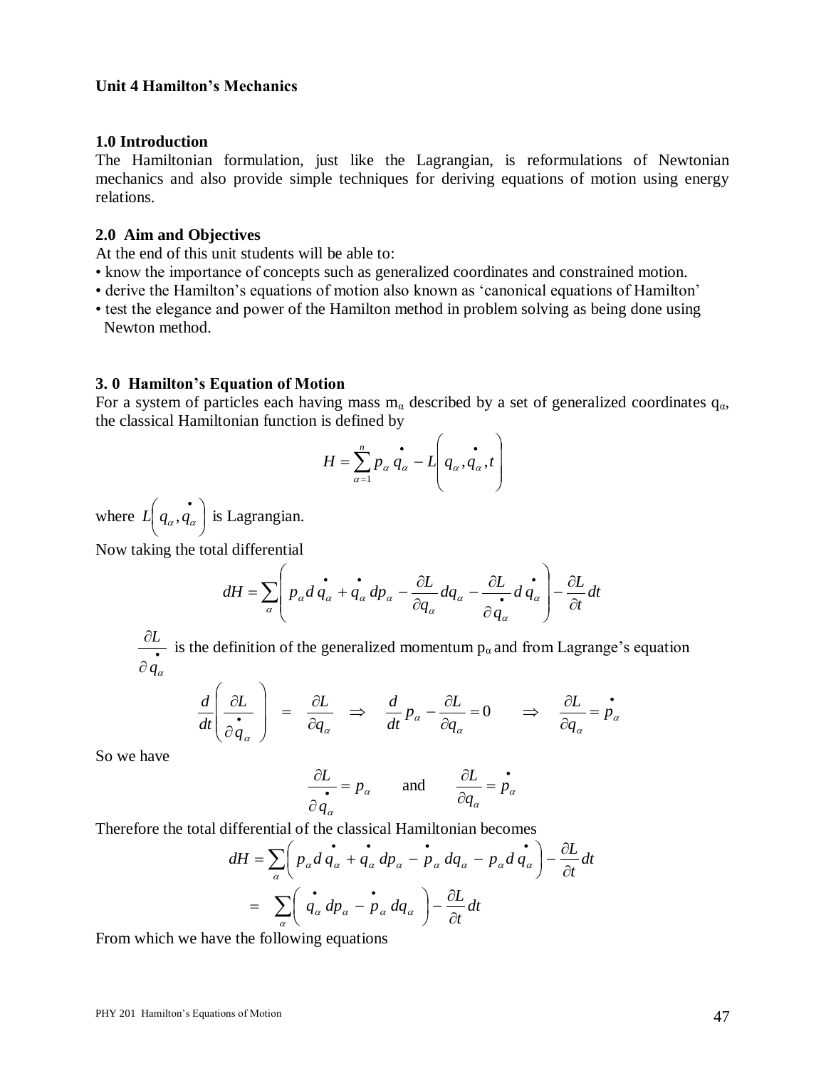#### **Unit 4 Hamilton's Mechanics**

#### **1.0 Introduction**

The Hamiltonian formulation, just like the Lagrangian, is reformulations of Newtonian mechanics and also provide simple techniques for deriving equations of motion using energy relations.

#### **2.0 Aim and Objectives**

At the end of this unit students will be able to:

- know the importance of concepts such as generalized coordinates and constrained motion.
- derive the Hamilton's equations of motion also known as 'canonical equations of Hamilton'
- test the elegance and power of the Hamilton method in problem solving as being done using Newton method.

#### **3. 0 Hamilton's Equation of Motion**

For a system of particles each having mass  $m_\alpha$  described by a set of generalized coordinates  $q_\alpha$ , the classical Hamiltonian function is defined by

$$
H = \sum_{\alpha=1}^{n} p_{\alpha} \dot{q}_{\alpha} - L \left( \dot{q}_{\alpha}, \dot{q}_{\alpha}, t \right)
$$

where  $L | q_\alpha, q_\alpha |$ J  $\left( \begin{smallmatrix} \cdot & \cdot \ q_\alpha, q_\alpha \end{smallmatrix} \right)$  $\setminus$  $L(q_\alpha, \hat{q_\alpha})$  is Lagrangian.

Now taking the total differential

$$
dH = \sum_{\alpha} \left( p_{\alpha} d \dot{q}_{\alpha} + \dot{q}_{\alpha} dp_{\alpha} - \frac{\partial L}{\partial q_{\alpha}} dq_{\alpha} - \frac{\partial L}{\partial \dot{q}_{\alpha}} d \dot{q}_{\alpha} \right) - \frac{\partial L}{\partial t} dt
$$

 $\bullet$  $\partial q_\alpha^{}$  $\frac{\partial L}{\partial \mathbf{r}}$  is the definition of the generalized momentum  $p_{\alpha}$  and from Lagrange's equation

$$
\frac{d}{dt}\left(\frac{\partial L}{\partial \dot{q}_\alpha}\right) = \frac{\partial L}{\partial q_\alpha} \Rightarrow \frac{d}{dt}p_\alpha - \frac{\partial L}{\partial q_\alpha} = 0 \Rightarrow \frac{\partial L}{\partial q_\alpha} = \dot{p}_\alpha
$$

So we have

$$
\frac{\partial L}{\partial q_{\alpha}} = p_{\alpha} \quad \text{and} \quad \frac{\partial L}{\partial q_{\alpha}} = p_{\alpha}
$$

Therefore the total differential of the classical Hamiltonian becomes

$$
dH = \sum_{\alpha} \left( p_{\alpha} d \dot{q}_{\alpha} + \dot{q}_{\alpha} dp_{\alpha} - p_{\alpha} dq_{\alpha} - p_{\alpha} d \dot{q}_{\alpha} \right) - \frac{\partial L}{\partial t} dt
$$
  
= 
$$
\sum_{\alpha} \left( \dot{q}_{\alpha} dp_{\alpha} - \dot{p}_{\alpha} dq_{\alpha} \right) - \frac{\partial L}{\partial t} dt
$$

From which we have the following equations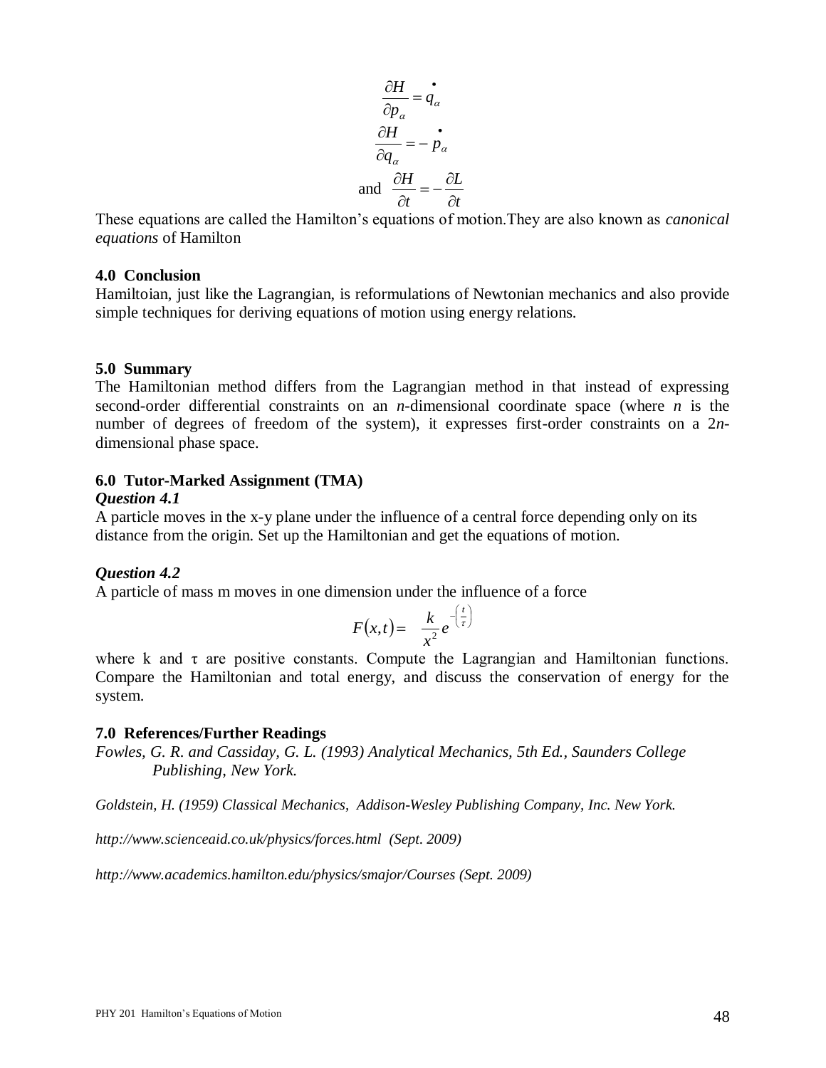$$
\frac{\partial H}{\partial p_{\alpha}} = \dot{q}_{\alpha}
$$

$$
\frac{\partial H}{\partial q_{\alpha}} = -\dot{p}_{\alpha}
$$
and 
$$
\frac{\partial H}{\partial t} = -\frac{\partial L}{\partial t}
$$

These equations are called the Hamilton's equations of motion.They are also known as *canonical equations* of Hamilton

#### **4.0 Conclusion**

Hamiltoian, just like the Lagrangian, is reformulations of Newtonian mechanics and also provide simple techniques for deriving equations of motion using energy relations.

#### **5.0 Summary**

The Hamiltonian method differs from the Lagrangian method in that instead of expressing second-order differential constraints on an *n*-dimensional coordinate space (where *n* is the number of degrees of freedom of the system), it expresses first-order constraints on a 2*n*dimensional phase space.

#### **6.0 Tutor-Marked Assignment (TMA)**

#### *Question 4.1*

A particle moves in the x-y plane under the influence of a central force depending only on its distance from the origin. Set up the Hamiltonian and get the equations of motion.

## *Question 4.2*

A particle of mass m moves in one dimension under the influence of a force

$$
F(x,t) = \frac{k}{x^2}e^{-\left(\frac{t}{\tau}\right)}
$$

where k and  $\tau$  are positive constants. Compute the Lagrangian and Hamiltonian functions. Compare the Hamiltonian and total energy, and discuss the conservation of energy for the system.

#### **7.0 References/Further Readings**

*Fowles, G. R. and Cassiday, G. L. (1993) Analytical Mechanics, 5th Ed., Saunders College Publishing, New York.*

*Goldstein, H. (1959) Classical Mechanics, Addison-Wesley Publishing Company, Inc. New York.*

*http://www.scienceaid.co.uk/physics/forces.html (Sept. 2009)*

*http://www.academics.hamilton.edu/physics/smajor/Courses (Sept. 2009)*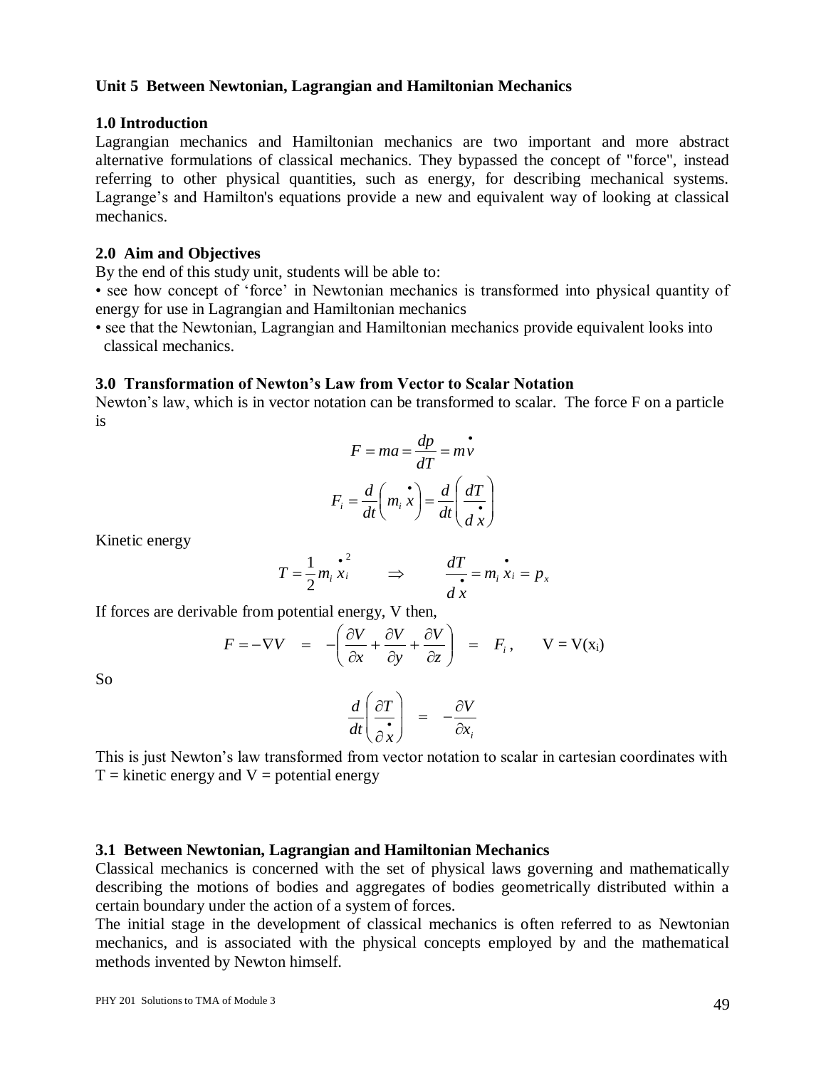#### **Unit 5 Between Newtonian, Lagrangian and Hamiltonian Mechanics**

#### **1.0 Introduction**

Lagrangian mechanics and Hamiltonian mechanics are two important and more abstract alternative formulations of classical mechanics. They bypassed the concept of "force", instead referring to other physical quantities, such as energy, for describing mechanical systems. Lagrange's and Hamilton's equations provide a new and equivalent way of looking at classical mechanics.

#### **2.0 Aim and Objectives**

By the end of this study unit, students will be able to:

• see how concept of 'force' in Newtonian mechanics is transformed into physical quantity of energy for use in Lagrangian and Hamiltonian mechanics

• see that the Newtonian, Lagrangian and Hamiltonian mechanics provide equivalent looks into classical mechanics.

#### **3.0 Transformation of Newton's Law from Vector to Scalar Notation**

Newton's law, which is in vector notation can be transformed to scalar. The force F on a particle is

$$
F = ma = \frac{dp}{dT} = m\vec{v}
$$

$$
F_i = \frac{d}{dt} \left( m_i \vec{x} \right) = \frac{d}{dt} \left( \frac{dT}{d\vec{x}} \right)
$$

Kinetic energy

$$
T = \frac{1}{2} m_i \stackrel{\bullet}{x_i} \qquad \Rightarrow \qquad \frac{dT}{d x} = m_i \stackrel{\bullet}{x_i} = p_x
$$

If forces are derivable from potential energy, V then,

$$
F = -\nabla V = -\left(\frac{\partial V}{\partial x} + \frac{\partial V}{\partial y} + \frac{\partial V}{\partial z}\right) = F_i, \qquad V = V(x_i)
$$

So

$$
\frac{d}{dt}\left(\frac{\partial T}{\partial x}\right) = -\frac{\partial V}{\partial x_i}
$$

This is just Newton's law transformed from vector notation to scalar in cartesian coordinates with  $T =$  kinetic energy and  $V =$  potential energy

#### **3.1 Between Newtonian, Lagrangian and Hamiltonian Mechanics**

Classical mechanics is concerned with the set of physical laws governing and mathematically describing the motions of bodies and aggregates of bodies geometrically distributed within a certain boundary under the action of a system of forces.

The initial stage in the development of classical mechanics is often referred to as Newtonian mechanics, and is associated with the physical concepts employed by and the mathematical methods invented by Newton himself.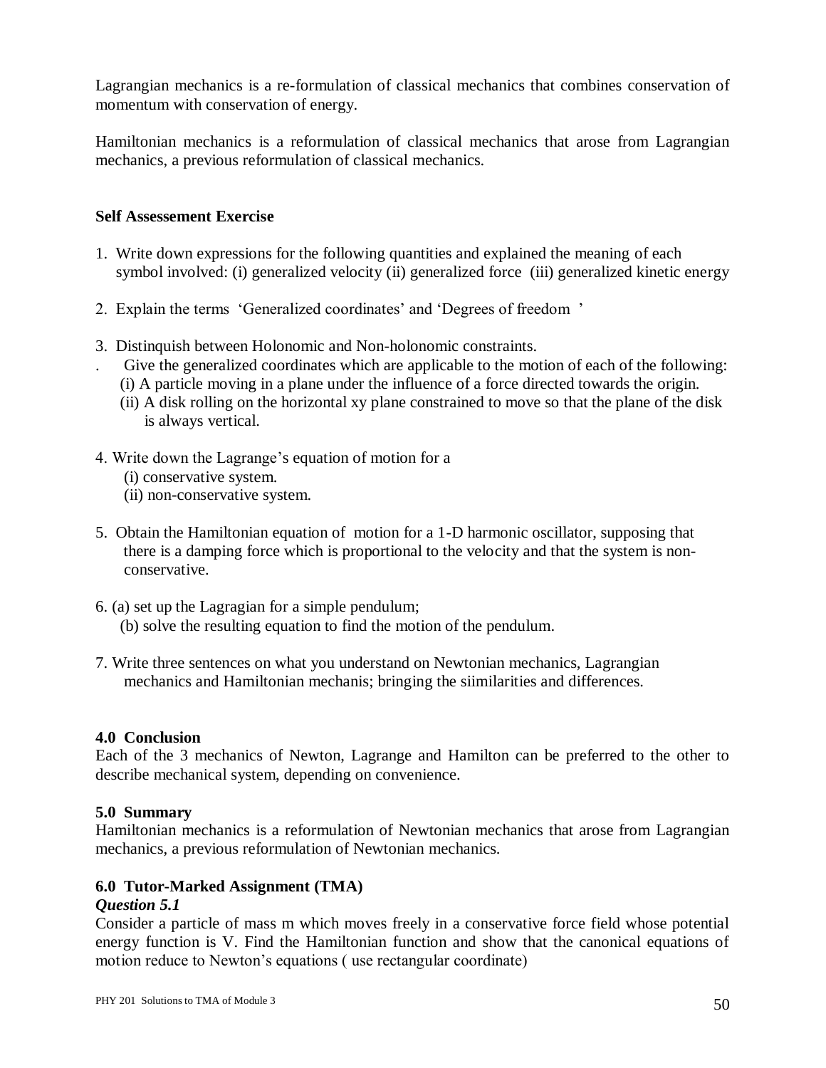Lagrangian mechanics is a re-formulation of classical mechanics that combines conservation of momentum with conservation of energy.

Hamiltonian mechanics is a reformulation of classical mechanics that arose from Lagrangian mechanics, a previous reformulation of classical mechanics.

## **Self Assessement Exercise**

- 1. Write down expressions for the following quantities and explained the meaning of each symbol involved: (i) generalized velocity (ii) generalized force (iii) generalized kinetic energy
- 2. Explain the terms 'Generalized coordinates' and 'Degrees of freedom '
- 3. Distinquish between Holonomic and Non-holonomic constraints.
- . Give the generalized coordinates which are applicable to the motion of each of the following: (i) A particle moving in a plane under the influence of a force directed towards the origin.
	- (ii) A disk rolling on the horizontal xy plane constrained to move so that the plane of the disk is always vertical.
- 4. Write down the Lagrange's equation of motion for a
	- (i) conservative system.
	- (ii) non-conservative system.
- 5. Obtain the Hamiltonian equation of motion for a 1-D harmonic oscillator, supposing that there is a damping force which is proportional to the velocity and that the system is non conservative.
- 6. (a) set up the Lagragian for a simple pendulum; (b) solve the resulting equation to find the motion of the pendulum.
- 7. Write three sentences on what you understand on Newtonian mechanics, Lagrangian mechanics and Hamiltonian mechanis; bringing the siimilarities and differences.

## **4.0 Conclusion**

Each of the 3 mechanics of Newton, Lagrange and Hamilton can be preferred to the other to describe mechanical system, depending on convenience.

## **5.0 Summary**

Hamiltonian mechanics is a reformulation of Newtonian mechanics that arose from Lagrangian mechanics, a previous reformulation of Newtonian mechanics.

## **6.0 Tutor-Marked Assignment (TMA)**

## *Question 5.1*

Consider a particle of mass m which moves freely in a conservative force field whose potential energy function is V. Find the Hamiltonian function and show that the canonical equations of motion reduce to Newton's equations ( use rectangular coordinate)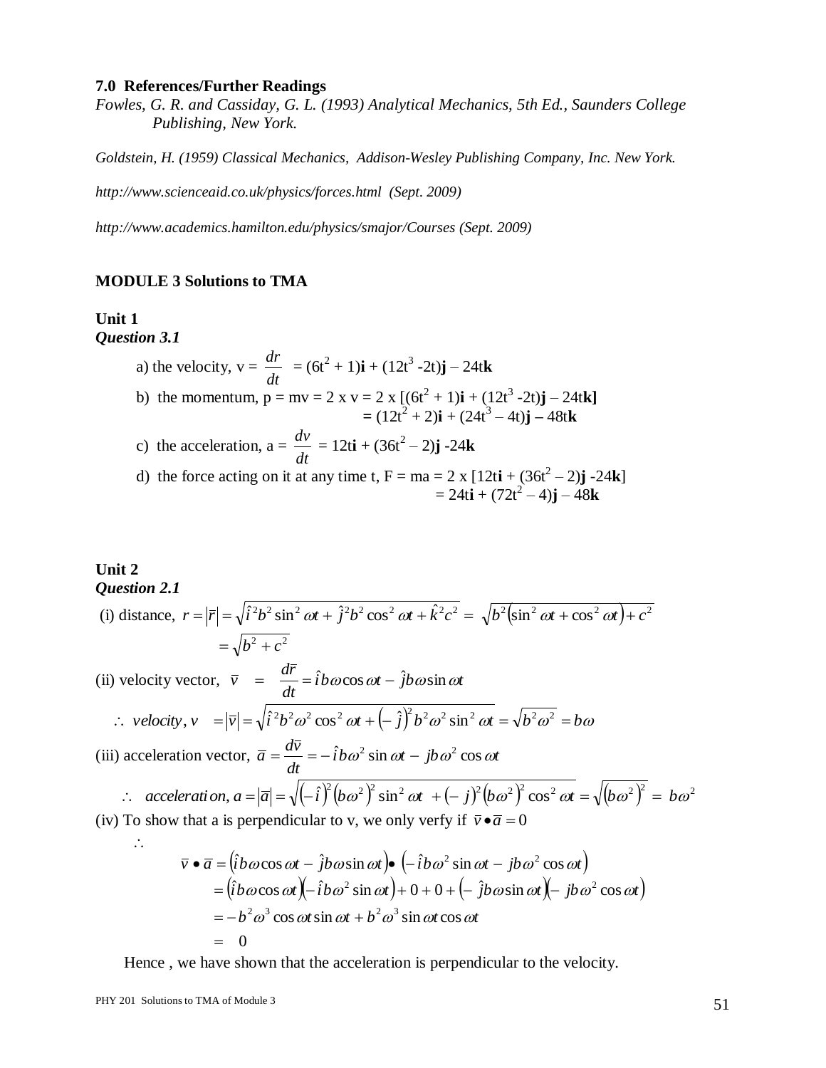#### **7.0 References/Further Readings**

*Fowles, G. R. and Cassiday, G. L. (1993) Analytical Mechanics, 5th Ed., Saunders College Publishing, New York.*

*Goldstein, H. (1959) Classical Mechanics, Addison-Wesley Publishing Company, Inc. New York.*

*http://www.scienceaid.co.uk/physics/forces.html (Sept. 2009)*

*http://www.academics.hamilton.edu/physics/smajor/Courses (Sept. 2009)*

#### **MODULE 3 Solutions to TMA**

# **Unit 1**

*Question 3.1*

a) the velocity, 
$$
v = \frac{dr}{dt} = (6t^2 + 1)\mathbf{i} + (12t^3 - 2t)\mathbf{j} - 24t\mathbf{k}
$$
  
\nb) the momentum,  $p = mv = 2 \times v = 2 \times [(6t^2 + 1)\mathbf{i} + (12t^3 - 2t)\mathbf{j} - 24t\mathbf{k}]$   
\n $= (12t^2 + 2)\mathbf{i} + (24t^3 - 4t)\mathbf{j} - 48t\mathbf{k}$   
\nc) the acceleration,  $a = \frac{dv}{dt} = 12t\mathbf{i} + (36t^2 - 2)\mathbf{j} - 24\mathbf{k}$   
\nd) the force acting on it at any time t,  $F = ma = 2 \times [12t\mathbf{i} + (36t^2 - 2)\mathbf{j} - 24\mathbf{k}]$ 

$$
= 24ti + (72t2 – 4)j – 48k
$$

#### **Unit 2** *Question 2.1*

(i) distance, 
$$
r = |\overline{r}| = \sqrt{\hat{i}^2 b^2 \sin^2 \omega t + \hat{j}^2 b^2 \cos^2 \omega t + \hat{k}^2 c^2} = \sqrt{b^2 (\sin^2 \omega t + \cos^2 \omega t) + c^2}
$$
  
\n
$$
= \sqrt{b^2 + c^2}
$$
\n(ii) velocity vector,  $\overline{v} = \frac{d\overline{r}}{dt} = \hat{i}b\omega\cos\omega t - \hat{j}b\omega\sin\omega t$   
\n
$$
\therefore \text{ velocity, } v = |\overline{v}| = \sqrt{\hat{i}^2 b^2 \omega^2 \cos^2 \omega t + (-\hat{j})^2 b^2 \omega^2 \sin^2 \omega t} = \sqrt{b^2 \omega^2} = b\omega
$$
\n(iii) acceleration vector,  $\overline{a} = \frac{d\overline{v}}{dt} = -\hat{i}b\omega^2 \sin\omega t - \hat{j}b\omega^2 \cos\omega t$   
\n
$$
\therefore \text{ acceleration, } a = |\overline{a}| = \sqrt{(-\hat{i})^2 (b\omega^2)^2 \sin^2 \omega t + (-\hat{j})^2 (b\omega^2)^2 \cos^2 \omega t} = \sqrt{(b\omega^2)^2} = b\omega^2
$$
\n(iv) To show that a is perpendicular to v, we only verify if  $\overline{v} \cdot \overline{a} = 0$   
\n
$$
\overline{v} \cdot \overline{a} = (\hat{i}b\omega\cos\omega t - \hat{j}b\omega\sin\omega t) \cdot (-\hat{i}b\omega^2 \sin\omega t - \hat{j}b\omega^2 \cos\omega t)
$$

$$
\overline{v} \cdot \overline{a} = (\overline{i}b\omega\cos\omega t - \overline{j}b\omega\sin\omega t) \cdot (-\overline{i}b\omega^2\sin\omega t - \overline{j}b\omega^2\cos\omega t)
$$
  
=  $(\overline{i}b\omega\cos\omega t)(-\overline{i}b\omega^2\sin\omega t) + 0 + 0 + (-\overline{j}b\omega\sin\omega t)(-\overline{j}b\omega^2\cos\omega t)$   
=  $-b^2\omega^3\cos\omega t\sin\omega t + b^2\omega^3\sin\omega t\cos\omega t$   
= 0

Hence, we have shown that the acceleration is perpendicular to the velocity.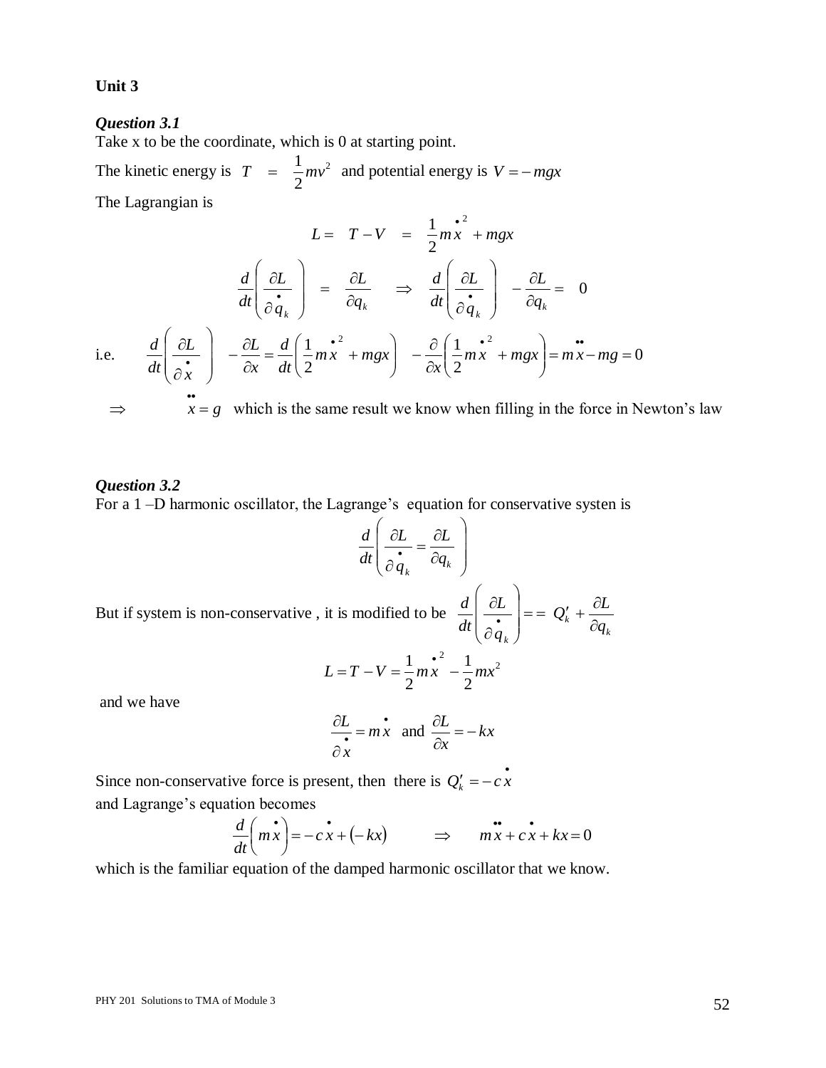#### **Unit 3**

#### *Question 3.1*

Take x to be the coordinate, which is 0 at starting point.

The kinetic energy is  $T = \frac{1}{2}mv^2$ 2  $T = \frac{1}{2}mv^2$  and potential energy is  $V = -mgx$ 

The Lagrangian is

$$
L = T - V = \frac{1}{2} m x^2 + m g x
$$
  

$$
\frac{d}{dt} \left( \frac{\partial L}{\partial \dot{q}_k} \right) = \frac{\partial L}{\partial q_k} \implies \frac{d}{dt} \left( \frac{\partial L}{\partial \dot{q}_k} \right) - \frac{\partial L}{\partial q_k} = 0
$$
  
i.e. 
$$
\frac{d}{dt} \left( \frac{\partial L}{\partial x} \right) - \frac{\partial L}{\partial x} = \frac{d}{dt} \left( \frac{1}{2} m x^2 + m g x \right) - \frac{\partial}{\partial x} \left( \frac{1}{2} m x^2 + m g x \right) = m x - m g = 0
$$

$$
\Rightarrow
$$
  $x = g$  which is the same result we know when filling in the force in Newton's law

#### *Question 3.2*

For a 1 –D harmonic oscillator, the Lagrange's equation for conservative systen is

$$
\frac{d}{dt} \left( \frac{\partial L}{\partial \dot{q}_k} = \frac{\partial L}{\partial q_k} \right)
$$

But if system is non-conservative , it is modified to be *k k*  $\left(\begin{array}{ccc} & & \mathcal{Z}_k & \partial q \\ & & & \partial q \end{array}\right)$  $Q'_k + \frac{\partial L}{\partial L}$ *q L dt d*  $\partial$  $=-Q'_{k}+\frac{\partial}{\partial z}$  $\overline{\phantom{a}}$  $\overline{\phantom{a}}$ J  $\backslash$  $\overline{\phantom{a}}$  $\mathsf{I}$  $\setminus$ ſ  $\partial$  $\partial$  $\bullet$ 

$$
L = T - V = \frac{1}{2} m x^{2} - \frac{1}{2} m x^{2}
$$

and we have

$$
\frac{\partial L}{\partial x} = m \dot{x} \text{ and } \frac{\partial L}{\partial x} = -kx
$$

Since non-conservative force is present, then there is  $Q'_k = -c \dot{x}$ and Lagrange's equation becomes

$$
\frac{d}{dt}\left(m\dot{x}\right) = -c\dot{x} + (-kx) \qquad \Rightarrow \qquad m\dot{x} + c\dot{x} + kx = 0
$$

which is the familiar equation of the damped harmonic oscillator that we know.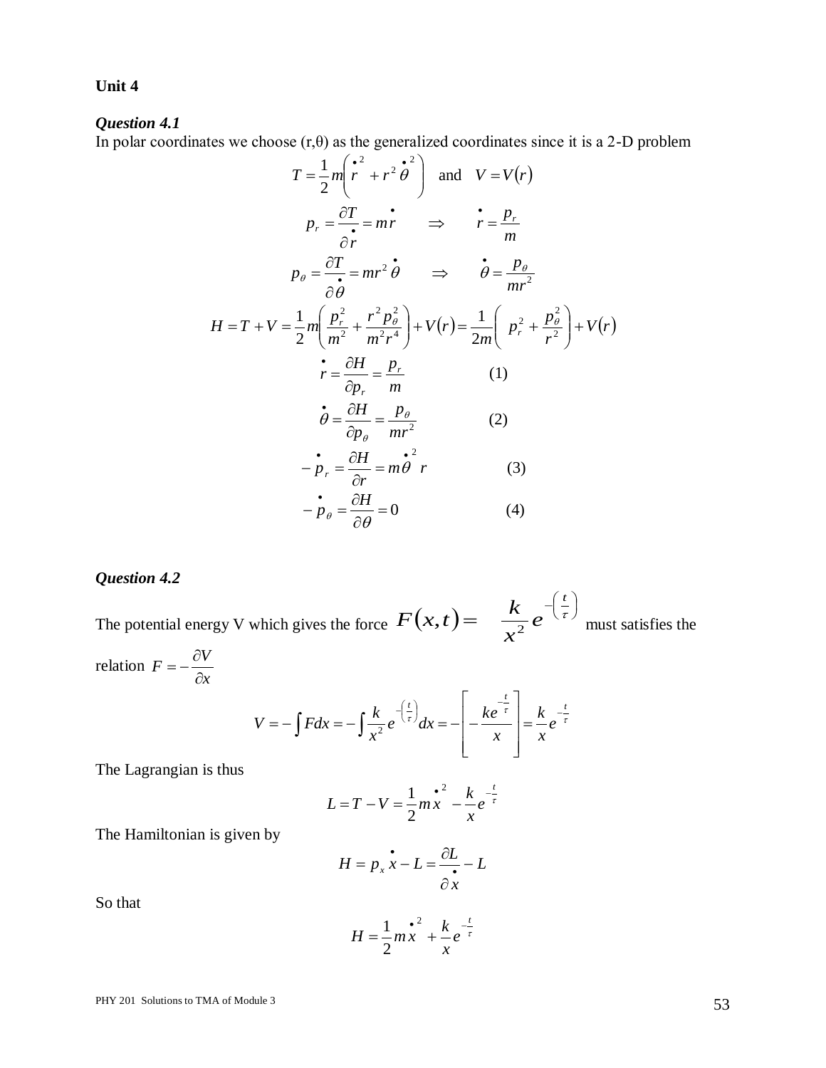## **Unit 4**

## *Question 4.1*

In polar coordinates we choose  $(r, \theta)$  as the generalized coordinates since it is a 2-D problem

$$
T = \frac{1}{2}m\left(\frac{r^2}{r} + r^2\dot{\theta}^2\right) \text{ and } V = V(r)
$$
  
\n
$$
p_r = \frac{\partial T}{\partial r} = m\dot{r} \implies \dot{r} = \frac{p_r}{m}
$$
  
\n
$$
p_\theta = \frac{\partial T}{\partial \theta} = mr^2\dot{\theta} \implies \dot{\theta} = \frac{p_\theta}{mr^2}
$$
  
\n
$$
H = T + V = \frac{1}{2}m\left(\frac{p_r^2}{m^2} + \frac{r^2p_\theta^2}{m^2r^4}\right) + V(r) = \frac{1}{2m}\left(p_r^2 + \frac{p_\theta^2}{r^2}\right) + V(r)
$$
  
\n
$$
\dot{r} = \frac{\partial H}{\partial p_r} = \frac{p_r}{m}
$$
  
\n(1)  
\n
$$
\dot{\theta} = \frac{\partial H}{\partial p_\theta} = \frac{p_\theta}{mr^2}
$$
  
\n(2)  
\n
$$
-p_r = \frac{\partial H}{\partial r} = m\dot{\theta}^2 r
$$
  
\n(3)  
\n
$$
-\dot{p}_\theta = \frac{\partial H}{\partial \theta} = 0
$$
  
\n(4)

## *Question 4.2*

The potential energy V which gives the force  $F(x,t) = -\frac{k}{2}e^{-\left(\frac{t}{\tau}\right)^2}$  $\left(\frac{t}{\tau}\right)$  $=\frac{k}{2}e^{-\left(\frac{t}{\tau}\right)}$ *t e x k*  $F(x,t) = \frac{\kappa}{x^2} e^{-\left(\frac{\tau}{\tau}\right)}$  must satisfies the

relation *x*  $F = -\frac{\partial V}{\partial r}$  $\partial$  $=-\frac{\partial}{\partial x}$ 

$$
V = -\int F dx = -\int \frac{k}{x^2} e^{-\left(\frac{t}{\tau}\right)} dx = -\left[-\frac{ke^{-\frac{t}{\tau}}}{x}\right] = \frac{k}{x} e^{-\frac{t}{\tau}}
$$

The Lagrangian is thus

$$
L = T - V = \frac{1}{2} m x^2 - \frac{k}{x} e^{-\frac{t}{\tau}}
$$

The Hamiltonian is given by

$$
H = p_x \dot{x} - L = \frac{\partial L}{\partial x} - L
$$

So that

$$
H = \frac{1}{2}m\frac{e^{2}}{x} + \frac{k}{x}e^{-\frac{t}{\tau}}
$$